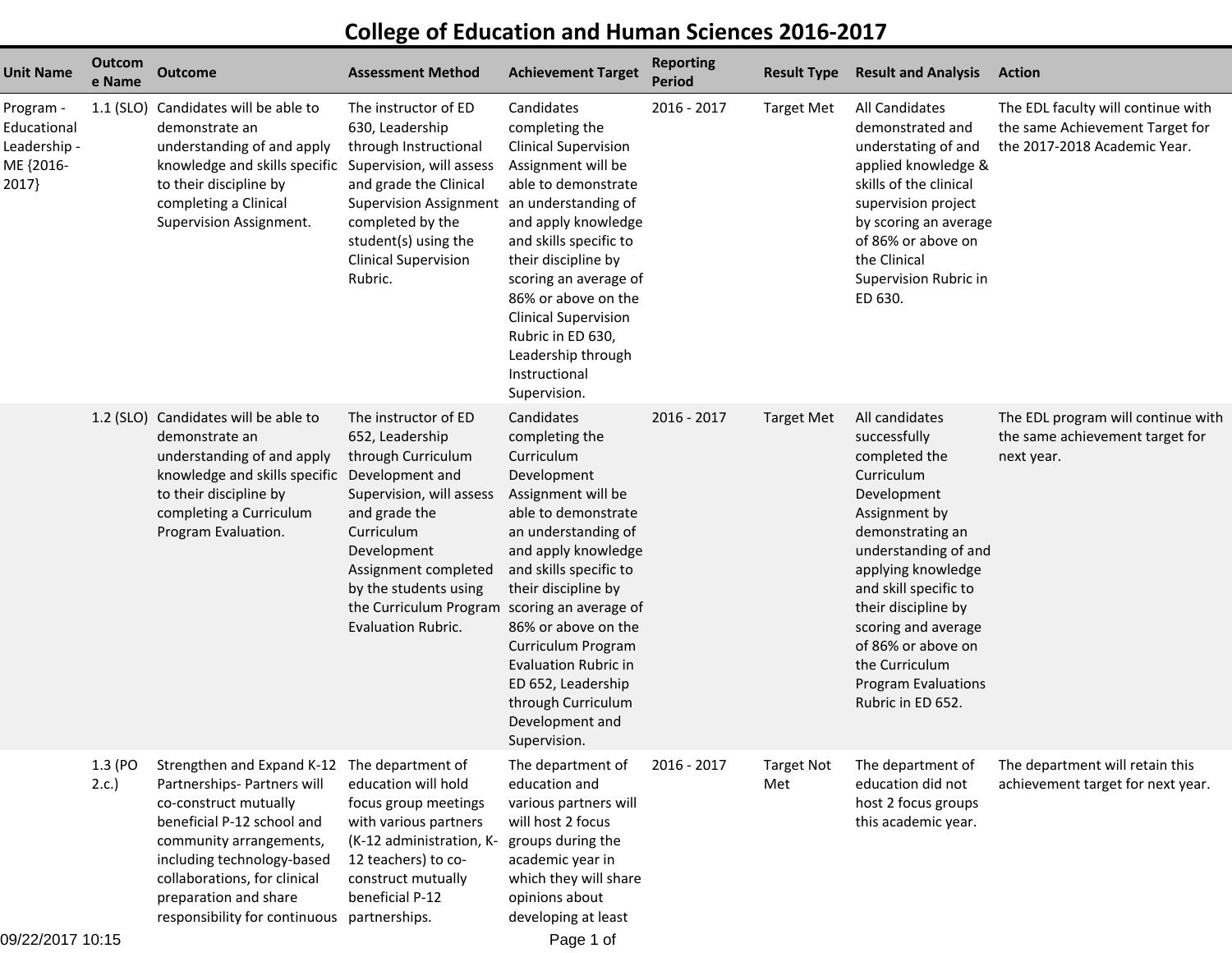## **College of Education and Human Sciences 2016-2017**

| <b>Unit Name</b>                                               | Outcom<br>e Name | <b>Outcome</b>                                                                                                                                                                                                                                                                                      | <b>Assessment Method</b>                                                                                                                                                                                                                 | <b>Achievement Target</b>                                                                                                                                                                                                                                                                                                                                                                 | <b>Reporting</b><br><b>Period</b> | <b>Result Type</b>       | <b>Result and Analysis</b>                                                                                                                                                                                                                                                                                                        | <b>Action</b>                                                                                         |
|----------------------------------------------------------------|------------------|-----------------------------------------------------------------------------------------------------------------------------------------------------------------------------------------------------------------------------------------------------------------------------------------------------|------------------------------------------------------------------------------------------------------------------------------------------------------------------------------------------------------------------------------------------|-------------------------------------------------------------------------------------------------------------------------------------------------------------------------------------------------------------------------------------------------------------------------------------------------------------------------------------------------------------------------------------------|-----------------------------------|--------------------------|-----------------------------------------------------------------------------------------------------------------------------------------------------------------------------------------------------------------------------------------------------------------------------------------------------------------------------------|-------------------------------------------------------------------------------------------------------|
| Program -<br>Educational<br>Leadership -<br>ME {2016-<br>2017} | $1.1$ (SLO)      | Candidates will be able to<br>demonstrate an<br>understanding of and apply<br>knowledge and skills specific Supervision, will assess<br>to their discipline by<br>completing a Clinical<br>Supervision Assignment.                                                                                  | The instructor of ED<br>630, Leadership<br>through Instructional<br>and grade the Clinical<br>Supervision Assignment an understanding of<br>completed by the<br>student(s) using the<br><b>Clinical Supervision</b><br>Rubric.           | Candidates<br>completing the<br><b>Clinical Supervision</b><br>Assignment will be<br>able to demonstrate<br>and apply knowledge<br>and skills specific to<br>their discipline by<br>scoring an average of<br>86% or above on the<br><b>Clinical Supervision</b><br>Rubric in ED 630,<br>Leadership through<br>Instructional<br>Supervision.                                               | 2016 - 2017                       | <b>Target Met</b>        | All Candidates<br>demonstrated and<br>understating of and<br>applied knowledge &<br>skills of the clinical<br>supervision project<br>by scoring an average<br>of 86% or above on<br>the Clinical<br>Supervision Rubric in<br>ED 630.                                                                                              | The EDL faculty will continue with<br>the same Achievement Target for<br>the 2017-2018 Academic Year. |
|                                                                |                  | 1.2 (SLO) Candidates will be able to<br>demonstrate an<br>understanding of and apply<br>knowledge and skills specific Development and<br>to their discipline by<br>completing a Curriculum<br>Program Evaluation.                                                                                   | The instructor of ED<br>652, Leadership<br>through Curriculum<br>Supervision, will assess<br>and grade the<br>Curriculum<br>Development<br>Assignment completed<br>by the students using<br>the Curriculum Program<br>Evaluation Rubric. | Candidates<br>completing the<br>Curriculum<br>Development<br>Assignment will be<br>able to demonstrate<br>an understanding of<br>and apply knowledge<br>and skills specific to<br>their discipline by<br>scoring an average of<br>86% or above on the<br>Curriculum Program<br><b>Evaluation Rubric in</b><br>ED 652, Leadership<br>through Curriculum<br>Development and<br>Supervision. | 2016 - 2017                       | <b>Target Met</b>        | All candidates<br>successfully<br>completed the<br>Curriculum<br>Development<br>Assignment by<br>demonstrating an<br>understanding of and<br>applying knowledge<br>and skill specific to<br>their discipline by<br>scoring and average<br>of 86% or above on<br>the Curriculum<br><b>Program Evaluations</b><br>Rubric in ED 652. | The EDL program will continue with<br>the same achievement target for<br>next year.                   |
|                                                                | 1.3 (PO<br>2.c.  | Strengthen and Expand K-12 The department of<br>Partnerships- Partners will<br>co-construct mutually<br>beneficial P-12 school and<br>community arrangements,<br>including technology-based<br>collaborations, for clinical<br>preparation and share<br>responsibility for continuous partnerships. | education will hold<br>focus group meetings<br>with various partners<br>(K-12 administration, K-<br>12 teachers) to co-<br>construct mutually<br>beneficial P-12                                                                         | The department of<br>education and<br>various partners will<br>will host 2 focus<br>groups during the<br>academic year in<br>which they will share<br>opinions about<br>developing at least                                                                                                                                                                                               | 2016 - 2017                       | <b>Target Not</b><br>Met | The department of<br>education did not<br>host 2 focus groups<br>this academic year.                                                                                                                                                                                                                                              | The department will retain this<br>achievement target for next year.                                  |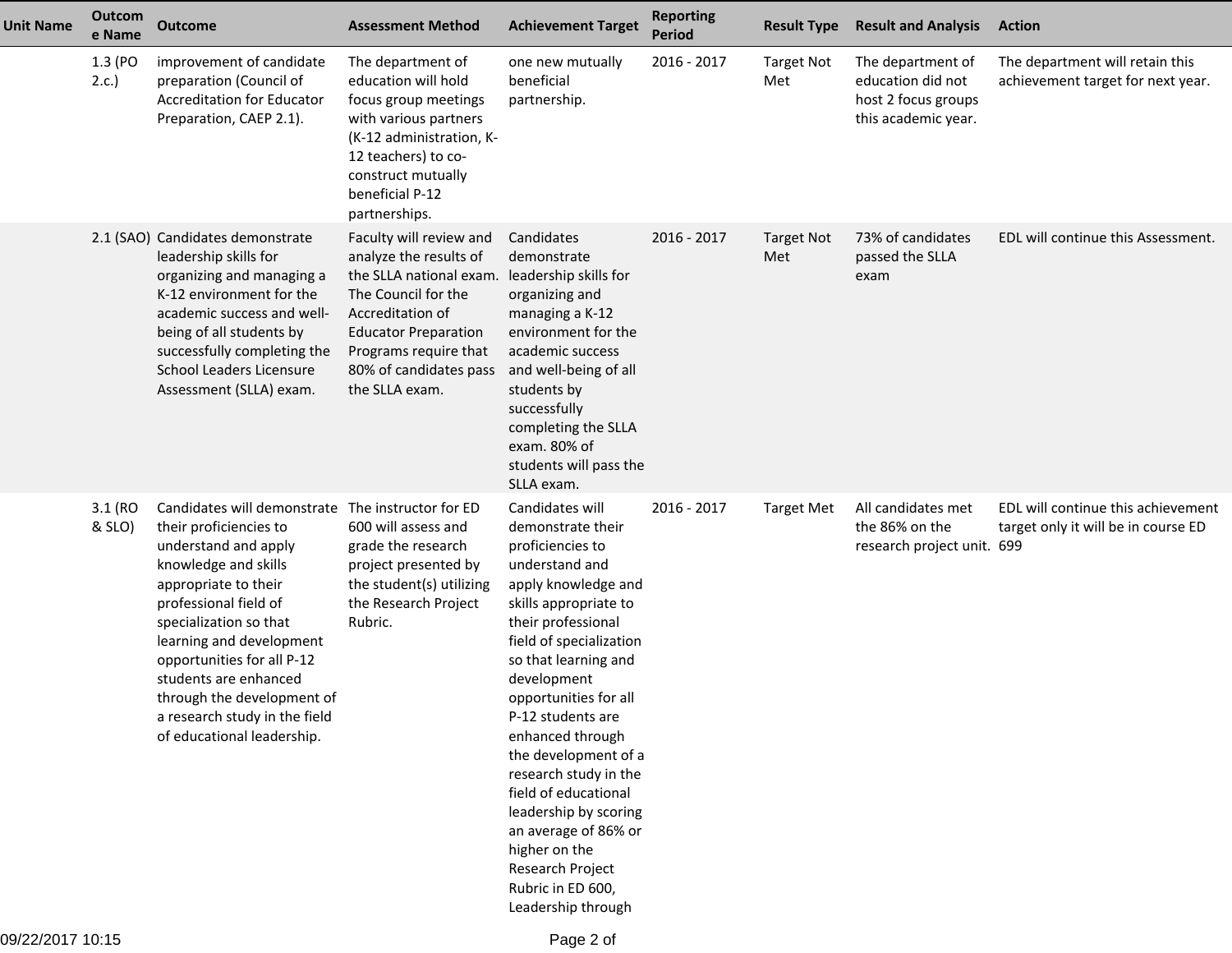| <b>Unit Name</b> | <b>Outcom</b><br>e Name | <b>Outcome</b>                                                                                                                                                                                                                                                                                                                                                                         | <b>Assessment Method</b>                                                                                                                                                                                                                                                | <b>Achievement Target</b>                                                                                                                                                                                                                                                                                                                                                                                                                                                                      | <b>Reporting</b><br><b>Period</b> | <b>Result Type</b>       | <b>Result and Analysis</b>                                                           | <b>Action</b>                                                             |
|------------------|-------------------------|----------------------------------------------------------------------------------------------------------------------------------------------------------------------------------------------------------------------------------------------------------------------------------------------------------------------------------------------------------------------------------------|-------------------------------------------------------------------------------------------------------------------------------------------------------------------------------------------------------------------------------------------------------------------------|------------------------------------------------------------------------------------------------------------------------------------------------------------------------------------------------------------------------------------------------------------------------------------------------------------------------------------------------------------------------------------------------------------------------------------------------------------------------------------------------|-----------------------------------|--------------------------|--------------------------------------------------------------------------------------|---------------------------------------------------------------------------|
|                  | 1.3 (PO<br>2.c.         | improvement of candidate<br>preparation (Council of<br><b>Accreditation for Educator</b><br>Preparation, CAEP 2.1).                                                                                                                                                                                                                                                                    | The department of<br>education will hold<br>focus group meetings<br>with various partners<br>(K-12 administration, K-<br>12 teachers) to co-<br>construct mutually<br>beneficial P-12<br>partnerships.                                                                  | one new mutually<br>beneficial<br>partnership.                                                                                                                                                                                                                                                                                                                                                                                                                                                 | 2016 - 2017                       | <b>Target Not</b><br>Met | The department of<br>education did not<br>host 2 focus groups<br>this academic year. | The department will retain this<br>achievement target for next year.      |
|                  |                         | 2.1 (SAO) Candidates demonstrate<br>leadership skills for<br>organizing and managing a<br>K-12 environment for the<br>academic success and well-<br>being of all students by<br>successfully completing the<br><b>School Leaders Licensure</b><br>Assessment (SLLA) exam.                                                                                                              | Faculty will review and<br>analyze the results of<br>the SLLA national exam. leadership skills for<br>The Council for the<br>Accreditation of<br><b>Educator Preparation</b><br>Programs require that<br>80% of candidates pass and well-being of all<br>the SLLA exam. | Candidates<br>demonstrate<br>organizing and<br>managing a K-12<br>environment for the<br>academic success<br>students by<br>successfully<br>completing the SLLA<br>exam. 80% of<br>students will pass the<br>SLLA exam.                                                                                                                                                                                                                                                                        | 2016 - 2017                       | <b>Target Not</b><br>Met | 73% of candidates<br>passed the SLLA<br>exam                                         | EDL will continue this Assessment.                                        |
|                  | 3.1 (RO<br>& SLO)       | Candidates will demonstrate The instructor for ED<br>their proficiencies to<br>understand and apply<br>knowledge and skills<br>appropriate to their<br>professional field of<br>specialization so that<br>learning and development<br>opportunities for all P-12<br>students are enhanced<br>through the development of<br>a research study in the field<br>of educational leadership. | 600 will assess and<br>grade the research<br>project presented by<br>the student(s) utilizing<br>the Research Project<br>Rubric.                                                                                                                                        | Candidates will<br>demonstrate their<br>proficiencies to<br>understand and<br>apply knowledge and<br>skills appropriate to<br>their professional<br>field of specialization<br>so that learning and<br>development<br>opportunities for all<br>P-12 students are<br>enhanced through<br>the development of a<br>research study in the<br>field of educational<br>leadership by scoring<br>an average of 86% or<br>higher on the<br>Research Project<br>Rubric in ED 600,<br>Leadership through | 2016 - 2017                       | <b>Target Met</b>        | All candidates met<br>the 86% on the<br>research project unit. 699                   | EDL will continue this achievement<br>target only it will be in course ED |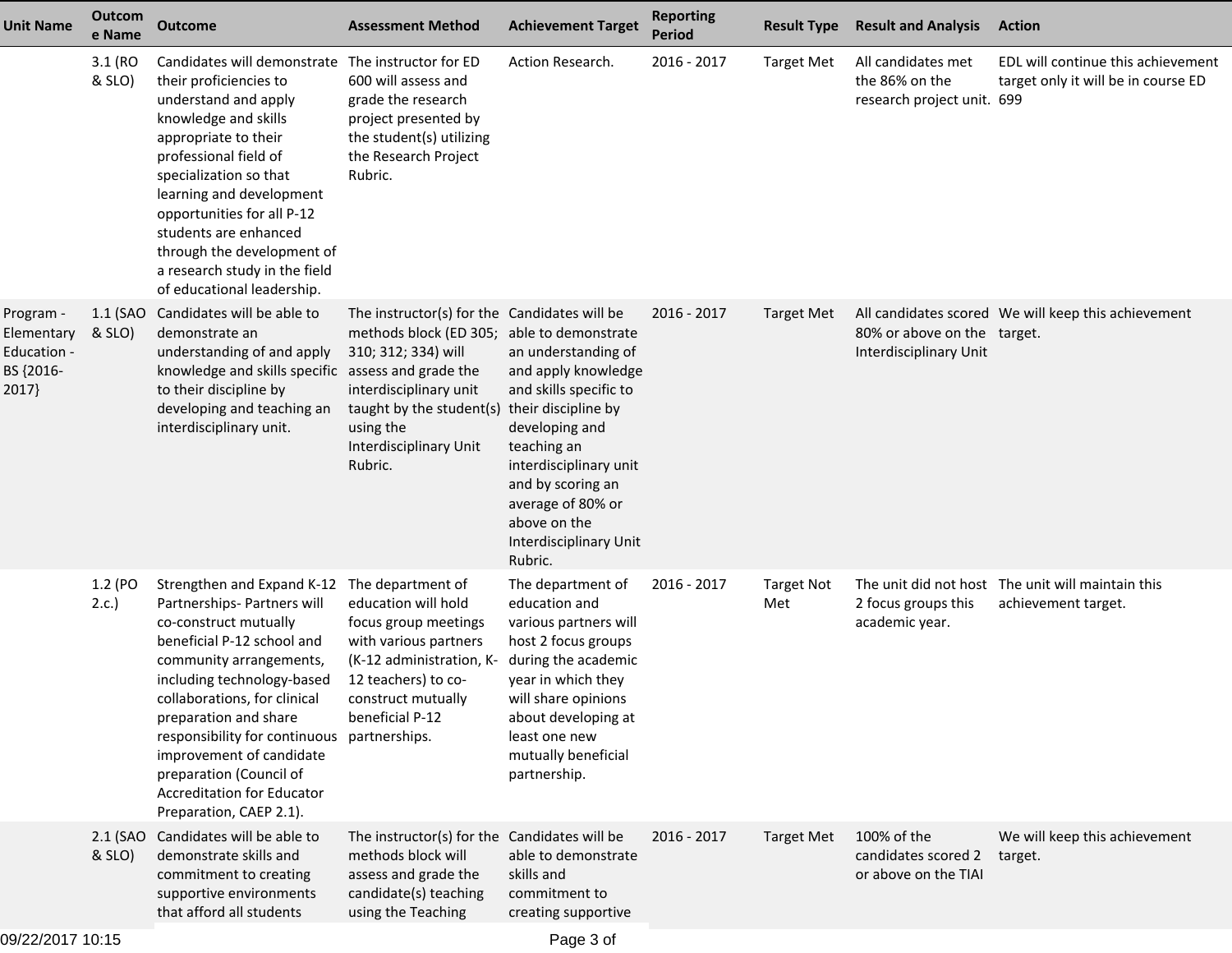| <b>Unit Name</b>                                             | Outcom<br>e Name   | <b>Outcome</b>                                                                                                                                                                                                                                                                                                                                                                             | <b>Assessment Method</b>                                                                                                                                                                                                  | <b>Achievement Target</b>                                                                                                                                                                                                                             | <b>Reporting</b><br><b>Period</b> | <b>Result Type</b>       | <b>Result and Analysis</b>                                         | <b>Action</b>                                                             |
|--------------------------------------------------------------|--------------------|--------------------------------------------------------------------------------------------------------------------------------------------------------------------------------------------------------------------------------------------------------------------------------------------------------------------------------------------------------------------------------------------|---------------------------------------------------------------------------------------------------------------------------------------------------------------------------------------------------------------------------|-------------------------------------------------------------------------------------------------------------------------------------------------------------------------------------------------------------------------------------------------------|-----------------------------------|--------------------------|--------------------------------------------------------------------|---------------------------------------------------------------------------|
|                                                              | 3.1 (RO<br>& SLO)  | Candidates will demonstrate The instructor for ED<br>their proficiencies to<br>understand and apply<br>knowledge and skills<br>appropriate to their<br>professional field of<br>specialization so that<br>learning and development<br>opportunities for all P-12<br>students are enhanced<br>through the development of<br>a research study in the field<br>of educational leadership.     | 600 will assess and<br>grade the research<br>project presented by<br>the student(s) utilizing<br>the Research Project<br>Rubric.                                                                                          | Action Research.                                                                                                                                                                                                                                      | 2016 - 2017                       | <b>Target Met</b>        | All candidates met<br>the 86% on the<br>research project unit. 699 | EDL will continue this achievement<br>target only it will be in course ED |
| Program -<br>Elementary<br>Education -<br>BS {2016-<br>2017} | 1.1 (SAO<br>& SLO) | Candidates will be able to<br>demonstrate an<br>understanding of and apply<br>knowledge and skills specific assess and grade the<br>to their discipline by<br>developing and teaching an<br>interdisciplinary unit.                                                                                                                                                                        | The instructor(s) for the Candidates will be<br>methods block (ED 305;<br>310; 312; 334) will<br>interdisciplinary unit<br>taught by the student(s) their discipline by<br>using the<br>Interdisciplinary Unit<br>Rubric. | able to demonstrate<br>an understanding of<br>and apply knowledge<br>and skills specific to<br>developing and<br>teaching an<br>interdisciplinary unit<br>and by scoring an<br>average of 80% or<br>above on the<br>Interdisciplinary Unit<br>Rubric. | 2016 - 2017                       | <b>Target Met</b>        | 80% or above on the target.<br>Interdisciplinary Unit              | All candidates scored We will keep this achievement                       |
|                                                              | 1.2 (PO<br>2.c.    | Strengthen and Expand K-12<br>Partnerships- Partners will<br>co-construct mutually<br>beneficial P-12 school and<br>community arrangements,<br>including technology-based<br>collaborations, for clinical<br>preparation and share<br>responsibility for continuous<br>improvement of candidate<br>preparation (Council of<br><b>Accreditation for Educator</b><br>Preparation, CAEP 2.1). | The department of<br>education will hold<br>focus group meetings<br>with various partners<br>(K-12 administration, K-<br>12 teachers) to co-<br>construct mutually<br>beneficial P-12<br>partnerships.                    | The department of<br>education and<br>various partners will<br>host 2 focus groups<br>during the academic<br>year in which they<br>will share opinions<br>about developing at<br>least one new<br>mutually beneficial<br>partnership.                 | 2016 - 2017                       | <b>Target Not</b><br>Met | 2 focus groups this<br>academic year.                              | The unit did not host The unit will maintain this<br>achievement target.  |
|                                                              | & SLO)             | 2.1 (SAO Candidates will be able to<br>demonstrate skills and<br>commitment to creating<br>supportive environments<br>that afford all students                                                                                                                                                                                                                                             | The instructor(s) for the Candidates will be<br>methods block will<br>assess and grade the<br>candidate(s) teaching<br>using the Teaching                                                                                 | able to demonstrate<br>skills and<br>commitment to<br>creating supportive                                                                                                                                                                             | 2016 - 2017                       | <b>Target Met</b>        | 100% of the<br>candidates scored 2<br>or above on the TIAI         | We will keep this achievement<br>target.                                  |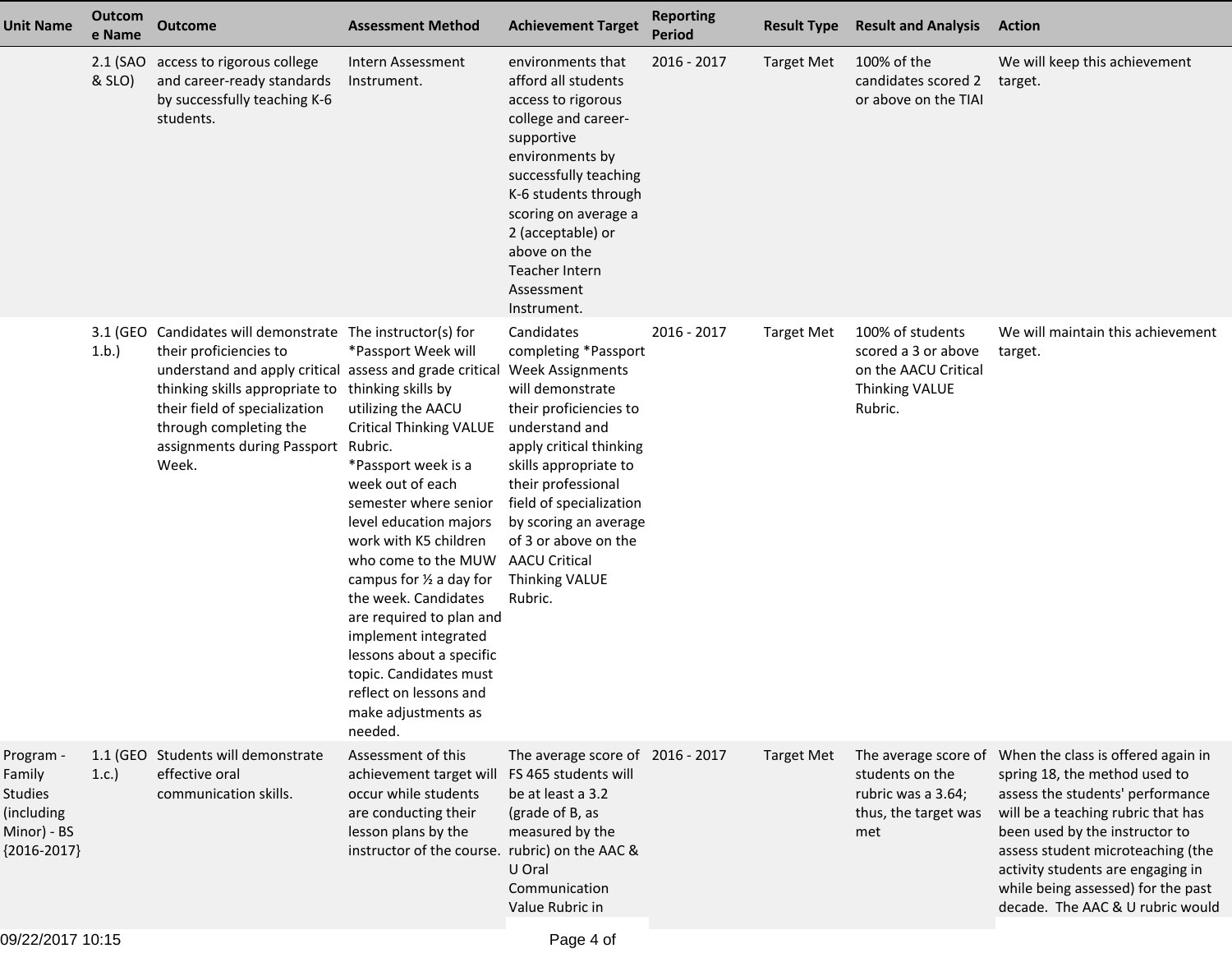| <b>Unit Name</b>                                                             | Outcom<br>e Name   | <b>Outcome</b>                                                                                                                                                                                                                                                                                                  | <b>Assessment Method</b>                                                                                                                                                                                                                                                                                                                                                                                                                                      | <b>Achievement Target</b>                                                                                                                                                                                                                                                                                                                       | <b>Reporting</b><br><b>Period</b> | <b>Result Type</b> | <b>Result and Analysis</b>                                                                          | <b>Action</b>                                                                                                                                                                                                                                                                                                                                            |
|------------------------------------------------------------------------------|--------------------|-----------------------------------------------------------------------------------------------------------------------------------------------------------------------------------------------------------------------------------------------------------------------------------------------------------------|---------------------------------------------------------------------------------------------------------------------------------------------------------------------------------------------------------------------------------------------------------------------------------------------------------------------------------------------------------------------------------------------------------------------------------------------------------------|-------------------------------------------------------------------------------------------------------------------------------------------------------------------------------------------------------------------------------------------------------------------------------------------------------------------------------------------------|-----------------------------------|--------------------|-----------------------------------------------------------------------------------------------------|----------------------------------------------------------------------------------------------------------------------------------------------------------------------------------------------------------------------------------------------------------------------------------------------------------------------------------------------------------|
|                                                                              | 2.1 (SAO<br>& SLO) | access to rigorous college<br>and career-ready standards<br>by successfully teaching K-6<br>students.                                                                                                                                                                                                           | Intern Assessment<br>Instrument.                                                                                                                                                                                                                                                                                                                                                                                                                              | environments that<br>afford all students<br>access to rigorous<br>college and career-<br>supportive<br>environments by<br>successfully teaching<br>K-6 students through<br>scoring on average a<br>2 (acceptable) or<br>above on the<br>Teacher Intern<br>Assessment<br>Instrument.                                                             | $2016 - 2017$                     | <b>Target Met</b>  | 100% of the<br>candidates scored 2<br>or above on the TIAI                                          | We will keep this achievement<br>target.                                                                                                                                                                                                                                                                                                                 |
|                                                                              | 1.b.               | 3.1 (GEO Candidates will demonstrate The instructor(s) for<br>their proficiencies to<br>understand and apply critical assess and grade critical<br>thinking skills appropriate to thinking skills by<br>their field of specialization<br>through completing the<br>assignments during Passport Rubric.<br>Week. | *Passport Week will<br>utilizing the AACU<br><b>Critical Thinking VALUE</b><br>*Passport week is a<br>week out of each<br>semester where senior<br>level education majors<br>work with K5 children<br>who come to the MUW<br>campus for $\frac{1}{2}$ a day for<br>the week. Candidates<br>are required to plan and<br>implement integrated<br>lessons about a specific<br>topic. Candidates must<br>reflect on lessons and<br>make adjustments as<br>needed. | Candidates<br>completing *Passport<br><b>Week Assignments</b><br>will demonstrate<br>their proficiencies to<br>understand and<br>apply critical thinking<br>skills appropriate to<br>their professional<br>field of specialization<br>by scoring an average<br>of 3 or above on the<br><b>AACU Critical</b><br><b>Thinking VALUE</b><br>Rubric. | 2016 - 2017                       | <b>Target Met</b>  | 100% of students<br>scored a 3 or above<br>on the AACU Critical<br><b>Thinking VALUE</b><br>Rubric. | We will maintain this achievement<br>target.                                                                                                                                                                                                                                                                                                             |
| Program -<br>Family<br>Studies<br>(including<br>Minor) - BS<br>${2016-2017}$ | 1.c.               | 1.1 (GEO Students will demonstrate<br>effective oral<br>communication skills.                                                                                                                                                                                                                                   | Assessment of this<br>achievement target will<br>occur while students<br>are conducting their<br>lesson plans by the<br>instructor of the course. rubric) on the AAC &                                                                                                                                                                                                                                                                                        | The average score of 2016 - 2017<br>FS 465 students will<br>be at least a 3.2<br>(grade of B, as<br>measured by the<br>U Oral<br>Communication<br>Value Rubric in                                                                                                                                                                               |                                   | <b>Target Met</b>  | students on the<br>rubric was a 3.64;<br>thus, the target was<br>met                                | The average score of When the class is offered again in<br>spring 18, the method used to<br>assess the students' performance<br>will be a teaching rubric that has<br>been used by the instructor to<br>assess student microteaching (the<br>activity students are engaging in<br>while being assessed) for the past<br>decade. The AAC & U rubric would |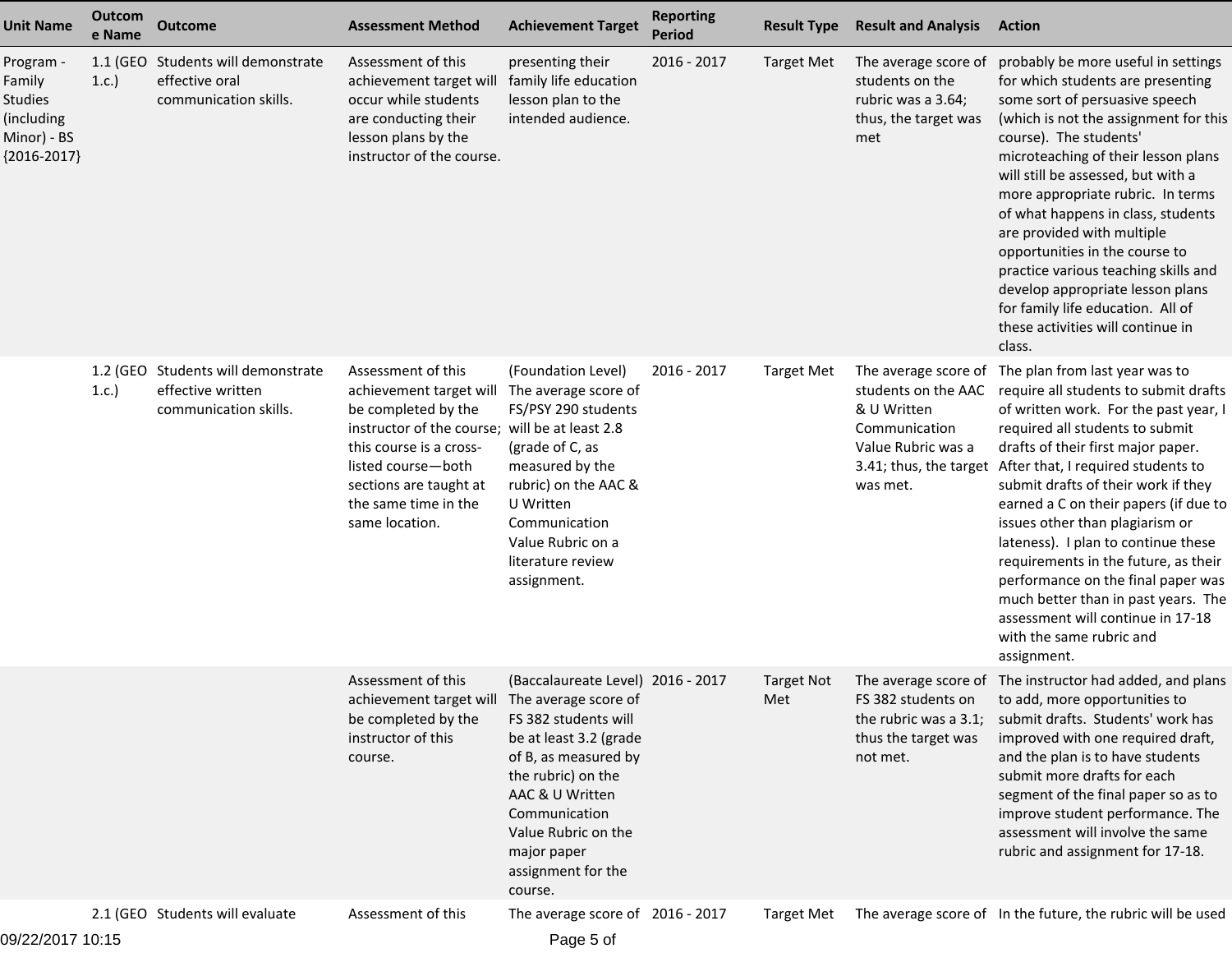| <b>Unit Name</b>                                                             | Outcom<br>e Name | <b>Outcome</b>                                                                   | <b>Assessment Method</b>                                                                                                                                                                                               | <b>Achievement Target</b>                                                                                                                                                                                                                      | <b>Reporting</b><br><b>Period</b> | <b>Result Type</b>       | <b>Result and Analysis</b>                                                                                                              | <b>Action</b>                                                                                                                                                                                                                                                                                                                                                                                                                                                                                                                                                                                  |
|------------------------------------------------------------------------------|------------------|----------------------------------------------------------------------------------|------------------------------------------------------------------------------------------------------------------------------------------------------------------------------------------------------------------------|------------------------------------------------------------------------------------------------------------------------------------------------------------------------------------------------------------------------------------------------|-----------------------------------|--------------------------|-----------------------------------------------------------------------------------------------------------------------------------------|------------------------------------------------------------------------------------------------------------------------------------------------------------------------------------------------------------------------------------------------------------------------------------------------------------------------------------------------------------------------------------------------------------------------------------------------------------------------------------------------------------------------------------------------------------------------------------------------|
| Program -<br>Family<br>Studies<br>(including<br>Minor) - BS<br>${2016-2017}$ | 1.1 (GEO<br>1.c. | Students will demonstrate<br>effective oral<br>communication skills.             | Assessment of this<br>achievement target will<br>occur while students<br>are conducting their<br>lesson plans by the<br>instructor of the course.                                                                      | presenting their<br>family life education<br>lesson plan to the<br>intended audience.                                                                                                                                                          | 2016 - 2017                       | <b>Target Met</b>        | The average score of<br>students on the<br>rubric was a 3.64;<br>thus, the target was<br>met                                            | probably be more useful in settings<br>for which students are presenting<br>some sort of persuasive speech<br>(which is not the assignment for this<br>course). The students'<br>microteaching of their lesson plans<br>will still be assessed, but with a<br>more appropriate rubric. In terms<br>of what happens in class, students<br>are provided with multiple<br>opportunities in the course to<br>practice various teaching skills and<br>develop appropriate lesson plans<br>for family life education. All of<br>these activities will continue in<br>class.                          |
|                                                                              | 1.c.             | 1.2 (GEO Students will demonstrate<br>effective written<br>communication skills. | Assessment of this<br>achievement target will<br>be completed by the<br>instructor of the course;<br>this course is a cross-<br>listed course-both<br>sections are taught at<br>the same time in the<br>same location. | (Foundation Level)<br>The average score of<br>FS/PSY 290 students<br>will be at least 2.8<br>(grade of C, as<br>measured by the<br>rubric) on the AAC &<br>U Written<br>Communication<br>Value Rubric on a<br>literature review<br>assignment. | 2016 - 2017                       | <b>Target Met</b>        | The average score of<br>students on the AAC<br>& U Written<br>Communication<br>Value Rubric was a<br>3.41; thus, the target<br>was met. | The plan from last year was to<br>require all students to submit drafts<br>of written work. For the past year, I<br>required all students to submit<br>drafts of their first major paper.<br>After that, I required students to<br>submit drafts of their work if they<br>earned a C on their papers (if due to<br>issues other than plagiarism or<br>lateness). I plan to continue these<br>requirements in the future, as their<br>performance on the final paper was<br>much better than in past years. The<br>assessment will continue in 17-18<br>with the same rubric and<br>assignment. |
|                                                                              |                  |                                                                                  | Assessment of this<br>achievement target will The average score of<br>be completed by the<br>instructor of this<br>course.                                                                                             | (Baccalaureate Level) 2016 - 2017<br>FS 382 students will<br>be at least 3.2 (grade<br>of B, as measured by<br>the rubric) on the<br>AAC & U Written<br>Communication<br>Value Rubric on the<br>major paper<br>assignment for the<br>course.   |                                   | <b>Target Not</b><br>Met | the rubric was a 3.1;<br>thus the target was<br>not met.                                                                                | The average score of The instructor had added, and plans<br>FS 382 students on to add, more opportunities to<br>submit drafts. Students' work has<br>improved with one required draft,<br>and the plan is to have students<br>submit more drafts for each<br>segment of the final paper so as to<br>improve student performance. The<br>assessment will involve the same<br>rubric and assignment for 17-18.                                                                                                                                                                                   |
|                                                                              |                  | 2.1 (GEO Students will evaluate                                                  | Assessment of this                                                                                                                                                                                                     | The average score of 2016 - 2017                                                                                                                                                                                                               |                                   | Target Met               |                                                                                                                                         | The average score of In the future, the rubric will be used                                                                                                                                                                                                                                                                                                                                                                                                                                                                                                                                    |

09/22/2017 10:15

Page 5 of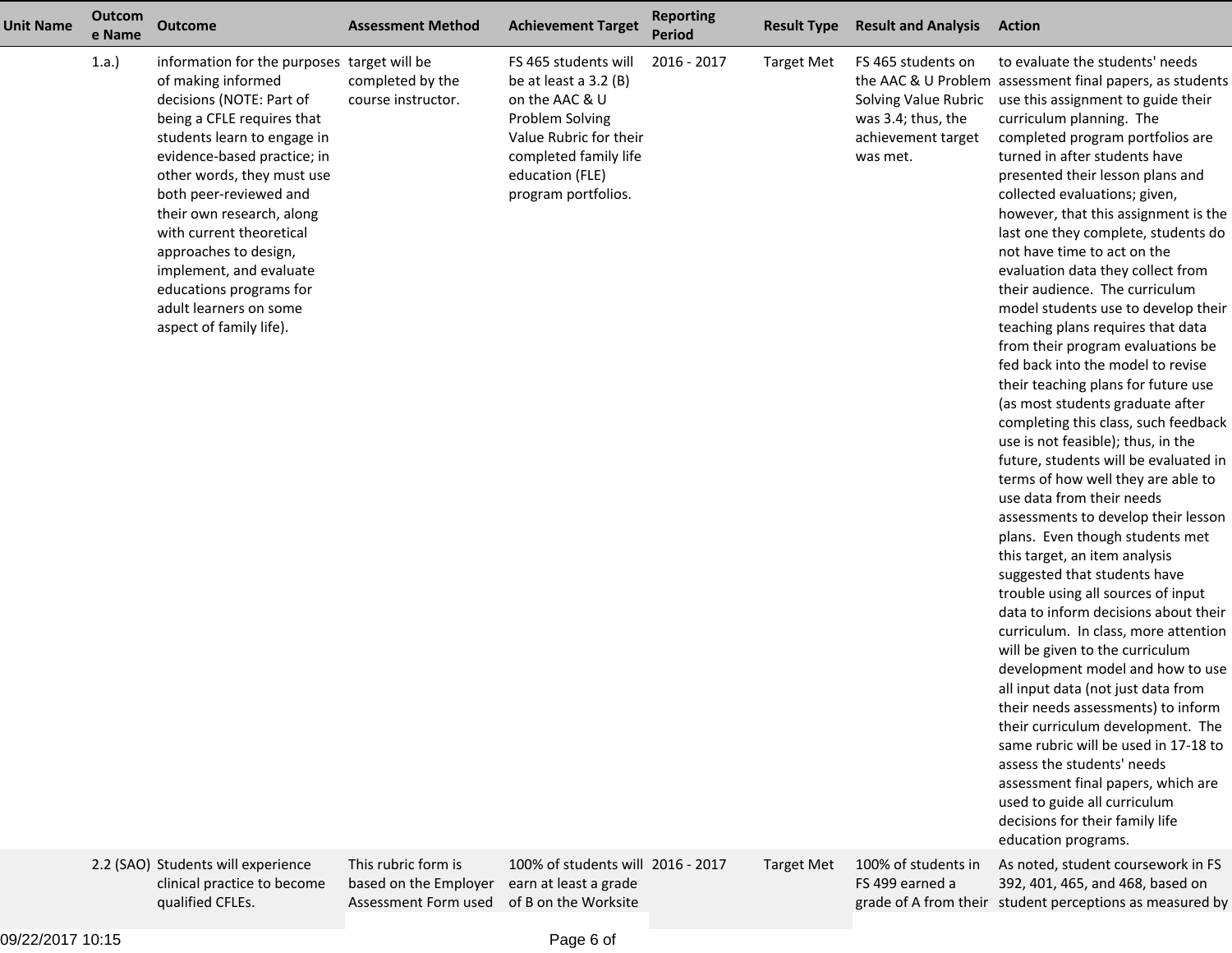| <b>Unit Name</b> | Outcom<br>e Name | <b>Outcome</b>                                                                                                                                                                                                                                                                                                                                                                                                                                 | <b>Assessment Method</b>                     | <b>Achievement Target</b>                                                                                                                                                         | <b>Reporting</b><br><b>Period</b> | <b>Result Type</b> | <b>Result and Analysis</b>                                                                         | <b>Action</b>                                                                                                                                                                                                                                                                                                                                                                                                                                                                                                                                                                                                                                                                                                                                                                                                                                                                                                                                                                                                                                                                                                                                                                                                                                                                                                                                                                                                                                                                                                                                                                          |
|------------------|------------------|------------------------------------------------------------------------------------------------------------------------------------------------------------------------------------------------------------------------------------------------------------------------------------------------------------------------------------------------------------------------------------------------------------------------------------------------|----------------------------------------------|-----------------------------------------------------------------------------------------------------------------------------------------------------------------------------------|-----------------------------------|--------------------|----------------------------------------------------------------------------------------------------|----------------------------------------------------------------------------------------------------------------------------------------------------------------------------------------------------------------------------------------------------------------------------------------------------------------------------------------------------------------------------------------------------------------------------------------------------------------------------------------------------------------------------------------------------------------------------------------------------------------------------------------------------------------------------------------------------------------------------------------------------------------------------------------------------------------------------------------------------------------------------------------------------------------------------------------------------------------------------------------------------------------------------------------------------------------------------------------------------------------------------------------------------------------------------------------------------------------------------------------------------------------------------------------------------------------------------------------------------------------------------------------------------------------------------------------------------------------------------------------------------------------------------------------------------------------------------------------|
|                  | 1.a.)            | information for the purposes target will be<br>of making informed<br>decisions (NOTE: Part of<br>being a CFLE requires that<br>students learn to engage in<br>evidence-based practice; in<br>other words, they must use<br>both peer-reviewed and<br>their own research, along<br>with current theoretical<br>approaches to design,<br>implement, and evaluate<br>educations programs for<br>adult learners on some<br>aspect of family life). | completed by the<br>course instructor.       | FS 465 students will<br>be at least a $3.2$ (B)<br>on the AAC & U<br>Problem Solving<br>Value Rubric for their<br>completed family life<br>education (FLE)<br>program portfolios. | 2016 - 2017                       | <b>Target Met</b>  | FS 465 students on<br>Solving Value Rubric<br>was 3.4; thus, the<br>achievement target<br>was met. | to evaluate the students' needs<br>the AAC & U Problem assessment final papers, as students<br>use this assignment to guide their<br>curriculum planning. The<br>completed program portfolios are<br>turned in after students have<br>presented their lesson plans and<br>collected evaluations; given,<br>however, that this assignment is the<br>last one they complete, students do<br>not have time to act on the<br>evaluation data they collect from<br>their audience. The curriculum<br>model students use to develop their<br>teaching plans requires that data<br>from their program evaluations be<br>fed back into the model to revise<br>their teaching plans for future use<br>(as most students graduate after<br>completing this class, such feedback<br>use is not feasible); thus, in the<br>future, students will be evaluated in<br>terms of how well they are able to<br>use data from their needs<br>assessments to develop their lesson<br>plans. Even though students met<br>this target, an item analysis<br>suggested that students have<br>trouble using all sources of input<br>data to inform decisions about their<br>curriculum. In class, more attention<br>will be given to the curriculum<br>development model and how to use<br>all input data (not just data from<br>their needs assessments) to inform<br>their curriculum development. The<br>same rubric will be used in 17-18 to<br>assess the students' needs<br>assessment final papers, which are<br>used to guide all curriculum<br>decisions for their family life<br>education programs. |
|                  |                  | 2.2 (SAO) Students will experience<br>clinical practice to become                                                                                                                                                                                                                                                                                                                                                                              | This rubric form is<br>based on the Employer | 100% of students will 2016 - 2017<br>earn at least a grade                                                                                                                        |                                   | <b>Target Met</b>  | 100% of students in<br>FS 499 earned a                                                             | As noted, student coursework in FS<br>392, 401, 465, and 468, based on                                                                                                                                                                                                                                                                                                                                                                                                                                                                                                                                                                                                                                                                                                                                                                                                                                                                                                                                                                                                                                                                                                                                                                                                                                                                                                                                                                                                                                                                                                                 |

09/22/2017 10:15

qualified CFLEs.

grade of A from their student perceptions as measured by

Assessment Form used of B on the Worksite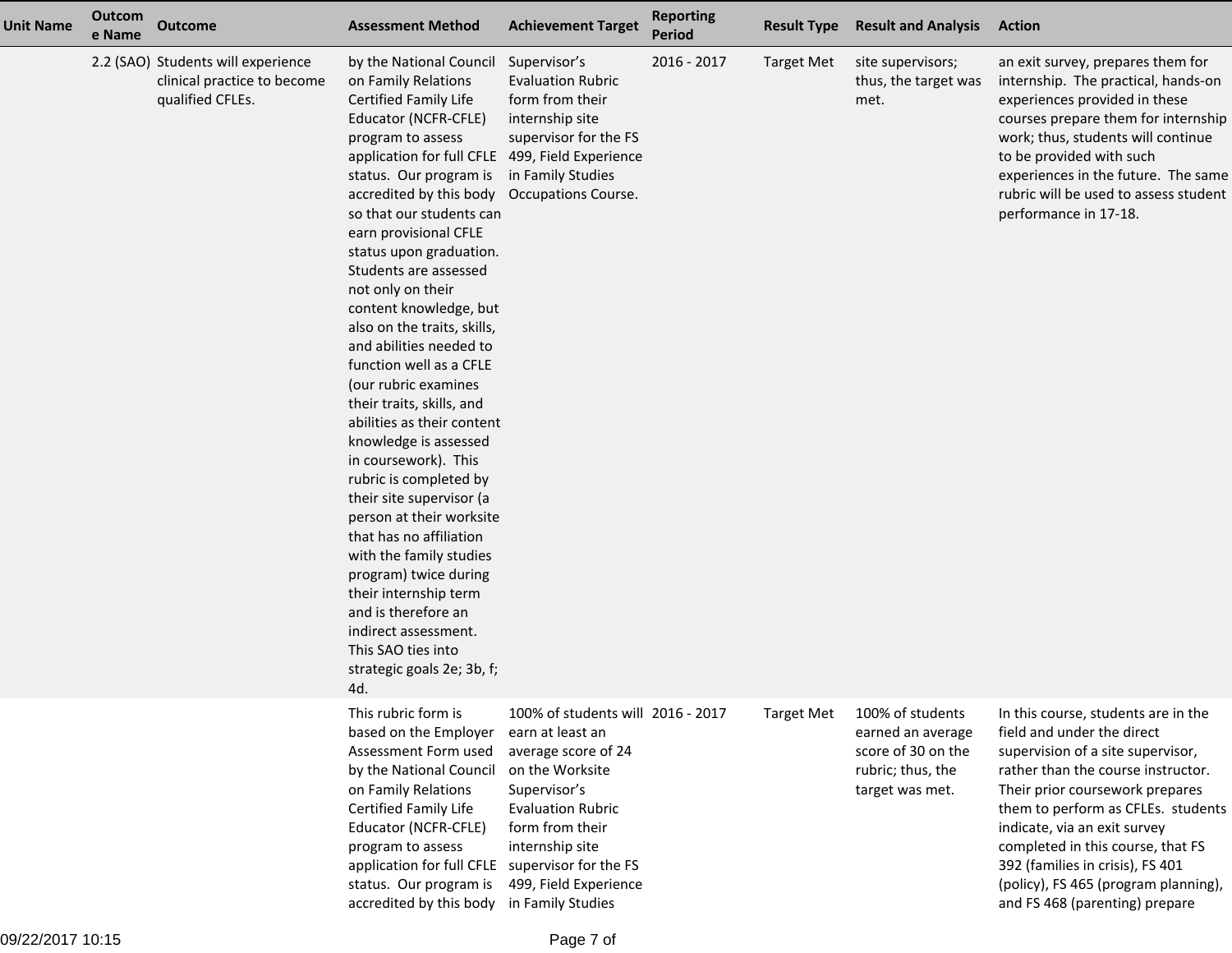| <b>Unit Name</b> | Outcom<br>e Name | <b>Outcome</b>                                                                        | <b>Assessment Method</b>                                                                                                                                                                                                                                                                                                                                                                                                                                                                                                                                                                                                                                                                                                                                                                                                                                                                                         | <b>Achievement Target</b>                                                                                                                                                                                                                                | <b>Reporting</b><br><b>Period</b> | <b>Result Type</b> | <b>Result and Analysis</b>                                                                          | <b>Action</b>                                                                                                                                                                                                                                                                                                                                                                                            |
|------------------|------------------|---------------------------------------------------------------------------------------|------------------------------------------------------------------------------------------------------------------------------------------------------------------------------------------------------------------------------------------------------------------------------------------------------------------------------------------------------------------------------------------------------------------------------------------------------------------------------------------------------------------------------------------------------------------------------------------------------------------------------------------------------------------------------------------------------------------------------------------------------------------------------------------------------------------------------------------------------------------------------------------------------------------|----------------------------------------------------------------------------------------------------------------------------------------------------------------------------------------------------------------------------------------------------------|-----------------------------------|--------------------|-----------------------------------------------------------------------------------------------------|----------------------------------------------------------------------------------------------------------------------------------------------------------------------------------------------------------------------------------------------------------------------------------------------------------------------------------------------------------------------------------------------------------|
|                  |                  | 2.2 (SAO) Students will experience<br>clinical practice to become<br>qualified CFLEs. | by the National Council<br>on Family Relations<br>Certified Family Life<br>Educator (NCFR-CFLE)<br>program to assess<br>application for full CFLE 499, Field Experience<br>status. Our program is<br>accredited by this body<br>so that our students can<br>earn provisional CFLE<br>status upon graduation.<br>Students are assessed<br>not only on their<br>content knowledge, but<br>also on the traits, skills,<br>and abilities needed to<br>function well as a CFLE<br>(our rubric examines<br>their traits, skills, and<br>abilities as their content<br>knowledge is assessed<br>in coursework). This<br>rubric is completed by<br>their site supervisor (a<br>person at their worksite<br>that has no affiliation<br>with the family studies<br>program) twice during<br>their internship term<br>and is therefore an<br>indirect assessment.<br>This SAO ties into<br>strategic goals 2e; 3b, f;<br>4d | Supervisor's<br><b>Evaluation Rubric</b><br>form from their<br>internship site<br>supervisor for the FS<br>in Family Studies<br><b>Occupations Course.</b>                                                                                               | 2016 - 2017                       | <b>Target Met</b>  | site supervisors;<br>thus, the target was<br>met.                                                   | an exit survey, prepares them for<br>internship. The practical, hands-on<br>experiences provided in these<br>courses prepare them for internship<br>work; thus, students will continue<br>to be provided with such<br>experiences in the future. The same<br>rubric will be used to assess student<br>performance in 17-18.                                                                              |
|                  |                  |                                                                                       | This rubric form is<br>based on the Employer<br>Assessment Form used<br>by the National Council<br>on Family Relations<br>Certified Family Life<br>Educator (NCFR-CFLE)<br>program to assess<br>application for full CFLE<br>status. Our program is<br>accredited by this body                                                                                                                                                                                                                                                                                                                                                                                                                                                                                                                                                                                                                                   | 100% of students will 2016 - 2017<br>earn at least an<br>average score of 24<br>on the Worksite<br>Supervisor's<br><b>Evaluation Rubric</b><br>form from their<br>internship site<br>supervisor for the FS<br>499, Field Experience<br>in Family Studies |                                   | <b>Target Met</b>  | 100% of students<br>earned an average<br>score of 30 on the<br>rubric; thus, the<br>target was met. | In this course, students are in the<br>field and under the direct<br>supervision of a site supervisor,<br>rather than the course instructor.<br>Their prior coursework prepares<br>them to perform as CFLEs. students<br>indicate, via an exit survey<br>completed in this course, that FS<br>392 (families in crisis), FS 401<br>(policy), FS 465 (program planning),<br>and FS 468 (parenting) prepare |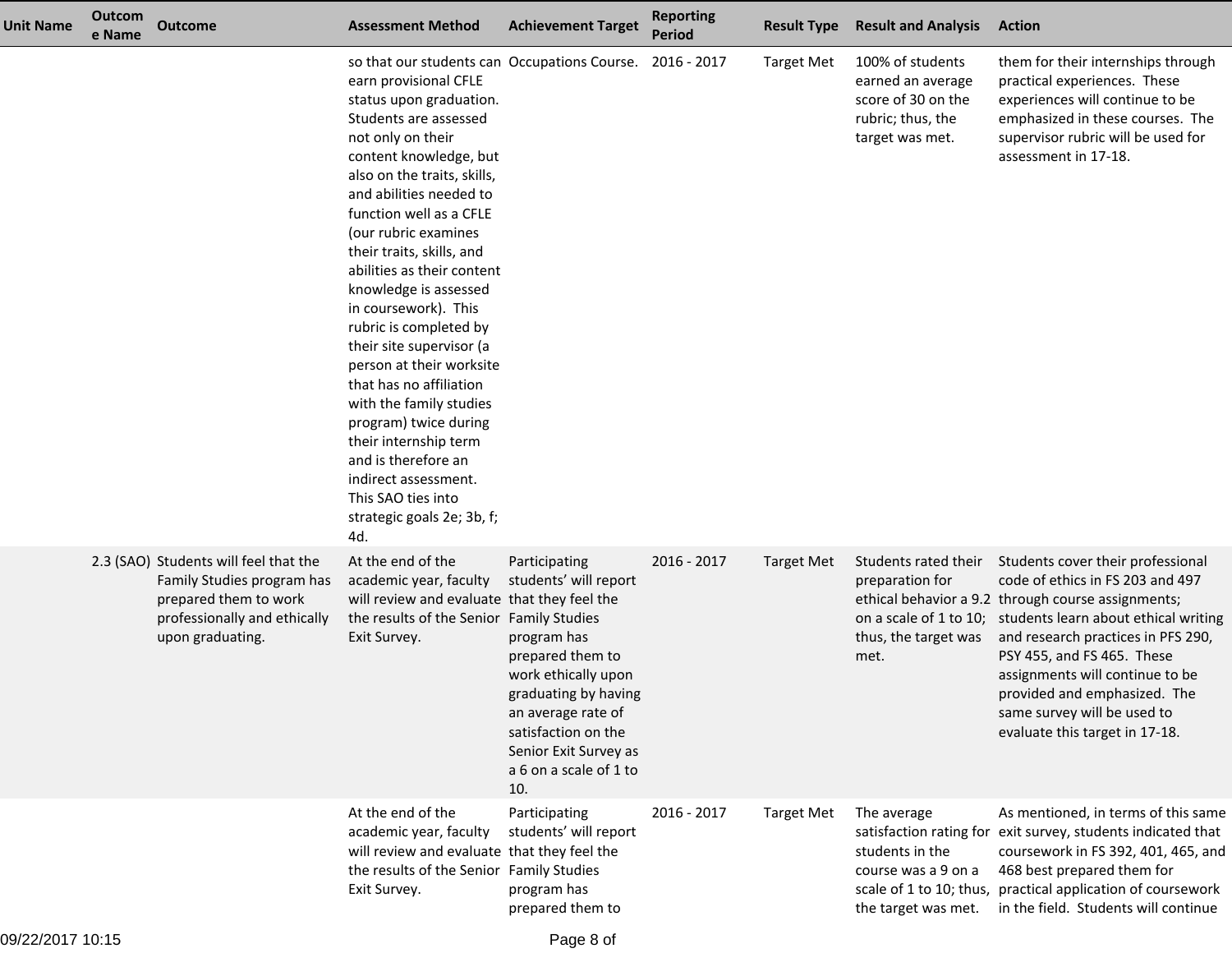| <b>Unit Name</b> | Outcom<br>e Name | <b>Outcome</b>                                                                                                                                   | <b>Assessment Method</b>                                                                                                                                                                                                                                                                                                                                                                                                                                                                                                                                                                                                                                                                                          | <b>Achievement Target</b>                                                                                                                                                                                                       | <b>Reporting</b><br><b>Period</b> | <b>Result Type</b> | <b>Result and Analysis</b>                                                                              | <b>Action</b>                                                                                                                                                                                                                                                                                                                                                               |
|------------------|------------------|--------------------------------------------------------------------------------------------------------------------------------------------------|-------------------------------------------------------------------------------------------------------------------------------------------------------------------------------------------------------------------------------------------------------------------------------------------------------------------------------------------------------------------------------------------------------------------------------------------------------------------------------------------------------------------------------------------------------------------------------------------------------------------------------------------------------------------------------------------------------------------|---------------------------------------------------------------------------------------------------------------------------------------------------------------------------------------------------------------------------------|-----------------------------------|--------------------|---------------------------------------------------------------------------------------------------------|-----------------------------------------------------------------------------------------------------------------------------------------------------------------------------------------------------------------------------------------------------------------------------------------------------------------------------------------------------------------------------|
|                  |                  |                                                                                                                                                  | so that our students can Occupations Course. 2016 - 2017<br>earn provisional CFLE<br>status upon graduation.<br>Students are assessed<br>not only on their<br>content knowledge, but<br>also on the traits, skills,<br>and abilities needed to<br>function well as a CFLE<br>(our rubric examines<br>their traits, skills, and<br>abilities as their content<br>knowledge is assessed<br>in coursework). This<br>rubric is completed by<br>their site supervisor (a<br>person at their worksite<br>that has no affiliation<br>with the family studies<br>program) twice during<br>their internship term<br>and is therefore an<br>indirect assessment.<br>This SAO ties into<br>strategic goals 2e; 3b, f;<br>4d. |                                                                                                                                                                                                                                 |                                   | <b>Target Met</b>  | 100% of students<br>earned an average<br>score of 30 on the<br>rubric; thus, the<br>target was met.     | them for their internships through<br>practical experiences. These<br>experiences will continue to be<br>emphasized in these courses. The<br>supervisor rubric will be used for<br>assessment in 17-18.                                                                                                                                                                     |
|                  |                  | 2.3 (SAO) Students will feel that the<br>Family Studies program has<br>prepared them to work<br>professionally and ethically<br>upon graduating. | At the end of the<br>academic year, faculty<br>will review and evaluate that they feel the<br>the results of the Senior Family Studies<br>Exit Survey.                                                                                                                                                                                                                                                                                                                                                                                                                                                                                                                                                            | Participating<br>students' will report<br>program has<br>prepared them to<br>work ethically upon<br>graduating by having<br>an average rate of<br>satisfaction on the<br>Senior Exit Survey as<br>a 6 on a scale of 1 to<br>10. | 2016 - 2017                       | <b>Target Met</b>  | Students rated their<br>preparation for<br>on a scale of 1 to 10;<br>thus, the target was<br>met.       | Students cover their professional<br>code of ethics in FS 203 and 497<br>ethical behavior a 9.2 through course assignments;<br>students learn about ethical writing<br>and research practices in PFS 290,<br>PSY 455, and FS 465. These<br>assignments will continue to be<br>provided and emphasized. The<br>same survey will be used to<br>evaluate this target in 17-18. |
|                  |                  |                                                                                                                                                  | At the end of the<br>academic year, faculty<br>will review and evaluate that they feel the<br>the results of the Senior Family Studies<br>Exit Survey.                                                                                                                                                                                                                                                                                                                                                                                                                                                                                                                                                            | Participating<br>students' will report<br>program has<br>prepared them to                                                                                                                                                       | 2016 - 2017                       | <b>Target Met</b>  | The average<br>students in the<br>course was a 9 on a<br>scale of 1 to 10; thus,<br>the target was met. | As mentioned, in terms of this same<br>satisfaction rating for exit survey, students indicated that<br>coursework in FS 392, 401, 465, and<br>468 best prepared them for<br>practical application of coursework<br>in the field. Students will continue                                                                                                                     |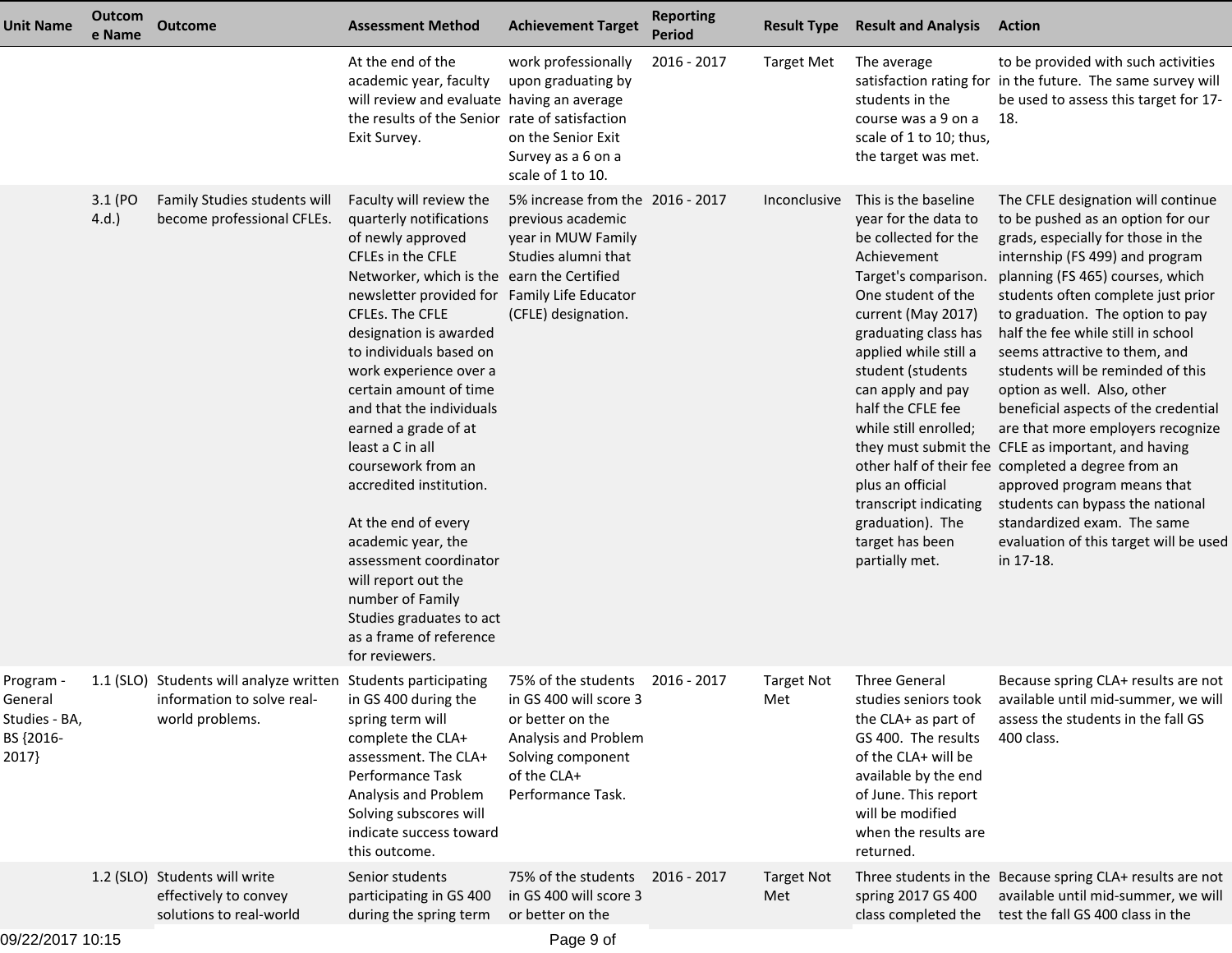| <b>Unit Name</b>                                            | Outcom<br>e Name | <b>Outcome</b>                                                                                                  | <b>Assessment Method</b>                                                                                                                                                                                                                                                                                                                                                                                                                                                                                                                                                                                                                   | <b>Achievement Target</b>                                                                                                                          | <b>Reporting</b><br><b>Period</b> | <b>Result Type</b>       | <b>Result and Analysis</b>                                                                                                                                                                                                                                                                                                                                                                             | <b>Action</b>                                                                                                                                                                                                                                                                                                                                                                                                                                                                                                                                                                                                                                                                                                                                               |
|-------------------------------------------------------------|------------------|-----------------------------------------------------------------------------------------------------------------|--------------------------------------------------------------------------------------------------------------------------------------------------------------------------------------------------------------------------------------------------------------------------------------------------------------------------------------------------------------------------------------------------------------------------------------------------------------------------------------------------------------------------------------------------------------------------------------------------------------------------------------------|----------------------------------------------------------------------------------------------------------------------------------------------------|-----------------------------------|--------------------------|--------------------------------------------------------------------------------------------------------------------------------------------------------------------------------------------------------------------------------------------------------------------------------------------------------------------------------------------------------------------------------------------------------|-------------------------------------------------------------------------------------------------------------------------------------------------------------------------------------------------------------------------------------------------------------------------------------------------------------------------------------------------------------------------------------------------------------------------------------------------------------------------------------------------------------------------------------------------------------------------------------------------------------------------------------------------------------------------------------------------------------------------------------------------------------|
|                                                             |                  |                                                                                                                 | At the end of the<br>academic year, faculty<br>will review and evaluate having an average<br>the results of the Senior rate of satisfaction<br>Exit Survey.                                                                                                                                                                                                                                                                                                                                                                                                                                                                                | work professionally<br>upon graduating by<br>on the Senior Exit<br>Survey as a 6 on a<br>scale of 1 to 10.                                         | 2016 - 2017                       | <b>Target Met</b>        | The average<br>students in the<br>course was a 9 on a<br>scale of 1 to 10; thus,<br>the target was met.                                                                                                                                                                                                                                                                                                | to be provided with such activities<br>satisfaction rating for in the future. The same survey will<br>be used to assess this target for 17-<br>18.                                                                                                                                                                                                                                                                                                                                                                                                                                                                                                                                                                                                          |
|                                                             | 3.1 (PO<br>4.d.  | Family Studies students will<br>become professional CFLEs.                                                      | Faculty will review the<br>quarterly notifications<br>of newly approved<br>CFLEs in the CFLE<br>Networker, which is the earn the Certified<br>newsletter provided for Family Life Educator<br>CFLEs. The CFLE<br>designation is awarded<br>to individuals based on<br>work experience over a<br>certain amount of time<br>and that the individuals<br>earned a grade of at<br>least a C in all<br>coursework from an<br>accredited institution.<br>At the end of every<br>academic year, the<br>assessment coordinator<br>will report out the<br>number of Family<br>Studies graduates to act<br>as a frame of reference<br>for reviewers. | 5% increase from the 2016 - 2017<br>previous academic<br>year in MUW Family<br>Studies alumni that<br>(CFLE) designation.                          |                                   | <i>Inconclusive</i>      | This is the baseline<br>year for the data to<br>be collected for the<br>Achievement<br>Target's comparison.<br>One student of the<br>current (May 2017)<br>graduating class has<br>applied while still a<br>student (students<br>can apply and pay<br>half the CFLE fee<br>while still enrolled;<br>plus an official<br>transcript indicating<br>graduation). The<br>target has been<br>partially met. | The CFLE designation will continue<br>to be pushed as an option for our<br>grads, especially for those in the<br>internship (FS 499) and program<br>planning (FS 465) courses, which<br>students often complete just prior<br>to graduation. The option to pay<br>half the fee while still in school<br>seems attractive to them, and<br>students will be reminded of this<br>option as well. Also, other<br>beneficial aspects of the credential<br>are that more employers recognize<br>they must submit the CFLE as important, and having<br>other half of their fee completed a degree from an<br>approved program means that<br>students can bypass the national<br>standardized exam. The same<br>evaluation of this target will be used<br>in 17-18. |
| Program -<br>General<br>Studies - BA,<br>BS {2016-<br>2017} |                  | 1.1 (SLO) Students will analyze written Students participating<br>information to solve real-<br>world problems. | in GS 400 during the<br>spring term will<br>complete the CLA+<br>assessment. The CLA+<br>Performance Task<br>Analysis and Problem<br>Solving subscores will<br>indicate success toward<br>this outcome.                                                                                                                                                                                                                                                                                                                                                                                                                                    | 75% of the students<br>in GS 400 will score 3<br>or better on the<br>Analysis and Problem<br>Solving component<br>of the CLA+<br>Performance Task. | 2016 - 2017                       | <b>Target Not</b><br>Met | <b>Three General</b><br>studies seniors took<br>the CLA+ as part of<br>GS 400. The results<br>of the CLA+ will be<br>available by the end<br>of June. This report<br>will be modified<br>when the results are<br>returned.                                                                                                                                                                             | Because spring CLA+ results are not<br>available until mid-summer, we will<br>assess the students in the fall GS<br>400 class.                                                                                                                                                                                                                                                                                                                                                                                                                                                                                                                                                                                                                              |
|                                                             |                  | 1.2 (SLO) Students will write<br>effectively to convey<br>solutions to real-world                               | Senior students<br>participating in GS 400<br>during the spring term                                                                                                                                                                                                                                                                                                                                                                                                                                                                                                                                                                       | 75% of the students<br>in GS 400 will score 3<br>or better on the                                                                                  | 2016 - 2017                       | <b>Target Not</b><br>Met | spring 2017 GS 400<br>class completed the                                                                                                                                                                                                                                                                                                                                                              | Three students in the Because spring CLA+ results are not<br>available until mid-summer, we will<br>test the fall GS 400 class in the                                                                                                                                                                                                                                                                                                                                                                                                                                                                                                                                                                                                                       |
| 09/22/2017 10:15                                            |                  |                                                                                                                 |                                                                                                                                                                                                                                                                                                                                                                                                                                                                                                                                                                                                                                            | Page 9 of                                                                                                                                          |                                   |                          |                                                                                                                                                                                                                                                                                                                                                                                                        |                                                                                                                                                                                                                                                                                                                                                                                                                                                                                                                                                                                                                                                                                                                                                             |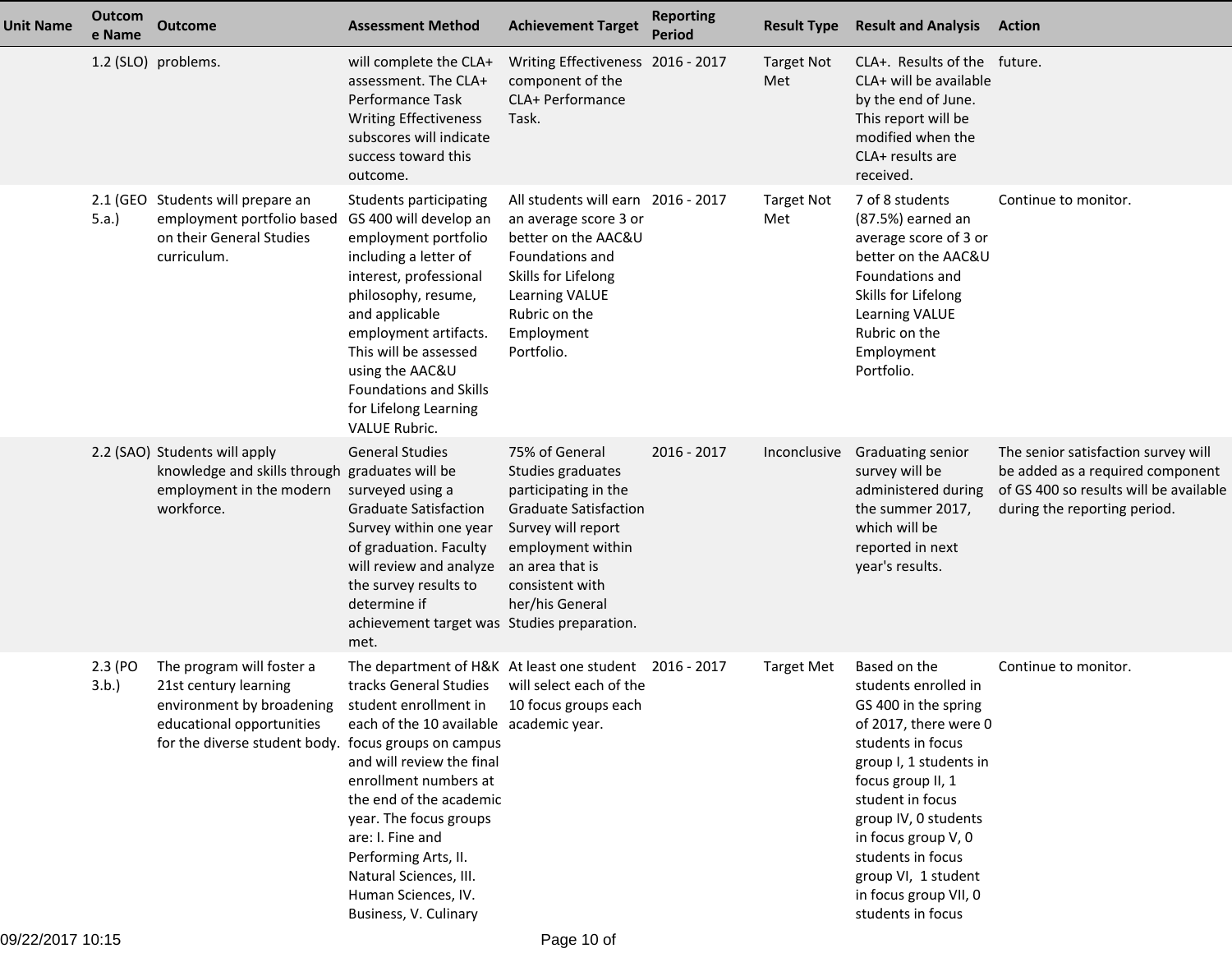| <b>Unit Name</b> | Outcom<br>e Name | <b>Outcome</b>                                                                                                                                                       | <b>Assessment Method</b>                                                                                                                                                                                                                                                                                                                                                              | <b>Achievement Target</b>                                                                                                                                                                       | <b>Reporting</b><br><b>Period</b> | <b>Result Type</b>       | <b>Result and Analysis</b>                                                                                                                                                                                                                                                                                             | <b>Action</b>                                                                                                                                     |
|------------------|------------------|----------------------------------------------------------------------------------------------------------------------------------------------------------------------|---------------------------------------------------------------------------------------------------------------------------------------------------------------------------------------------------------------------------------------------------------------------------------------------------------------------------------------------------------------------------------------|-------------------------------------------------------------------------------------------------------------------------------------------------------------------------------------------------|-----------------------------------|--------------------------|------------------------------------------------------------------------------------------------------------------------------------------------------------------------------------------------------------------------------------------------------------------------------------------------------------------------|---------------------------------------------------------------------------------------------------------------------------------------------------|
|                  |                  | 1.2 (SLO) problems.                                                                                                                                                  | will complete the CLA+<br>assessment. The CLA+<br>Performance Task<br><b>Writing Effectiveness</b><br>subscores will indicate<br>success toward this<br>outcome.                                                                                                                                                                                                                      | Writing Effectiveness 2016 - 2017<br>component of the<br>CLA+ Performance<br>Task.                                                                                                              |                                   | <b>Target Not</b><br>Met | CLA+. Results of the future.<br>CLA+ will be available<br>by the end of June.<br>This report will be<br>modified when the<br>CLA+ results are<br>received.                                                                                                                                                             |                                                                                                                                                   |
|                  | 5.a.             | 2.1 (GEO Students will prepare an<br>employment portfolio based<br>on their General Studies<br>curriculum.                                                           | Students participating<br>GS 400 will develop an<br>employment portfolio<br>including a letter of<br>interest, professional<br>philosophy, resume,<br>and applicable<br>employment artifacts.<br>This will be assessed<br>using the AAC&U<br><b>Foundations and Skills</b><br>for Lifelong Learning<br><b>VALUE Rubric.</b>                                                           | All students will earn 2016 - 2017<br>an average score 3 or<br>better on the AAC&U<br>Foundations and<br>Skills for Lifelong<br>Learning VALUE<br>Rubric on the<br>Employment<br>Portfolio.     |                                   | <b>Target Not</b><br>Met | 7 of 8 students<br>(87.5%) earned an<br>average score of 3 or<br>better on the AAC&U<br><b>Foundations and</b><br>Skills for Lifelong<br><b>Learning VALUE</b><br>Rubric on the<br>Employment<br>Portfolio.                                                                                                            | Continue to monitor.                                                                                                                              |
|                  |                  | 2.2 (SAO) Students will apply<br>knowledge and skills through graduates will be<br>employment in the modern<br>workforce.                                            | <b>General Studies</b><br>surveyed using a<br><b>Graduate Satisfaction</b><br>Survey within one year<br>of graduation. Faculty<br>will review and analyze<br>the survey results to<br>determine if<br>achievement target was Studies preparation.<br>met.                                                                                                                             | 75% of General<br>Studies graduates<br>participating in the<br><b>Graduate Satisfaction</b><br>Survey will report<br>employment within<br>an area that is<br>consistent with<br>her/his General | $2016 - 2017$                     | Inconclusive             | Graduating senior<br>survey will be<br>administered during<br>the summer 2017,<br>which will be<br>reported in next<br>year's results.                                                                                                                                                                                 | The senior satisfaction survey will<br>be added as a required component<br>of GS 400 so results will be available<br>during the reporting period. |
|                  | 2.3 (PO<br>3.b.) | The program will foster a<br>21st century learning<br>environment by broadening<br>educational opportunities<br>for the diverse student body. focus groups on campus | The department of H&K At least one student 2016 - 2017<br>tracks General Studies<br>student enrollment in<br>each of the 10 available academic year.<br>and will review the final<br>enrollment numbers at<br>the end of the academic<br>year. The focus groups<br>are: I. Fine and<br>Performing Arts, II.<br>Natural Sciences, III.<br>Human Sciences, IV.<br>Business, V. Culinary | will select each of the<br>10 focus groups each                                                                                                                                                 |                                   | <b>Target Met</b>        | Based on the<br>students enrolled in<br>GS 400 in the spring<br>of 2017, there were 0<br>students in focus<br>group I, 1 students in<br>focus group II, 1<br>student in focus<br>group IV, 0 students<br>in focus group V, 0<br>students in focus<br>group VI, 1 student<br>in focus group VII, 0<br>students in focus | Continue to monitor.                                                                                                                              |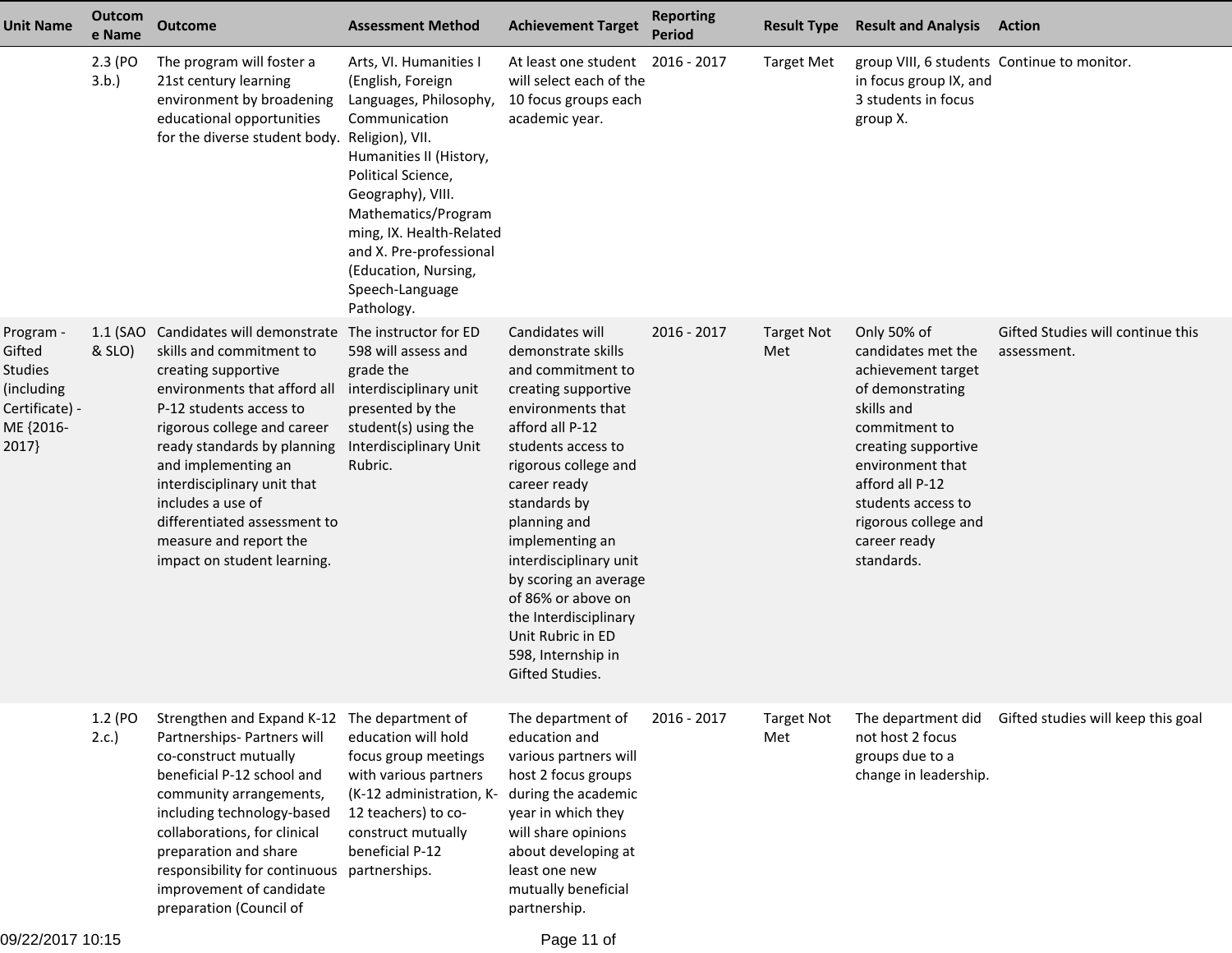| <b>Unit Name</b>                                                                            | <b>Outcom</b><br>e Name | <b>Outcome</b>                                                                                                                                                                                                                                                                                                                                                              | <b>Assessment Method</b>                                                                                                                                                                                                                                                                                               | <b>Achievement Target</b>                                                                                                                                                                                                                                                                                                                                                                                  | <b>Reporting</b><br><b>Period</b> | <b>Result Type</b>       | <b>Result and Analysis</b>                                                                                                                                                                                                                           | <b>Action</b>                                    |
|---------------------------------------------------------------------------------------------|-------------------------|-----------------------------------------------------------------------------------------------------------------------------------------------------------------------------------------------------------------------------------------------------------------------------------------------------------------------------------------------------------------------------|------------------------------------------------------------------------------------------------------------------------------------------------------------------------------------------------------------------------------------------------------------------------------------------------------------------------|------------------------------------------------------------------------------------------------------------------------------------------------------------------------------------------------------------------------------------------------------------------------------------------------------------------------------------------------------------------------------------------------------------|-----------------------------------|--------------------------|------------------------------------------------------------------------------------------------------------------------------------------------------------------------------------------------------------------------------------------------------|--------------------------------------------------|
|                                                                                             | 2.3 (PO<br>3.b.)        | The program will foster a<br>21st century learning<br>environment by broadening<br>educational opportunities<br>for the diverse student body.                                                                                                                                                                                                                               | Arts, VI. Humanities I<br>(English, Foreign<br>Languages, Philosophy,<br>Communication<br>Religion), VII.<br>Humanities II (History,<br>Political Science,<br>Geography), VIII.<br>Mathematics/Program<br>ming, IX. Health-Related<br>and X. Pre-professional<br>(Education, Nursing,<br>Speech-Language<br>Pathology. | At least one student<br>will select each of the<br>10 focus groups each<br>academic year.                                                                                                                                                                                                                                                                                                                  | 2016 - 2017                       | <b>Target Met</b>        | group VIII, 6 students Continue to monitor.<br>in focus group IX, and<br>3 students in focus<br>group X.                                                                                                                                             |                                                  |
| Program -<br>Gifted<br><b>Studies</b><br>(including<br>Certificate) -<br>ME {2016-<br>2017} | 1.1 (SAO<br>& SLO)      | Candidates will demonstrate<br>skills and commitment to<br>creating supportive<br>environments that afford all<br>P-12 students access to<br>rigorous college and career<br>ready standards by planning<br>and implementing an<br>interdisciplinary unit that<br>includes a use of<br>differentiated assessment to<br>measure and report the<br>impact on student learning. | The instructor for ED<br>598 will assess and<br>grade the<br>interdisciplinary unit<br>presented by the<br>student(s) using the<br>Interdisciplinary Unit<br>Rubric.                                                                                                                                                   | Candidates will<br>demonstrate skills<br>and commitment to<br>creating supportive<br>environments that<br>afford all P-12<br>students access to<br>rigorous college and<br>career ready<br>standards by<br>planning and<br>implementing an<br>interdisciplinary unit<br>by scoring an average<br>of 86% or above on<br>the Interdisciplinary<br>Unit Rubric in ED<br>598, Internship in<br>Gifted Studies. | 2016 - 2017                       | <b>Target Not</b><br>Met | Only 50% of<br>candidates met the<br>achievement target<br>of demonstrating<br>skills and<br>commitment to<br>creating supportive<br>environment that<br>afford all P-12<br>students access to<br>rigorous college and<br>career ready<br>standards. | Gifted Studies will continue this<br>assessment. |
|                                                                                             | 1.2 (PO<br>2.c.         | Strengthen and Expand K-12 The department of<br>Partnerships- Partners will<br>co-construct mutually<br>beneficial P-12 school and<br>community arrangements,<br>including technology-based<br>collaborations, for clinical<br>preparation and share<br>responsibility for continuous<br>improvement of candidate<br>preparation (Council of                                | education will hold<br>focus group meetings<br>with various partners<br>(K-12 administration, K-<br>12 teachers) to co-<br>construct mutually<br>beneficial P-12<br>partnerships.                                                                                                                                      | The department of<br>education and<br>various partners will<br>host 2 focus groups<br>during the academic<br>year in which they<br>will share opinions<br>about developing at<br>least one new<br>mutually beneficial<br>partnership.                                                                                                                                                                      | 2016 - 2017                       | <b>Target Not</b><br>Met | The department did<br>not host 2 focus<br>groups due to a<br>change in leadership.                                                                                                                                                                   | Gifted studies will keep this goal               |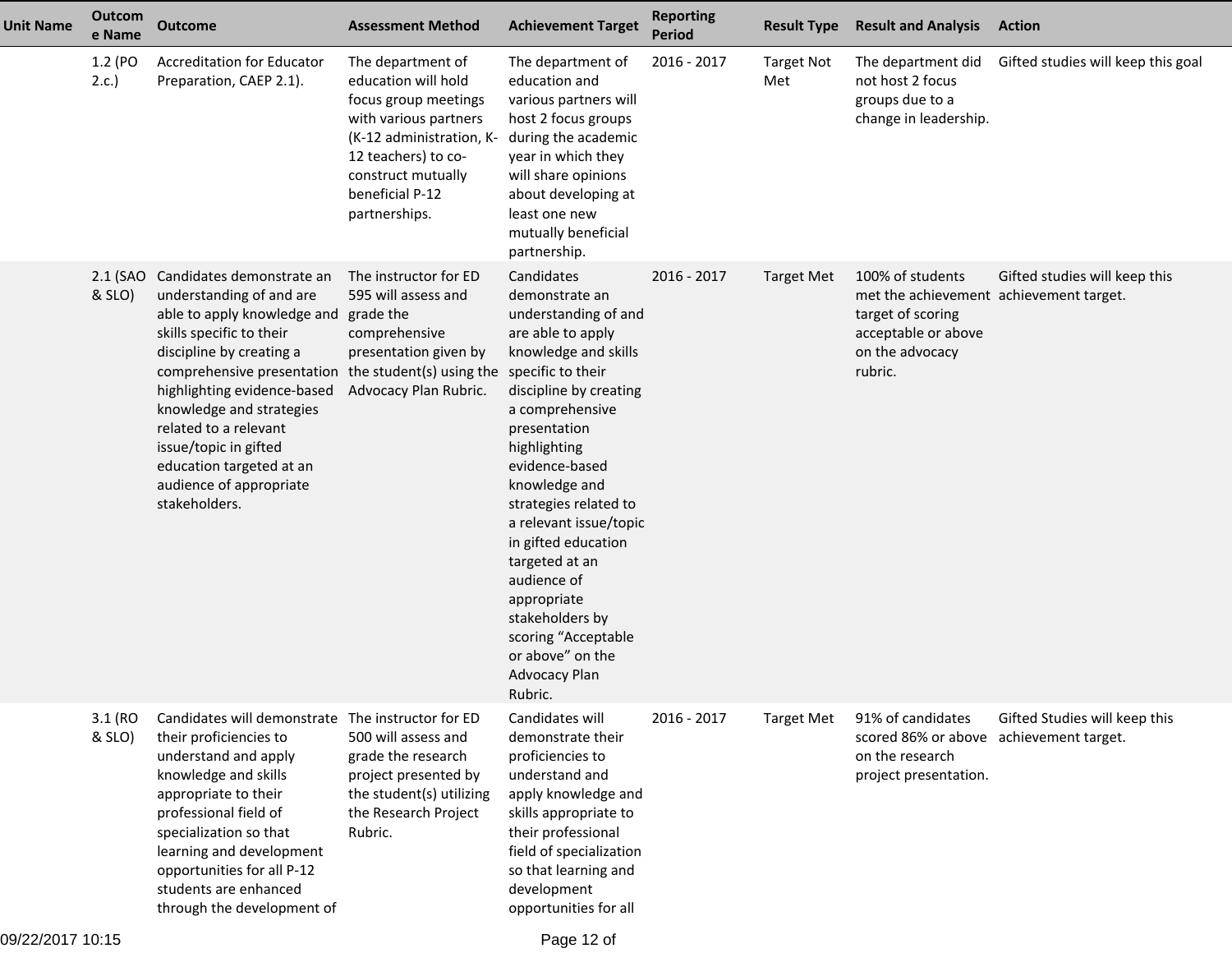| <b>Unit Name</b> | <b>Outcom</b><br>e Name | <b>Outcome</b>                                                                                                                                                                                                                                                                                                                                                           | <b>Assessment Method</b>                                                                                                                                                                               | <b>Achievement Target</b>                                                                                                                                                                                                                                                                                                                                                                                                                    | <b>Reporting</b><br><b>Period</b> | <b>Result Type</b>       | <b>Result and Analysis</b>                                                                                                            | <b>Action</b>                      |
|------------------|-------------------------|--------------------------------------------------------------------------------------------------------------------------------------------------------------------------------------------------------------------------------------------------------------------------------------------------------------------------------------------------------------------------|--------------------------------------------------------------------------------------------------------------------------------------------------------------------------------------------------------|----------------------------------------------------------------------------------------------------------------------------------------------------------------------------------------------------------------------------------------------------------------------------------------------------------------------------------------------------------------------------------------------------------------------------------------------|-----------------------------------|--------------------------|---------------------------------------------------------------------------------------------------------------------------------------|------------------------------------|
|                  | 1.2 (PO<br>2.c.         | <b>Accreditation for Educator</b><br>Preparation, CAEP 2.1).                                                                                                                                                                                                                                                                                                             | The department of<br>education will hold<br>focus group meetings<br>with various partners<br>(K-12 administration, K-<br>12 teachers) to co-<br>construct mutually<br>beneficial P-12<br>partnerships. | The department of<br>education and<br>various partners will<br>host 2 focus groups<br>during the academic<br>year in which they<br>will share opinions<br>about developing at<br>least one new<br>mutually beneficial<br>partnership.                                                                                                                                                                                                        | 2016 - 2017                       | <b>Target Not</b><br>Met | The department did<br>not host 2 focus<br>groups due to a<br>change in leadership.                                                    | Gifted studies will keep this goal |
|                  | & SLO)                  | 2.1 (SAO Candidates demonstrate an<br>understanding of and are<br>able to apply knowledge and<br>skills specific to their<br>discipline by creating a<br>comprehensive presentation<br>highlighting evidence-based<br>knowledge and strategies<br>related to a relevant<br>issue/topic in gifted<br>education targeted at an<br>audience of appropriate<br>stakeholders. | The instructor for ED<br>595 will assess and<br>grade the<br>comprehensive<br>presentation given by<br>the student(s) using the specific to their<br>Advocacy Plan Rubric.                             | Candidates<br>demonstrate an<br>understanding of and<br>are able to apply<br>knowledge and skills<br>discipline by creating<br>a comprehensive<br>presentation<br>highlighting<br>evidence-based<br>knowledge and<br>strategies related to<br>a relevant issue/topic<br>in gifted education<br>targeted at an<br>audience of<br>appropriate<br>stakeholders by<br>scoring "Acceptable<br>or above" on the<br><b>Advocacy Plan</b><br>Rubric. | 2016 - 2017                       | <b>Target Met</b>        | 100% of students<br>met the achievement achievement target.<br>target of scoring<br>acceptable or above<br>on the advocacy<br>rubric. | Gifted studies will keep this      |
|                  | 3.1 (RO<br>& SLO)       | Candidates will demonstrate The instructor for ED<br>their proficiencies to<br>understand and apply<br>knowledge and skills<br>appropriate to their<br>professional field of<br>specialization so that<br>learning and development<br>opportunities for all P-12<br>students are enhanced<br>through the development of                                                  | 500 will assess and<br>grade the research<br>project presented by<br>the student(s) utilizing<br>the Research Project<br>Rubric.                                                                       | Candidates will<br>demonstrate their<br>proficiencies to<br>understand and<br>apply knowledge and<br>skills appropriate to<br>their professional<br>field of specialization<br>so that learning and<br>development<br>opportunities for all                                                                                                                                                                                                  | $2016 - 2017$                     | <b>Target Met</b>        | 91% of candidates<br>scored 86% or above achievement target.<br>on the research<br>project presentation.                              | Gifted Studies will keep this      |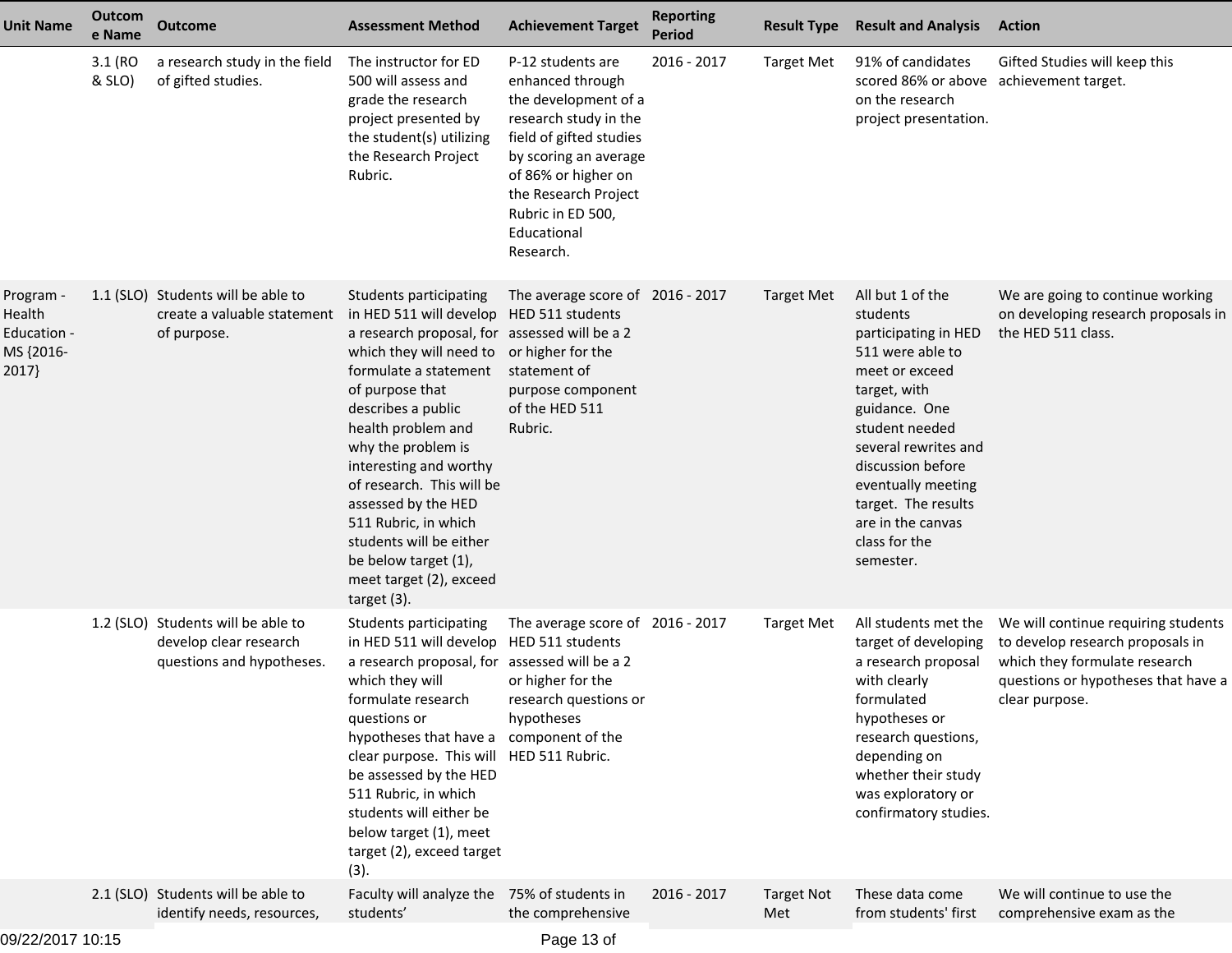| <b>Unit Name</b>                                         | Outcom<br>e Name  | <b>Outcome</b>                                                                            | <b>Assessment Method</b>                                                                                                                                                                                                                                                                                                                                                                                                                       | <b>Achievement Target</b>                                                                                                                                                                                                                  | <b>Reporting</b><br><b>Period</b> | <b>Result Type</b>       | <b>Result and Analysis</b>                                                                                                                                                                                                                                                                 | <b>Action</b>                                                                                                                                                     |
|----------------------------------------------------------|-------------------|-------------------------------------------------------------------------------------------|------------------------------------------------------------------------------------------------------------------------------------------------------------------------------------------------------------------------------------------------------------------------------------------------------------------------------------------------------------------------------------------------------------------------------------------------|--------------------------------------------------------------------------------------------------------------------------------------------------------------------------------------------------------------------------------------------|-----------------------------------|--------------------------|--------------------------------------------------------------------------------------------------------------------------------------------------------------------------------------------------------------------------------------------------------------------------------------------|-------------------------------------------------------------------------------------------------------------------------------------------------------------------|
|                                                          | 3.1 (RO<br>& SLO) | a research study in the field<br>of gifted studies.                                       | The instructor for ED<br>500 will assess and<br>grade the research<br>project presented by<br>the student(s) utilizing<br>the Research Project<br>Rubric.                                                                                                                                                                                                                                                                                      | P-12 students are<br>enhanced through<br>the development of a<br>research study in the<br>field of gifted studies<br>by scoring an average<br>of 86% or higher on<br>the Research Project<br>Rubric in ED 500,<br>Educational<br>Research. | 2016 - 2017                       | <b>Target Met</b>        | 91% of candidates<br>scored 86% or above achievement target.<br>on the research<br>project presentation.                                                                                                                                                                                   | Gifted Studies will keep this                                                                                                                                     |
| Program -<br>Health<br>Education -<br>MS {2016-<br>2017} |                   | 1.1 (SLO) Students will be able to<br>create a valuable statement<br>of purpose.          | Students participating<br>in HED 511 will develop<br>a research proposal, for assessed will be a 2<br>which they will need to<br>formulate a statement<br>of purpose that<br>describes a public<br>health problem and<br>why the problem is<br>interesting and worthy<br>of research. This will be<br>assessed by the HED<br>511 Rubric, in which<br>students will be either<br>be below target (1),<br>meet target (2), exceed<br>target (3). | The average score of 2016 - 2017<br>HED 511 students<br>or higher for the<br>statement of<br>purpose component<br>of the HED 511<br>Rubric.                                                                                                |                                   | <b>Target Met</b>        | All but 1 of the<br>students<br>participating in HED<br>511 were able to<br>meet or exceed<br>target, with<br>guidance. One<br>student needed<br>several rewrites and<br>discussion before<br>eventually meeting<br>target. The results<br>are in the canvas<br>class for the<br>semester. | We are going to continue working<br>on developing research proposals in<br>the HED 511 class.                                                                     |
|                                                          |                   | 1.2 (SLO) Students will be able to<br>develop clear research<br>questions and hypotheses. | <b>Students participating</b><br>in HED 511 will develop<br>a research proposal, for assessed will be a 2<br>which they will<br>formulate research<br>questions or<br>hypotheses that have a<br>clear purpose. This will<br>be assessed by the HED<br>511 Rubric, in which<br>students will either be<br>below target (1), meet<br>target (2), exceed target<br>(3).                                                                           | The average score of 2016 - 2017<br>HED 511 students<br>or higher for the<br>research questions or<br>hypotheses<br>component of the<br>HED 511 Rubric.                                                                                    |                                   | <b>Target Met</b>        | All students met the<br>target of developing<br>a research proposal<br>with clearly<br>formulated<br>hypotheses or<br>research questions,<br>depending on<br>whether their study<br>was exploratory or<br>confirmatory studies.                                                            | We will continue requiring students<br>to develop research proposals in<br>which they formulate research<br>questions or hypotheses that have a<br>clear purpose. |
|                                                          |                   | 2.1 (SLO) Students will be able to<br>identify needs, resources,                          | Faculty will analyze the<br>students'                                                                                                                                                                                                                                                                                                                                                                                                          | 75% of students in<br>the comprehensive                                                                                                                                                                                                    | 2016 - 2017                       | <b>Target Not</b><br>Met | These data come<br>from students' first                                                                                                                                                                                                                                                    | We will continue to use the<br>comprehensive exam as the                                                                                                          |
|                                                          |                   |                                                                                           |                                                                                                                                                                                                                                                                                                                                                                                                                                                |                                                                                                                                                                                                                                            |                                   |                          |                                                                                                                                                                                                                                                                                            |                                                                                                                                                                   |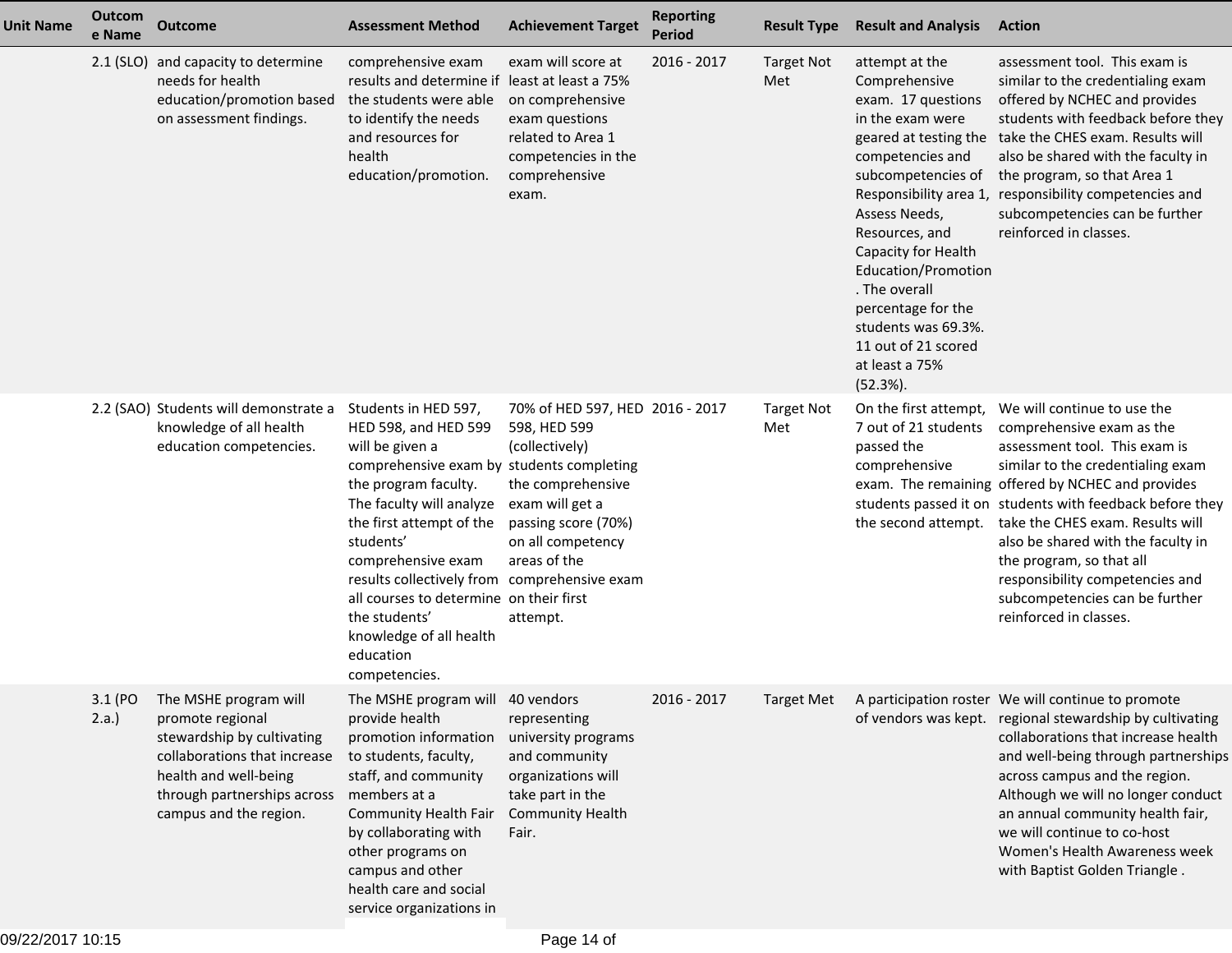| <b>Unit Name</b> | Outcom<br>e Name | <b>Outcome</b>                                                                                                                                                                                    | <b>Assessment Method</b>                                                                                                                                                                                                                                                                                                                                                                             | <b>Achievement Target</b>                                                                                                                                                         | <b>Reporting</b><br><b>Period</b> | <b>Result Type</b>       | <b>Result and Analysis</b>                                                                                                                                                                                                                                                                                                                          | <b>Action</b>                                                                                                                                                                                                                                                                                                                                                                                                                                        |
|------------------|------------------|---------------------------------------------------------------------------------------------------------------------------------------------------------------------------------------------------|------------------------------------------------------------------------------------------------------------------------------------------------------------------------------------------------------------------------------------------------------------------------------------------------------------------------------------------------------------------------------------------------------|-----------------------------------------------------------------------------------------------------------------------------------------------------------------------------------|-----------------------------------|--------------------------|-----------------------------------------------------------------------------------------------------------------------------------------------------------------------------------------------------------------------------------------------------------------------------------------------------------------------------------------------------|------------------------------------------------------------------------------------------------------------------------------------------------------------------------------------------------------------------------------------------------------------------------------------------------------------------------------------------------------------------------------------------------------------------------------------------------------|
|                  | $2.1$ (SLO)      | and capacity to determine<br>needs for health<br>education/promotion based<br>on assessment findings.                                                                                             | comprehensive exam<br>results and determine if least at least a 75%<br>the students were able<br>to identify the needs<br>and resources for<br>health<br>education/promotion.                                                                                                                                                                                                                        | exam will score at<br>on comprehensive<br>exam questions<br>related to Area 1<br>competencies in the<br>comprehensive<br>exam.                                                    | 2016 - 2017                       | <b>Target Not</b><br>Met | attempt at the<br>Comprehensive<br>exam. 17 questions<br>in the exam were<br>geared at testing the<br>competencies and<br>subcompetencies of<br>Assess Needs,<br>Resources, and<br>Capacity for Health<br>Education/Promotion<br>. The overall<br>percentage for the<br>students was 69.3%.<br>11 out of 21 scored<br>at least a 75%<br>$(52.3%)$ . | assessment tool. This exam is<br>similar to the credentialing exam<br>offered by NCHEC and provides<br>students with feedback before they<br>take the CHES exam. Results will<br>also be shared with the faculty in<br>the program, so that Area 1<br>Responsibility area 1, responsibility competencies and<br>subcompetencies can be further<br>reinforced in classes.                                                                             |
|                  |                  | 2.2 (SAO) Students will demonstrate a<br>knowledge of all health<br>education competencies.                                                                                                       | Students in HED 597,<br>HED 598, and HED 599<br>will be given a<br>comprehensive exam by students completing<br>the program faculty.<br>The faculty will analyze<br>the first attempt of the<br>students'<br>comprehensive exam<br>results collectively from comprehensive exam<br>all courses to determine on their first<br>the students'<br>knowledge of all health<br>education<br>competencies. | 70% of HED 597, HED 2016 - 2017<br>598, HED 599<br>(collectively)<br>the comprehensive<br>exam will get a<br>passing score (70%)<br>on all competency<br>areas of the<br>attempt. |                                   | <b>Target Not</b><br>Met | On the first attempt,<br>7 out of 21 students<br>passed the<br>comprehensive<br>the second attempt.                                                                                                                                                                                                                                                 | We will continue to use the<br>comprehensive exam as the<br>assessment tool. This exam is<br>similar to the credentialing exam<br>exam. The remaining offered by NCHEC and provides<br>students passed it on students with feedback before they<br>take the CHES exam. Results will<br>also be shared with the faculty in<br>the program, so that all<br>responsibility competencies and<br>subcompetencies can be further<br>reinforced in classes. |
|                  | $2.a.$ )         | 3.1 (PO The MSHE program will<br>promote regional<br>stewardship by cultivating<br>collaborations that increase<br>health and well-being<br>through partnerships across<br>campus and the region. | The MSHE program will 40 vendors<br>provide health<br>promotion information<br>to students, faculty,<br>staff, and community<br>members at a<br><b>Community Health Fair</b><br>by collaborating with<br>other programs on<br>campus and other<br>health care and social<br>service organizations in                                                                                                 | representing<br>university programs<br>and community<br>organizations will<br>take part in the<br><b>Community Health</b><br>Fair.                                                | 2016 - 2017                       |                          |                                                                                                                                                                                                                                                                                                                                                     | Target Met A participation roster We will continue to promote<br>of vendors was kept. regional stewardship by cultivating<br>collaborations that increase health<br>and well-being through partnerships<br>across campus and the region.<br>Although we will no longer conduct<br>an annual community health fair,<br>we will continue to co-host<br>Women's Health Awareness week<br>with Baptist Golden Triangle.                                  |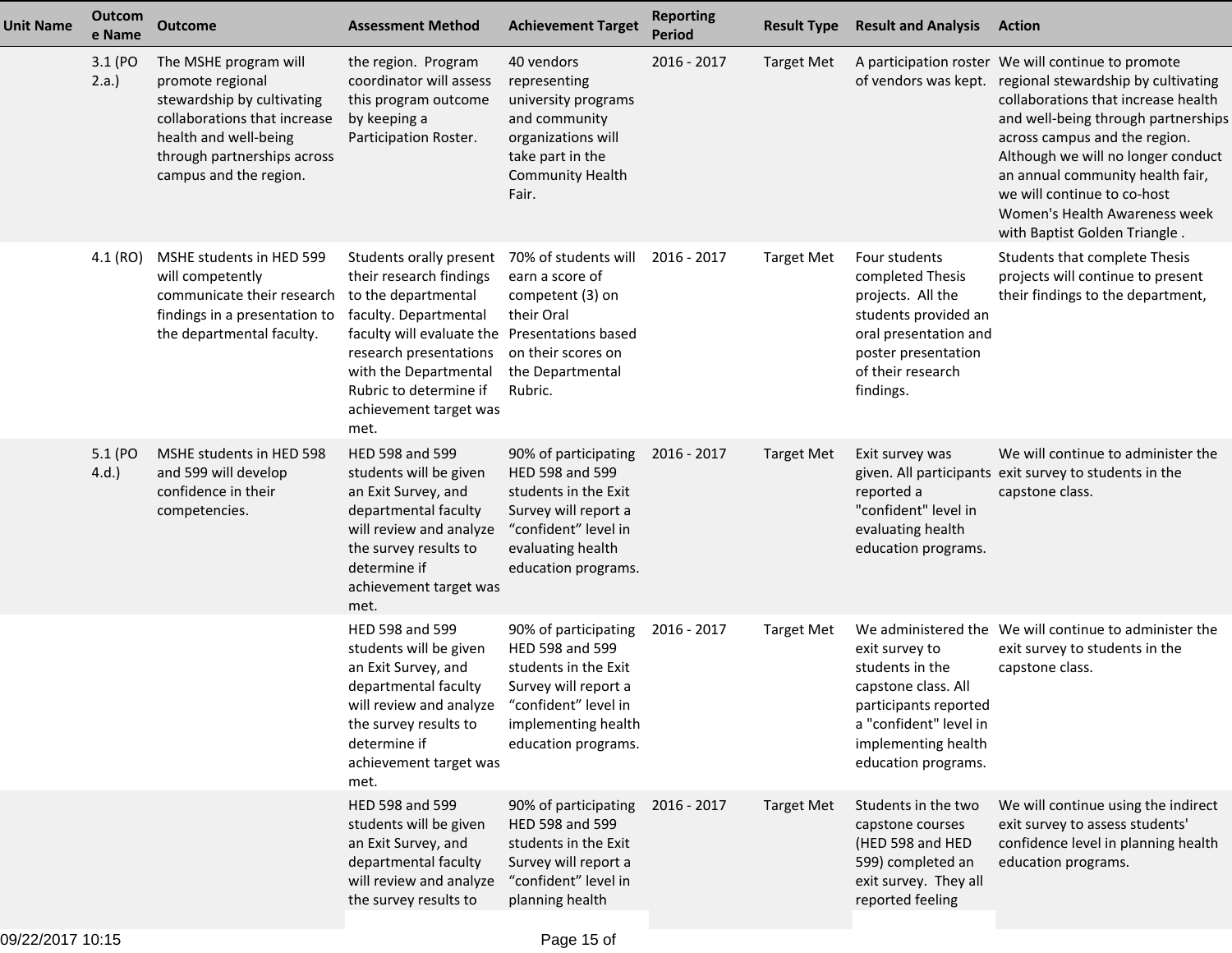| <b>Unit Name</b> | Outcom<br>e Name    | <b>Outcome</b>                                                                                                                                                                            | <b>Assessment Method</b>                                                                                                                                                                                                                                           | <b>Achievement Target</b>                                                                                                                                     | <b>Reporting</b><br><b>Period</b> | <b>Result Type</b> | <b>Result and Analysis</b>                                                                                                                                       | <b>Action</b>                                                                                                                                                                                                                                                                                                                                                                       |
|------------------|---------------------|-------------------------------------------------------------------------------------------------------------------------------------------------------------------------------------------|--------------------------------------------------------------------------------------------------------------------------------------------------------------------------------------------------------------------------------------------------------------------|---------------------------------------------------------------------------------------------------------------------------------------------------------------|-----------------------------------|--------------------|------------------------------------------------------------------------------------------------------------------------------------------------------------------|-------------------------------------------------------------------------------------------------------------------------------------------------------------------------------------------------------------------------------------------------------------------------------------------------------------------------------------------------------------------------------------|
|                  | 3.1 (PO<br>$2.a.$ ) | The MSHE program will<br>promote regional<br>stewardship by cultivating<br>collaborations that increase<br>health and well-being<br>through partnerships across<br>campus and the region. | the region. Program<br>coordinator will assess<br>this program outcome<br>by keeping a<br>Participation Roster.                                                                                                                                                    | 40 vendors<br>representing<br>university programs<br>and community<br>organizations will<br>take part in the<br><b>Community Health</b><br>Fair.              | 2016 - 2017                       | <b>Target Met</b>  | of vendors was kept.                                                                                                                                             | A participation roster We will continue to promote<br>regional stewardship by cultivating<br>collaborations that increase health<br>and well-being through partnerships<br>across campus and the region.<br>Although we will no longer conduct<br>an annual community health fair,<br>we will continue to co-host<br>Women's Health Awareness week<br>with Baptist Golden Triangle. |
|                  | 4.1 (RO)            | MSHE students in HED 599<br>will competently<br>communicate their research<br>findings in a presentation to<br>the departmental faculty.                                                  | Students orally present<br>their research findings<br>to the departmental<br>faculty. Departmental<br>faculty will evaluate the Presentations based<br>research presentations<br>with the Departmental<br>Rubric to determine if<br>achievement target was<br>met. | 70% of students will<br>earn a score of<br>competent (3) on<br>their Oral<br>on their scores on<br>the Departmental<br>Rubric.                                | 2016 - 2017                       | <b>Target Met</b>  | Four students<br>completed Thesis<br>projects. All the<br>students provided an<br>oral presentation and<br>poster presentation<br>of their research<br>findings. | Students that complete Thesis<br>projects will continue to present<br>their findings to the department,                                                                                                                                                                                                                                                                             |
|                  | 5.1 (PO<br>4.d.     | MSHE students in HED 598<br>and 599 will develop<br>confidence in their<br>competencies.                                                                                                  | HED 598 and 599<br>students will be given<br>an Exit Survey, and<br>departmental faculty<br>will review and analyze<br>the survey results to<br>determine if<br>achievement target was<br>met.                                                                     | 90% of participating<br>HED 598 and 599<br>students in the Exit<br>Survey will report a<br>"confident" level in<br>evaluating health<br>education programs.   | 2016 - 2017                       | <b>Target Met</b>  | Exit survey was<br>reported a<br>"confident" level in<br>evaluating health<br>education programs.                                                                | We will continue to administer the<br>given. All participants exit survey to students in the<br>capstone class.                                                                                                                                                                                                                                                                     |
|                  |                     |                                                                                                                                                                                           | HED 598 and 599<br>students will be given<br>an Exit Survey, and<br>departmental faculty<br>will review and analyze<br>the survey results to<br>determine if<br>achievement target was<br>met.                                                                     | 90% of participating<br>HED 598 and 599<br>students in the Exit<br>Survey will report a<br>"confident" level in<br>implementing health<br>education programs. | 2016 - 2017                       | <b>Target Met</b>  | exit survey to<br>students in the<br>capstone class. All<br>participants reported<br>a "confident" level in<br>implementing health<br>education programs.        | We administered the We will continue to administer the<br>exit survey to students in the<br>capstone class.                                                                                                                                                                                                                                                                         |
|                  |                     |                                                                                                                                                                                           | HED 598 and 599<br>students will be given<br>an Exit Survey, and<br>departmental faculty<br>will review and analyze<br>the survey results to                                                                                                                       | 90% of participating<br>HED 598 and 599<br>students in the Exit<br>Survey will report a<br>"confident" level in<br>planning health                            | 2016 - 2017                       | <b>Target Met</b>  | Students in the two<br>capstone courses<br>(HED 598 and HED<br>599) completed an<br>exit survey. They all<br>reported feeling                                    | We will continue using the indirect<br>exit survey to assess students'<br>confidence level in planning health<br>education programs.                                                                                                                                                                                                                                                |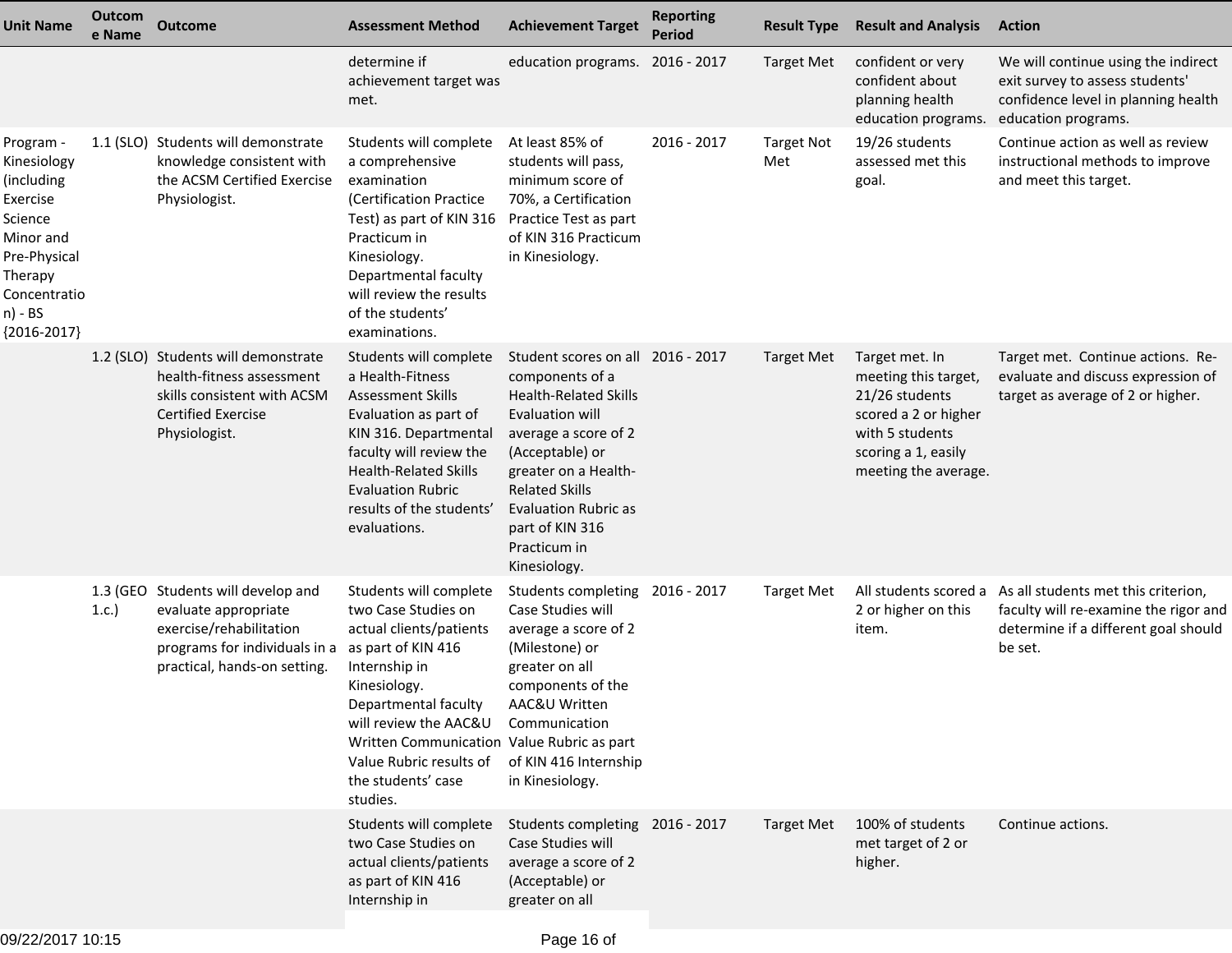| <b>Unit Name</b>                                                                                                                                  | Outcom<br>e Name | <b>Outcome</b>                                                                                                                                         | <b>Assessment Method</b>                                                                                                                                                                                                                                                                    | <b>Achievement Target</b>                                                                                                                                                                                                                                                             | <b>Reporting</b><br><b>Period</b> | <b>Result Type</b>       | <b>Result and Analysis</b>                                                                                                                         | <b>Action</b>                                                                                                                        |
|---------------------------------------------------------------------------------------------------------------------------------------------------|------------------|--------------------------------------------------------------------------------------------------------------------------------------------------------|---------------------------------------------------------------------------------------------------------------------------------------------------------------------------------------------------------------------------------------------------------------------------------------------|---------------------------------------------------------------------------------------------------------------------------------------------------------------------------------------------------------------------------------------------------------------------------------------|-----------------------------------|--------------------------|----------------------------------------------------------------------------------------------------------------------------------------------------|--------------------------------------------------------------------------------------------------------------------------------------|
|                                                                                                                                                   |                  |                                                                                                                                                        | determine if<br>achievement target was<br>met.                                                                                                                                                                                                                                              | education programs. 2016 - 2017                                                                                                                                                                                                                                                       |                                   | <b>Target Met</b>        | confident or very<br>confident about<br>planning health<br>education programs.                                                                     | We will continue using the indirect<br>exit survey to assess students'<br>confidence level in planning health<br>education programs. |
| Program -<br>Kinesiology<br>(including<br>Exercise<br>Science<br>Minor and<br>Pre-Physical<br>Therapy<br>Concentratio<br>n) - BS<br>${2016-2017}$ |                  | 1.1 (SLO) Students will demonstrate<br>knowledge consistent with<br>the ACSM Certified Exercise<br>Physiologist.                                       | Students will complete<br>a comprehensive<br>examination<br>(Certification Practice<br>Test) as part of KIN 316<br>Practicum in<br>Kinesiology.<br>Departmental faculty<br>will review the results<br>of the students'<br>examinations.                                                     | At least 85% of<br>students will pass,<br>minimum score of<br>70%, a Certification<br>Practice Test as part<br>of KIN 316 Practicum<br>in Kinesiology.                                                                                                                                | 2016 - 2017                       | <b>Target Not</b><br>Met | 19/26 students<br>assessed met this<br>goal.                                                                                                       | Continue action as well as review<br>instructional methods to improve<br>and meet this target.                                       |
|                                                                                                                                                   |                  | 1.2 (SLO) Students will demonstrate<br>health-fitness assessment<br>skills consistent with ACSM<br><b>Certified Exercise</b><br>Physiologist.          | Students will complete<br>a Health-Fitness<br><b>Assessment Skills</b><br>Evaluation as part of<br>KIN 316. Departmental<br>faculty will review the<br><b>Health-Related Skills</b><br><b>Evaluation Rubric</b><br>results of the students'<br>evaluations.                                 | Student scores on all 2016 - 2017<br>components of a<br><b>Health-Related Skills</b><br>Evaluation will<br>average a score of 2<br>(Acceptable) or<br>greater on a Health-<br><b>Related Skills</b><br><b>Evaluation Rubric as</b><br>part of KIN 316<br>Practicum in<br>Kinesiology. |                                   | <b>Target Met</b>        | Target met. In<br>meeting this target,<br>21/26 students<br>scored a 2 or higher<br>with 5 students<br>scoring a 1, easily<br>meeting the average. | Target met. Continue actions. Re-<br>evaluate and discuss expression of<br>target as average of 2 or higher.                         |
|                                                                                                                                                   | 1.c.             | 1.3 (GEO Students will develop and<br>evaluate appropriate<br>exercise/rehabilitation<br>programs for individuals in a<br>practical, hands-on setting. | Students will complete<br>two Case Studies on<br>actual clients/patients<br>as part of KIN 416<br>Internship in<br>Kinesiology.<br>Departmental faculty<br>will review the AAC&U<br>Written Communication Value Rubric as part<br>Value Rubric results of<br>the students' case<br>studies. | Students completing 2016 - 2017<br>Case Studies will<br>average a score of 2<br>(Milestone) or<br>greater on all<br>components of the<br>AAC&U Written<br>Communication<br>of KIN 416 Internship<br>in Kinesiology.                                                                   |                                   | <b>Target Met</b>        | All students scored a<br>2 or higher on this<br>item.                                                                                              | As all students met this criterion,<br>faculty will re-examine the rigor and<br>determine if a different goal should<br>be set.      |
|                                                                                                                                                   |                  |                                                                                                                                                        | Students will complete<br>two Case Studies on<br>actual clients/patients<br>as part of KIN 416<br>Internship in                                                                                                                                                                             | Students completing 2016 - 2017<br>Case Studies will<br>average a score of 2<br>(Acceptable) or<br>greater on all                                                                                                                                                                     |                                   | <b>Target Met</b>        | 100% of students<br>met target of 2 or<br>higher.                                                                                                  | Continue actions.                                                                                                                    |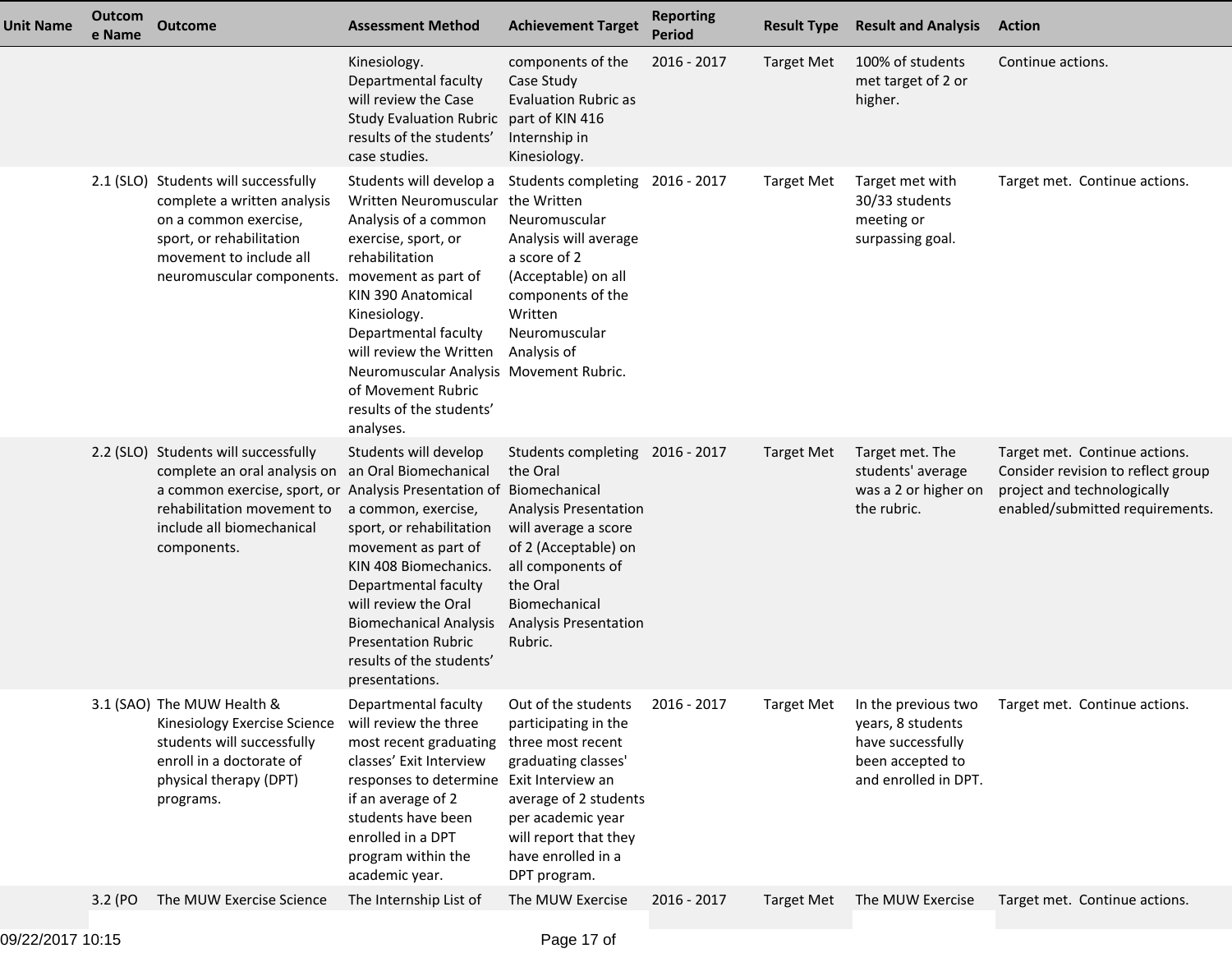| <b>Unit Name</b> | Outcom<br>e Name | <b>Outcome</b>                                                                                                                                                                                                                              | <b>Assessment Method</b>                                                                                                                                                                                                                                                                                                         | <b>Achievement Target</b>                                                                                                                                                                                         | <b>Reporting</b><br><b>Period</b> | <b>Result Type</b> | <b>Result and Analysis</b>                                                                                | <b>Action</b>                                                                                                                         |
|------------------|------------------|---------------------------------------------------------------------------------------------------------------------------------------------------------------------------------------------------------------------------------------------|----------------------------------------------------------------------------------------------------------------------------------------------------------------------------------------------------------------------------------------------------------------------------------------------------------------------------------|-------------------------------------------------------------------------------------------------------------------------------------------------------------------------------------------------------------------|-----------------------------------|--------------------|-----------------------------------------------------------------------------------------------------------|---------------------------------------------------------------------------------------------------------------------------------------|
|                  |                  |                                                                                                                                                                                                                                             | Kinesiology.<br>Departmental faculty<br>will review the Case<br>Study Evaluation Rubric part of KIN 416<br>results of the students'<br>case studies.                                                                                                                                                                             | components of the<br>Case Study<br><b>Evaluation Rubric as</b><br>Internship in<br>Kinesiology.                                                                                                                   | $2016 - 2017$                     | <b>Target Met</b>  | 100% of students<br>met target of 2 or<br>higher.                                                         | Continue actions.                                                                                                                     |
|                  |                  | 2.1 (SLO) Students will successfully<br>complete a written analysis<br>on a common exercise,<br>sport, or rehabilitation<br>movement to include all<br>neuromuscular components. movement as part of                                        | Students will develop a<br>Written Neuromuscular the Written<br>Analysis of a common<br>exercise, sport, or<br>rehabilitation<br>KIN 390 Anatomical<br>Kinesiology.<br>Departmental faculty<br>will review the Written<br>Neuromuscular Analysis Movement Rubric.<br>of Movement Rubric<br>results of the students'<br>analyses. | Students completing 2016 - 2017<br>Neuromuscular<br>Analysis will average<br>a score of 2<br>(Acceptable) on all<br>components of the<br>Written<br>Neuromuscular<br>Analysis of                                  |                                   | <b>Target Met</b>  | Target met with<br>30/33 students<br>meeting or<br>surpassing goal.                                       | Target met. Continue actions.                                                                                                         |
|                  |                  | 2.2 (SLO) Students will successfully<br>complete an oral analysis on an Oral Biomechanical<br>a common exercise, sport, or Analysis Presentation of Biomechanical<br>rehabilitation movement to<br>include all biomechanical<br>components. | Students will develop<br>a common, exercise,<br>sport, or rehabilitation<br>movement as part of<br>KIN 408 Biomechanics.<br>Departmental faculty<br>will review the Oral<br><b>Biomechanical Analysis</b><br><b>Presentation Rubric</b><br>results of the students'<br>presentations.                                            | Students completing 2016 - 2017<br>the Oral<br>Analysis Presentation<br>will average a score<br>of 2 (Acceptable) on<br>all components of<br>the Oral<br>Biomechanical<br><b>Analysis Presentation</b><br>Rubric. |                                   | Target Met         | Target met. The<br>students' average<br>was a 2 or higher on<br>the rubric.                               | Target met. Continue actions.<br>Consider revision to reflect group<br>project and technologically<br>enabled/submitted requirements. |
|                  |                  | 3.1 (SAO) The MUW Health &<br>Kinesiology Exercise Science<br>students will successfully<br>enroll in a doctorate of<br>physical therapy (DPT)<br>programs.                                                                                 | Departmental faculty<br>will review the three<br>most recent graduating<br>classes' Exit Interview<br>responses to determine Exit Interview an<br>if an average of 2<br>students have been<br>enrolled in a DPT<br>program within the<br>academic year.                                                                          | Out of the students<br>participating in the<br>three most recent<br>graduating classes'<br>average of 2 students<br>per academic year<br>will report that they<br>have enrolled in a<br>DPT program.              | 2016 - 2017                       | <b>Target Met</b>  | In the previous two<br>years, 8 students<br>have successfully<br>been accepted to<br>and enrolled in DPT. | Target met. Continue actions.                                                                                                         |
|                  | 3.2 (PO          | The MUW Exercise Science                                                                                                                                                                                                                    | The Internship List of                                                                                                                                                                                                                                                                                                           | The MUW Exercise                                                                                                                                                                                                  | 2016 - 2017                       | <b>Target Met</b>  | The MUW Exercise                                                                                          | Target met. Continue actions.                                                                                                         |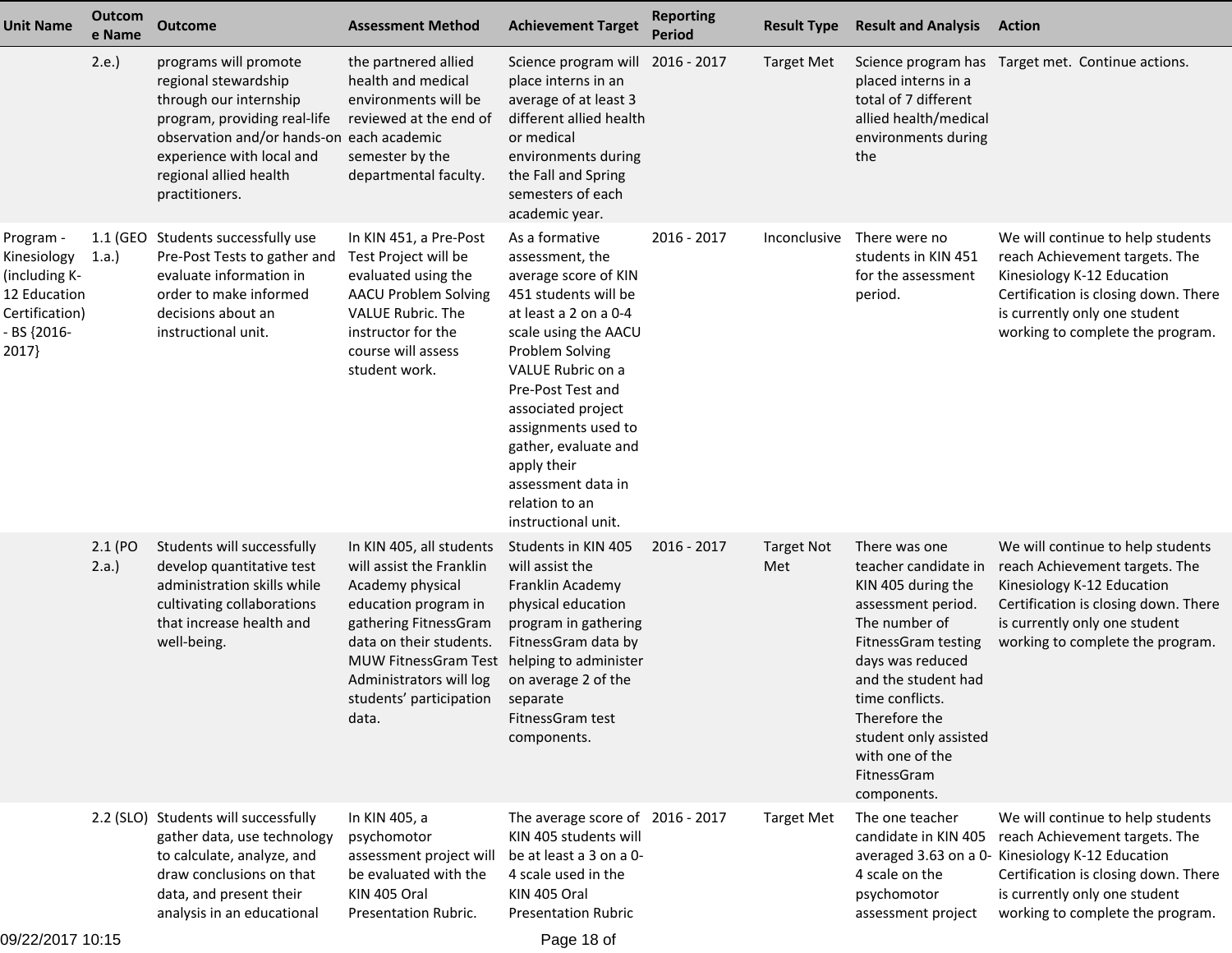| <b>Unit Name</b>                                                                                    | Outcom<br>e Name    | <b>Outcome</b>                                                                                                                                                                                                                | <b>Assessment Method</b>                                                                                                                                                                                                                    | <b>Achievement Target</b>                                                                                                                                                                                                                                                                                                                          | <b>Reporting</b><br><b>Period</b> | <b>Result Type</b>       | <b>Result and Analysis</b>                                                                                                                                                                                                                                                                | <b>Action</b>                                                                                                                                                                                                                        |
|-----------------------------------------------------------------------------------------------------|---------------------|-------------------------------------------------------------------------------------------------------------------------------------------------------------------------------------------------------------------------------|---------------------------------------------------------------------------------------------------------------------------------------------------------------------------------------------------------------------------------------------|----------------------------------------------------------------------------------------------------------------------------------------------------------------------------------------------------------------------------------------------------------------------------------------------------------------------------------------------------|-----------------------------------|--------------------------|-------------------------------------------------------------------------------------------------------------------------------------------------------------------------------------------------------------------------------------------------------------------------------------------|--------------------------------------------------------------------------------------------------------------------------------------------------------------------------------------------------------------------------------------|
|                                                                                                     | 2.e.                | programs will promote<br>regional stewardship<br>through our internship<br>program, providing real-life<br>observation and/or hands-on each academic<br>experience with local and<br>regional allied health<br>practitioners. | the partnered allied<br>health and medical<br>environments will be<br>reviewed at the end of<br>semester by the<br>departmental faculty.                                                                                                    | Science program will 2016 - 2017<br>place interns in an<br>average of at least 3<br>different allied health<br>or medical<br>environments during<br>the Fall and Spring<br>semesters of each<br>academic year.                                                                                                                                     |                                   | <b>Target Met</b>        | placed interns in a<br>total of 7 different<br>allied health/medical<br>environments during<br>the                                                                                                                                                                                        | Science program has Target met. Continue actions.                                                                                                                                                                                    |
| Program -<br>Kinesiology<br>(including K-<br>12 Education<br>Certification)<br>- BS {2016-<br>2017} | 1.a.)               | 1.1 (GEO Students successfully use<br>Pre-Post Tests to gather and<br>evaluate information in<br>order to make informed<br>decisions about an<br>instructional unit.                                                          | In KIN 451, a Pre-Post<br>Test Project will be<br>evaluated using the<br><b>AACU Problem Solving</b><br>VALUE Rubric. The<br>instructor for the<br>course will assess<br>student work.                                                      | As a formative<br>assessment, the<br>average score of KIN<br>451 students will be<br>at least a 2 on a 0-4<br>scale using the AACU<br>Problem Solving<br>VALUE Rubric on a<br>Pre-Post Test and<br>associated project<br>assignments used to<br>gather, evaluate and<br>apply their<br>assessment data in<br>relation to an<br>instructional unit. | 2016 - 2017                       | Inconclusive             | There were no<br>students in KIN 451<br>for the assessment<br>period.                                                                                                                                                                                                                     | We will continue to help students<br>reach Achievement targets. The<br>Kinesiology K-12 Education<br>Certification is closing down. There<br>is currently only one student<br>working to complete the program.                       |
|                                                                                                     | 2.1 (PO<br>$2.a.$ ) | Students will successfully<br>develop quantitative test<br>administration skills while<br>cultivating collaborations<br>that increase health and<br>well-being.                                                               | In KIN 405, all students<br>will assist the Franklin<br>Academy physical<br>education program in<br>gathering FitnessGram<br>data on their students.<br>MUW FitnessGram Test<br>Administrators will log<br>students' participation<br>data. | Students in KIN 405<br>will assist the<br>Franklin Academy<br>physical education<br>program in gathering<br>FitnessGram data by<br>helping to administer<br>on average 2 of the<br>separate<br>FitnessGram test<br>components.                                                                                                                     | 2016 - 2017                       | <b>Target Not</b><br>Met | There was one<br>teacher candidate in<br>KIN 405 during the<br>assessment period.<br>The number of<br><b>FitnessGram testing</b><br>days was reduced<br>and the student had<br>time conflicts.<br>Therefore the<br>student only assisted<br>with one of the<br>FitnessGram<br>components. | We will continue to help students<br>reach Achievement targets. The<br>Kinesiology K-12 Education<br>Certification is closing down. There<br>is currently only one student<br>working to complete the program.                       |
|                                                                                                     |                     | 2.2 (SLO) Students will successfully<br>gather data, use technology<br>to calculate, analyze, and<br>draw conclusions on that<br>data, and present their<br>analysis in an educational                                        | In KIN 405, a<br>psychomotor<br>assessment project will<br>be evaluated with the<br>KIN 405 Oral<br>Presentation Rubric.                                                                                                                    | The average score of 2016 - 2017<br>KIN 405 students will<br>be at least a 3 on a 0-<br>4 scale used in the<br>KIN 405 Oral<br><b>Presentation Rubric</b>                                                                                                                                                                                          |                                   | <b>Target Met</b>        | The one teacher<br>candidate in KIN 405<br>4 scale on the<br>psychomotor<br>assessment project                                                                                                                                                                                            | We will continue to help students<br>reach Achievement targets. The<br>averaged 3.63 on a 0- Kinesiology K-12 Education<br>Certification is closing down. There<br>is currently only one student<br>working to complete the program. |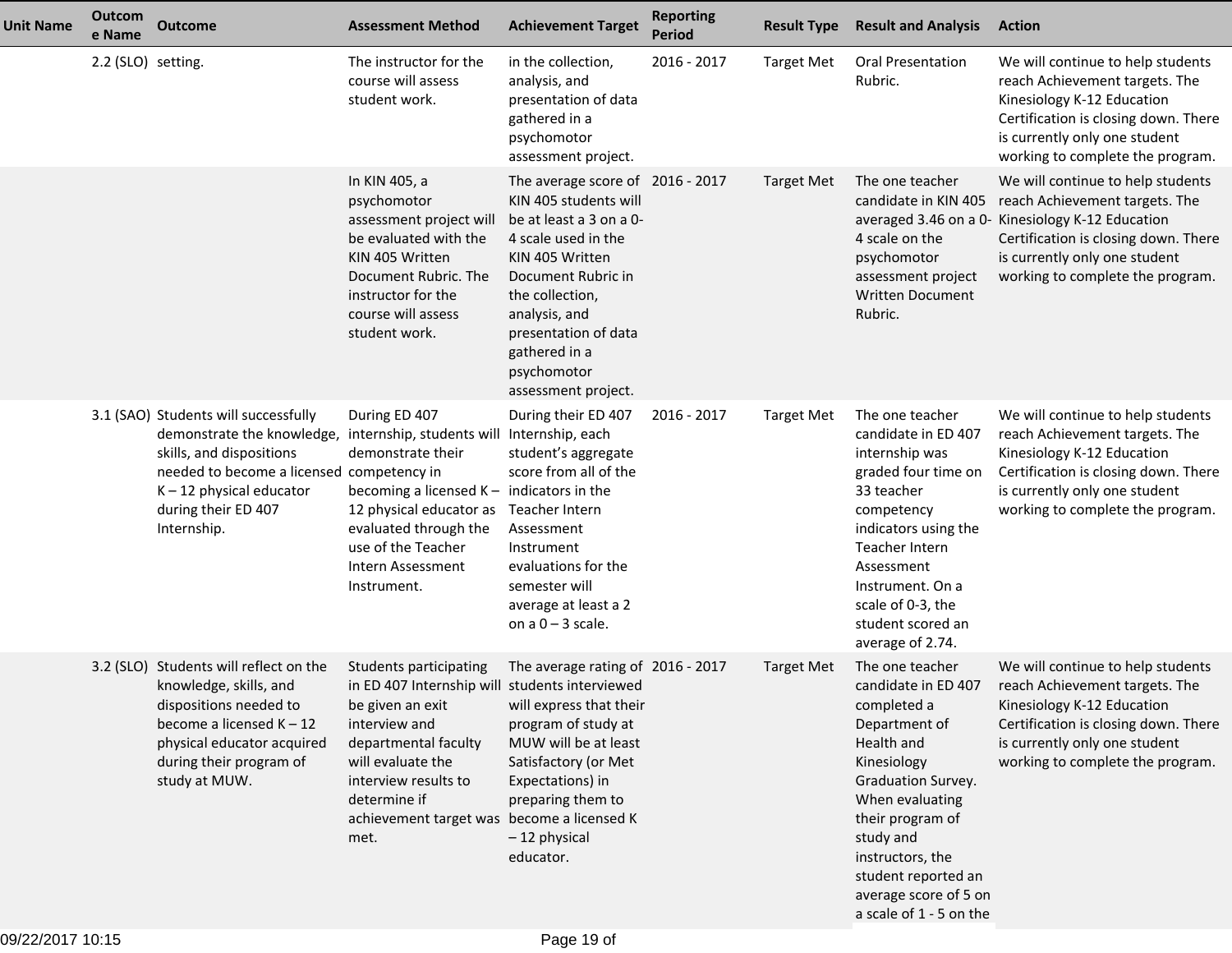| <b>Unit Name</b> | Outcom<br>e Name   | <b>Outcome</b>                                                                                                                                                                                                                                             | <b>Assessment Method</b>                                                                                                                                                                                                                                 | <b>Achievement Target</b>                                                                                                                                                                                                                                               | <b>Reporting</b><br><b>Period</b> | <b>Result Type</b> | <b>Result and Analysis</b>                                                                                                                                                                                                                                                   | <b>Action</b>                                                                                                                                                                                                                        |
|------------------|--------------------|------------------------------------------------------------------------------------------------------------------------------------------------------------------------------------------------------------------------------------------------------------|----------------------------------------------------------------------------------------------------------------------------------------------------------------------------------------------------------------------------------------------------------|-------------------------------------------------------------------------------------------------------------------------------------------------------------------------------------------------------------------------------------------------------------------------|-----------------------------------|--------------------|------------------------------------------------------------------------------------------------------------------------------------------------------------------------------------------------------------------------------------------------------------------------------|--------------------------------------------------------------------------------------------------------------------------------------------------------------------------------------------------------------------------------------|
|                  | 2.2 (SLO) setting. |                                                                                                                                                                                                                                                            | The instructor for the<br>course will assess<br>student work.                                                                                                                                                                                            | in the collection,<br>analysis, and<br>presentation of data<br>gathered in a<br>psychomotor<br>assessment project.                                                                                                                                                      | 2016 - 2017                       | <b>Target Met</b>  | <b>Oral Presentation</b><br>Rubric.                                                                                                                                                                                                                                          | We will continue to help students<br>reach Achievement targets. The<br>Kinesiology K-12 Education<br>Certification is closing down. There<br>is currently only one student<br>working to complete the program.                       |
|                  |                    |                                                                                                                                                                                                                                                            | In KIN 405, a<br>psychomotor<br>assessment project will<br>be evaluated with the<br>KIN 405 Written<br>Document Rubric. The<br>instructor for the<br>course will assess<br>student work.                                                                 | The average score of 2016 - 2017<br>KIN 405 students will<br>be at least a 3 on a 0-<br>4 scale used in the<br>KIN 405 Written<br>Document Rubric in<br>the collection,<br>analysis, and<br>presentation of data<br>gathered in a<br>psychomotor<br>assessment project. |                                   | <b>Target Met</b>  | The one teacher<br>candidate in KIN 405<br>4 scale on the<br>psychomotor<br>assessment project<br><b>Written Document</b><br>Rubric.                                                                                                                                         | We will continue to help students<br>reach Achievement targets. The<br>averaged 3.46 on a 0- Kinesiology K-12 Education<br>Certification is closing down. There<br>is currently only one student<br>working to complete the program. |
|                  |                    | 3.1 (SAO) Students will successfully<br>demonstrate the knowledge, internship, students will Internship, each<br>skills, and dispositions<br>needed to become a licensed competency in<br>$K - 12$ physical educator<br>during their ED 407<br>Internship. | During ED 407<br>demonstrate their<br>becoming a licensed $K -$ indicators in the<br>12 physical educator as<br>evaluated through the<br>use of the Teacher<br>Intern Assessment<br>Instrument.                                                          | During their ED 407<br>student's aggregate<br>score from all of the<br>Teacher Intern<br>Assessment<br>Instrument<br>evaluations for the<br>semester will<br>average at least a 2<br>on $a$ $0 - 3$ scale.                                                              | 2016 - 2017                       | <b>Target Met</b>  | The one teacher<br>candidate in ED 407<br>internship was<br>graded four time on<br>33 teacher<br>competency<br>indicators using the<br>Teacher Intern<br>Assessment<br>Instrument. On a<br>scale of 0-3, the<br>student scored an<br>average of 2.74.                        | We will continue to help students<br>reach Achievement targets. The<br>Kinesiology K-12 Education<br>Certification is closing down. There<br>is currently only one student<br>working to complete the program.                       |
|                  |                    | 3.2 (SLO) Students will reflect on the<br>knowledge, skills, and<br>dispositions needed to<br>become a licensed $K - 12$<br>physical educator acquired<br>during their program of<br>study at MUW.                                                         | Students participating<br>in ED 407 Internship will students interviewed<br>be given an exit<br>interview and<br>departmental faculty<br>will evaluate the<br>interview results to<br>determine if<br>achievement target was become a licensed K<br>met. | The average rating of 2016 - 2017<br>will express that their<br>program of study at<br>MUW will be at least<br>Satisfactory (or Met<br>Expectations) in<br>preparing them to<br>-12 physical<br>educator.                                                               |                                   | <b>Target Met</b>  | The one teacher<br>candidate in ED 407<br>completed a<br>Department of<br>Health and<br>Kinesiology<br>Graduation Survey.<br>When evaluating<br>their program of<br>study and<br>instructors, the<br>student reported an<br>average score of 5 on<br>a scale of 1 - 5 on the | We will continue to help students<br>reach Achievement targets. The<br>Kinesiology K-12 Education<br>Certification is closing down. There<br>is currently only one student<br>working to complete the program.                       |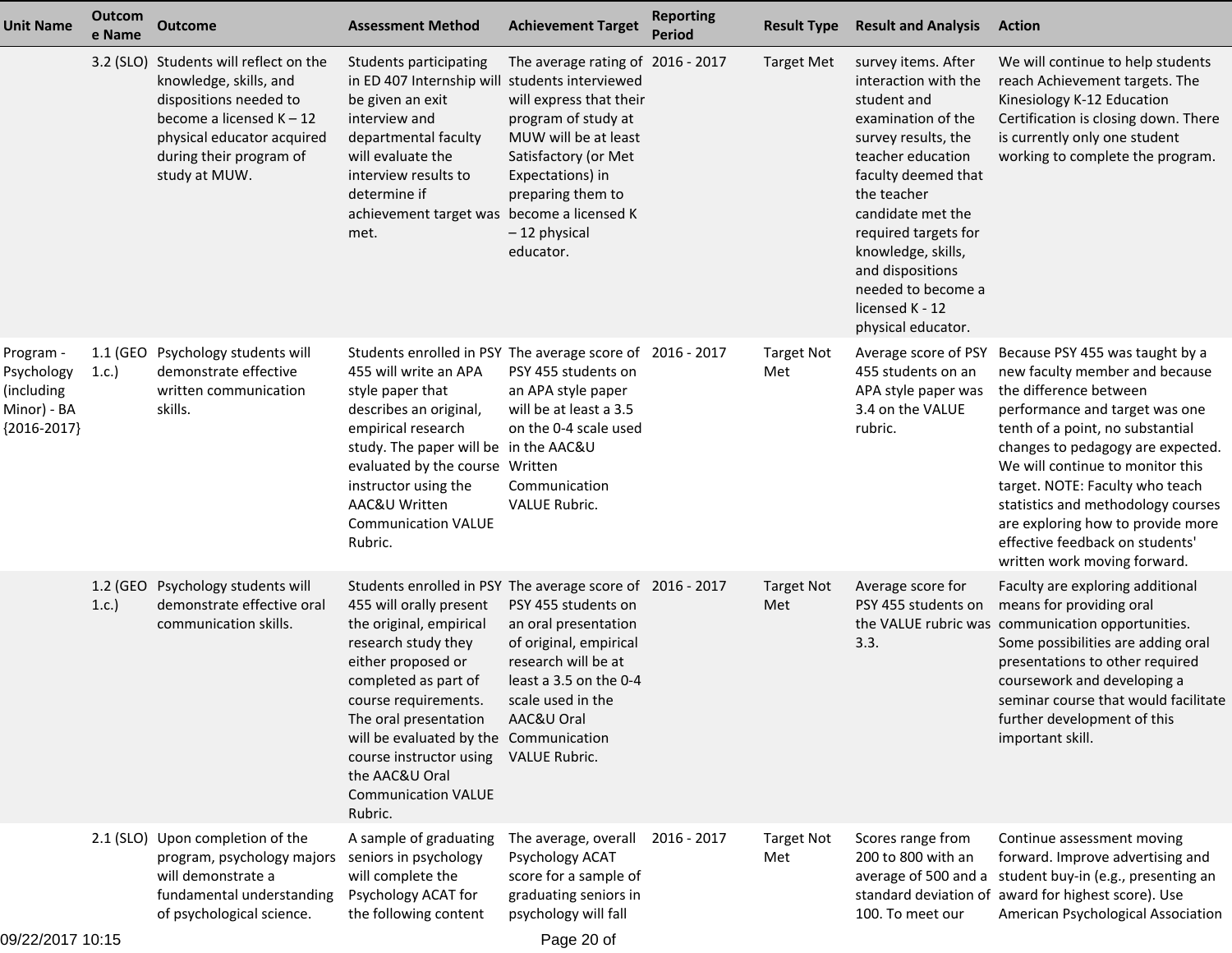| <b>Unit Name</b>                                                      | Outcom<br>e Name | <b>Outcome</b>                                                                                                                                                                                     | <b>Assessment Method</b>                                                                                                                                                                                                                                                                                                                                              | <b>Achievement Target</b>                                                                                                                                                                                 | <b>Reporting</b><br><b>Period</b> | <b>Result Type</b>       | <b>Result and Analysis</b>                                                                                                                                                                                                                                                                                               | <b>Action</b>                                                                                                                                                                                                                                                                                                                                                                                                               |
|-----------------------------------------------------------------------|------------------|----------------------------------------------------------------------------------------------------------------------------------------------------------------------------------------------------|-----------------------------------------------------------------------------------------------------------------------------------------------------------------------------------------------------------------------------------------------------------------------------------------------------------------------------------------------------------------------|-----------------------------------------------------------------------------------------------------------------------------------------------------------------------------------------------------------|-----------------------------------|--------------------------|--------------------------------------------------------------------------------------------------------------------------------------------------------------------------------------------------------------------------------------------------------------------------------------------------------------------------|-----------------------------------------------------------------------------------------------------------------------------------------------------------------------------------------------------------------------------------------------------------------------------------------------------------------------------------------------------------------------------------------------------------------------------|
|                                                                       |                  | 3.2 (SLO) Students will reflect on the<br>knowledge, skills, and<br>dispositions needed to<br>become a licensed $K - 12$<br>physical educator acquired<br>during their program of<br>study at MUW. | Students participating<br>in ED 407 Internship will students interviewed<br>be given an exit<br>interview and<br>departmental faculty<br>will evaluate the<br>interview results to<br>determine if<br>achievement target was become a licensed K<br>met.                                                                                                              | The average rating of 2016 - 2017<br>will express that their<br>program of study at<br>MUW will be at least<br>Satisfactory (or Met<br>Expectations) in<br>preparing them to<br>-12 physical<br>educator. |                                   | <b>Target Met</b>        | survey items. After<br>interaction with the<br>student and<br>examination of the<br>survey results, the<br>teacher education<br>faculty deemed that<br>the teacher<br>candidate met the<br>required targets for<br>knowledge, skills,<br>and dispositions<br>needed to become a<br>licensed K - 12<br>physical educator. | We will continue to help students<br>reach Achievement targets. The<br>Kinesiology K-12 Education<br>Certification is closing down. There<br>is currently only one student<br>working to complete the program.                                                                                                                                                                                                              |
| Program -<br>Psychology<br>(including<br>Minor) - BA<br>${2016-2017}$ | 1.1 (GEO<br>1.c. | Psychology students will<br>demonstrate effective<br>written communication<br>skills.                                                                                                              | Students enrolled in PSY The average score of 2016 - 2017<br>455 will write an APA<br>style paper that<br>describes an original,<br>empirical research<br>study. The paper will be in the AAC&U<br>evaluated by the course Written<br>instructor using the<br>AAC&U Written<br><b>Communication VALUE</b><br>Rubric.                                                  | PSY 455 students on<br>an APA style paper<br>will be at least a 3.5<br>on the 0-4 scale used<br>Communication<br><b>VALUE Rubric.</b>                                                                     |                                   | <b>Target Not</b><br>Met | Average score of PSY<br>455 students on an<br>APA style paper was<br>3.4 on the VALUE<br>rubric.                                                                                                                                                                                                                         | Because PSY 455 was taught by a<br>new faculty member and because<br>the difference between<br>performance and target was one<br>tenth of a point, no substantial<br>changes to pedagogy are expected.<br>We will continue to monitor this<br>target. NOTE: Faculty who teach<br>statistics and methodology courses<br>are exploring how to provide more<br>effective feedback on students'<br>written work moving forward. |
|                                                                       | 1.2 (GEO<br>1.c. | Psychology students will<br>demonstrate effective oral<br>communication skills.                                                                                                                    | Students enrolled in PSY The average score of 2016 - 2017<br>455 will orally present<br>the original, empirical<br>research study they<br>either proposed or<br>completed as part of<br>course requirements.<br>The oral presentation<br>will be evaluated by the Communication<br>course instructor using<br>the AAC&U Oral<br><b>Communication VALUE</b><br>Rubric. | PSY 455 students on<br>an oral presentation<br>of original, empirical<br>research will be at<br>least a 3.5 on the 0-4<br>scale used in the<br>AAC&U Oral<br>VALUE Rubric.                                |                                   | <b>Target Not</b><br>Met | Average score for<br>PSY 455 students on<br>3.3.                                                                                                                                                                                                                                                                         | Faculty are exploring additional<br>means for providing oral<br>the VALUE rubric was communication opportunities.<br>Some possibilities are adding oral<br>presentations to other required<br>coursework and developing a<br>seminar course that would facilitate<br>further development of this<br>important skill.                                                                                                        |
|                                                                       |                  | 2.1 (SLO) Upon completion of the<br>program, psychology majors<br>will demonstrate a<br>fundamental understanding<br>of psychological science.                                                     | A sample of graduating<br>seniors in psychology<br>will complete the<br>Psychology ACAT for<br>the following content                                                                                                                                                                                                                                                  | The average, overall<br>Psychology ACAT<br>score for a sample of<br>graduating seniors in<br>psychology will fall                                                                                         | 2016 - 2017                       | <b>Target Not</b><br>Met | Scores range from<br>200 to 800 with an<br>average of 500 and a<br>standard deviation of<br>100. To meet our                                                                                                                                                                                                             | Continue assessment moving<br>forward. Improve advertising and<br>student buy-in (e.g., presenting an<br>award for highest score). Use<br>American Psychological Association                                                                                                                                                                                                                                                |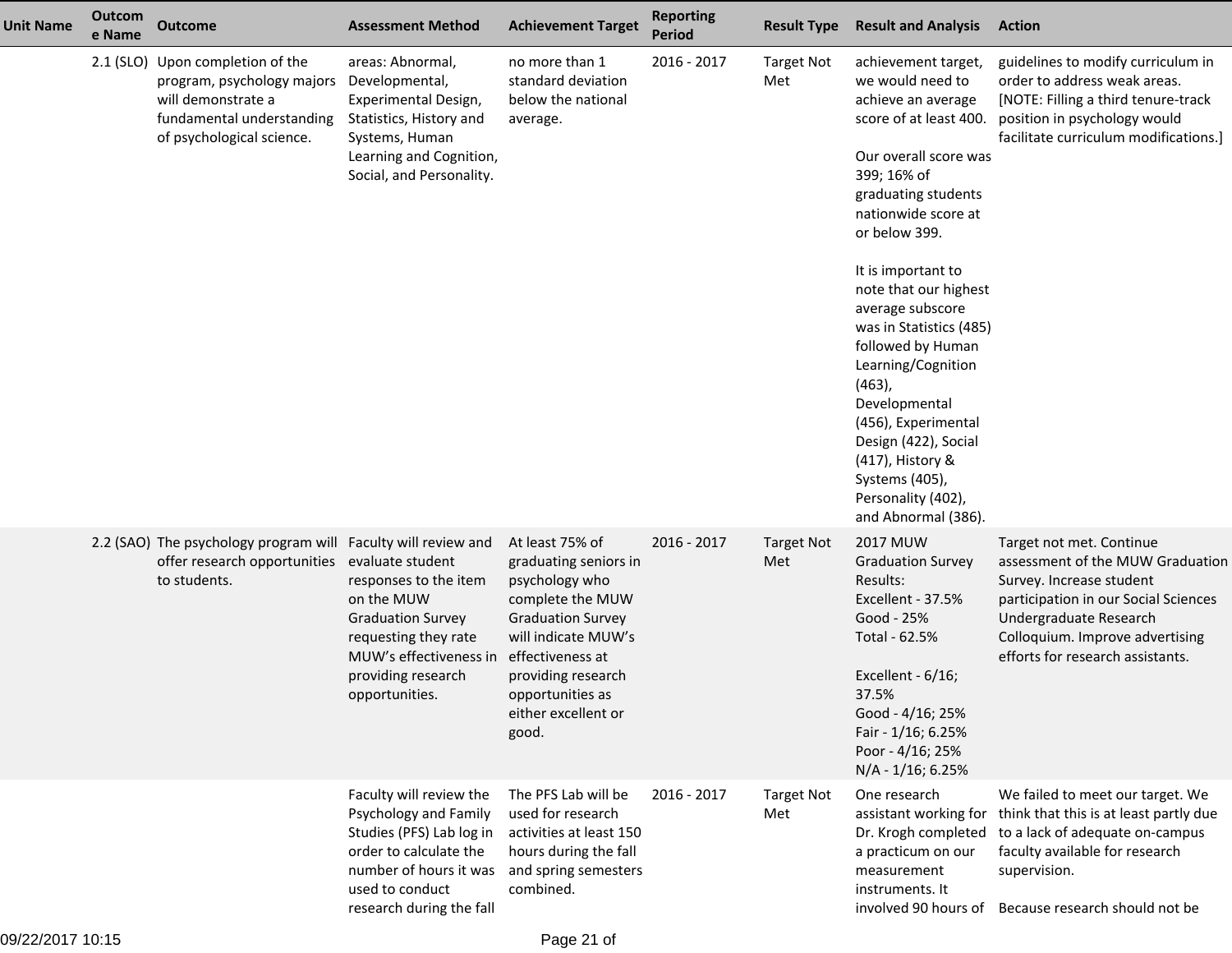| <b>Unit Name</b> | Outcom<br>e Name | <b>Outcome</b>                                                                                                                                                | <b>Assessment Method</b>                                                                                                                                                        | <b>Achievement Target</b>                                                                                                                                                                                                       | <b>Reporting</b><br><b>Period</b> | <b>Result Type</b>       | <b>Result and Analysis</b>                                                                                                                                                                                                                                                                                                                                                                                                                                                                              | <b>Action</b>                                                                                                                                                                                                                     |
|------------------|------------------|---------------------------------------------------------------------------------------------------------------------------------------------------------------|---------------------------------------------------------------------------------------------------------------------------------------------------------------------------------|---------------------------------------------------------------------------------------------------------------------------------------------------------------------------------------------------------------------------------|-----------------------------------|--------------------------|---------------------------------------------------------------------------------------------------------------------------------------------------------------------------------------------------------------------------------------------------------------------------------------------------------------------------------------------------------------------------------------------------------------------------------------------------------------------------------------------------------|-----------------------------------------------------------------------------------------------------------------------------------------------------------------------------------------------------------------------------------|
|                  |                  | 2.1 (SLO) Upon completion of the<br>program, psychology majors Developmental,<br>will demonstrate a<br>fundamental understanding<br>of psychological science. | areas: Abnormal,<br>Experimental Design,<br>Statistics, History and<br>Systems, Human<br>Learning and Cognition,<br>Social, and Personality.                                    | no more than 1<br>standard deviation<br>below the national<br>average.                                                                                                                                                          | 2016 - 2017                       | <b>Target Not</b><br>Met | achievement target,<br>we would need to<br>achieve an average<br>score of at least 400.<br>Our overall score was<br>399; 16% of<br>graduating students<br>nationwide score at<br>or below 399.<br>It is important to<br>note that our highest<br>average subscore<br>was in Statistics (485)<br>followed by Human<br>Learning/Cognition<br>$(463)$ ,<br>Developmental<br>(456), Experimental<br>Design (422), Social<br>(417), History &<br>Systems (405),<br>Personality (402),<br>and Abnormal (386). | guidelines to modify curriculum in<br>order to address weak areas.<br>[NOTE: Filling a third tenure-track<br>position in psychology would<br>facilitate curriculum modifications.]                                                |
|                  |                  | 2.2 (SAO) The psychology program will Faculty will review and<br>offer research opportunities evaluate student<br>to students.                                | responses to the item<br>on the MUW<br><b>Graduation Survey</b><br>requesting they rate<br>MUW's effectiveness in<br>providing research<br>opportunities.                       | At least 75% of<br>graduating seniors in<br>psychology who<br>complete the MUW<br><b>Graduation Survey</b><br>will indicate MUW's<br>effectiveness at<br>providing research<br>opportunities as<br>either excellent or<br>good. | 2016 - 2017                       | <b>Target Not</b><br>Met | <b>2017 MUW</b><br><b>Graduation Survey</b><br>Results:<br>Excellent - 37.5%<br>Good - 25%<br>Total - 62.5%<br>Excellent - 6/16;<br>37.5%<br>Good - 4/16; 25%<br>Fair - 1/16; 6.25%<br>Poor - 4/16; 25%<br>N/A - 1/16; 6.25%                                                                                                                                                                                                                                                                            | Target not met. Continue<br>assessment of the MUW Graduation<br>Survey. Increase student<br>participation in our Social Sciences<br>Undergraduate Research<br>Colloquium. Improve advertising<br>efforts for research assistants. |
|                  |                  |                                                                                                                                                               | Faculty will review the<br>Psychology and Family<br>Studies (PFS) Lab log in<br>order to calculate the<br>number of hours it was<br>used to conduct<br>research during the fall | The PFS Lab will be<br>used for research<br>activities at least 150<br>hours during the fall<br>and spring semesters<br>combined.                                                                                               | 2016 - 2017                       | <b>Target Not</b><br>Met | One research<br>assistant working for<br>Dr. Krogh completed<br>a practicum on our<br>measurement<br>instruments. It<br>involved 90 hours of                                                                                                                                                                                                                                                                                                                                                            | We failed to meet our target. We<br>think that this is at least partly due<br>to a lack of adequate on-campus<br>faculty available for research<br>supervision.<br>Because research should not be                                 |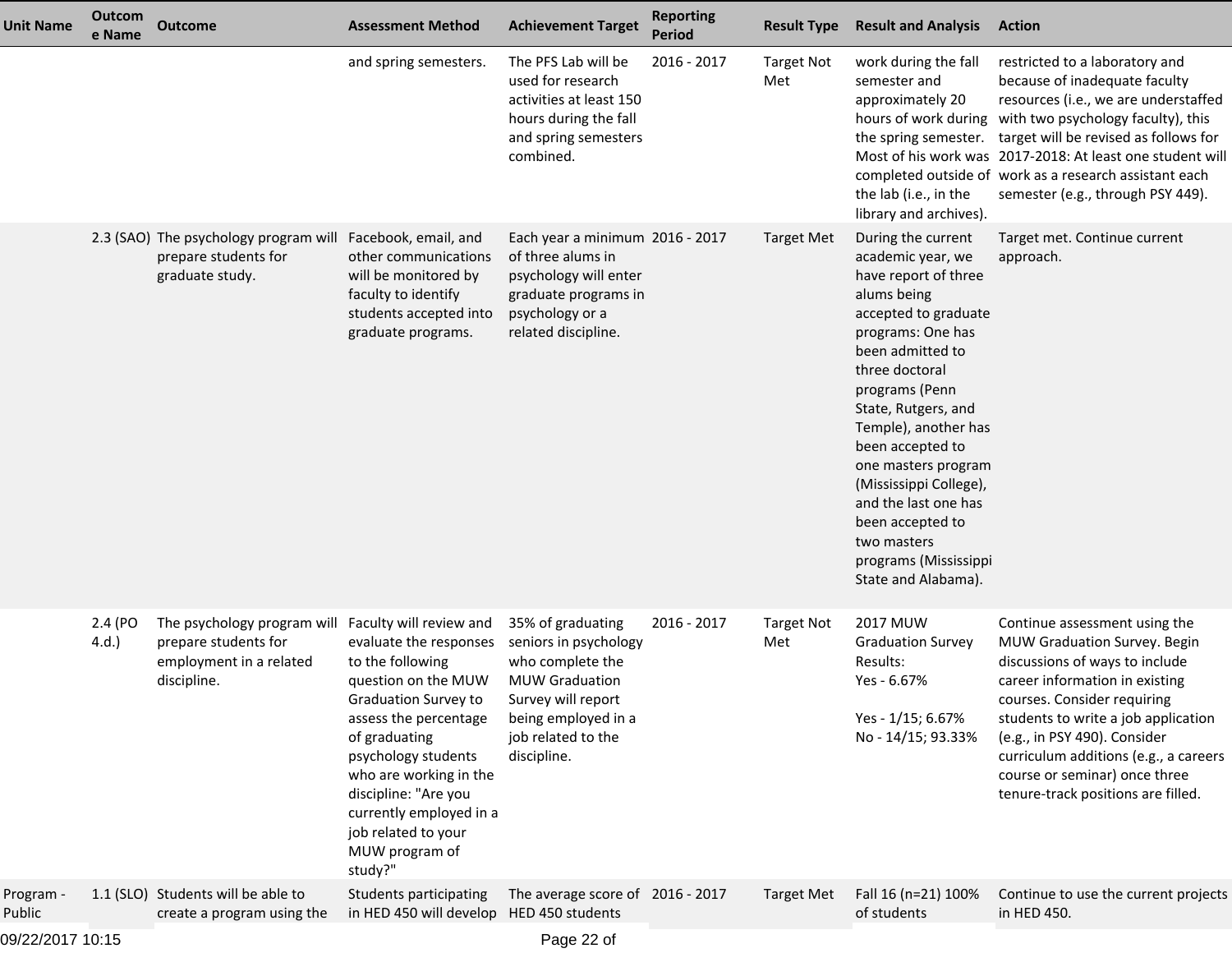| <b>Unit Name</b>    | Outcom<br>e Name | <b>Outcome</b>                                                                                | <b>Assessment Method</b>                                                                                                                                                                                                                                                                                                      | <b>Achievement Target</b>                                                                                                                                                 | <b>Reporting</b><br><b>Period</b> | <b>Result Type</b>       | <b>Result and Analysis</b>                                                                                                                                                                                                                                                                                                                                                                                         | <b>Action</b>                                                                                                                                                                                                                                                                                                                                                           |
|---------------------|------------------|-----------------------------------------------------------------------------------------------|-------------------------------------------------------------------------------------------------------------------------------------------------------------------------------------------------------------------------------------------------------------------------------------------------------------------------------|---------------------------------------------------------------------------------------------------------------------------------------------------------------------------|-----------------------------------|--------------------------|--------------------------------------------------------------------------------------------------------------------------------------------------------------------------------------------------------------------------------------------------------------------------------------------------------------------------------------------------------------------------------------------------------------------|-------------------------------------------------------------------------------------------------------------------------------------------------------------------------------------------------------------------------------------------------------------------------------------------------------------------------------------------------------------------------|
|                     |                  |                                                                                               | and spring semesters.                                                                                                                                                                                                                                                                                                         | The PFS Lab will be<br>used for research<br>activities at least 150<br>hours during the fall<br>and spring semesters<br>combined.                                         | 2016 - 2017                       | <b>Target Not</b><br>Met | work during the fall<br>semester and<br>approximately 20<br>the spring semester.<br>the lab (i.e., in the<br>library and archives).                                                                                                                                                                                                                                                                                | restricted to a laboratory and<br>because of inadequate faculty<br>resources (i.e., we are understaffed<br>hours of work during with two psychology faculty), this<br>target will be revised as follows for<br>Most of his work was 2017-2018: At least one student will<br>completed outside of work as a research assistant each<br>semester (e.g., through PSY 449). |
|                     |                  | 2.3 (SAO) The psychology program will<br>prepare students for<br>graduate study.              | Facebook, email, and<br>other communications<br>will be monitored by<br>faculty to identify<br>students accepted into<br>graduate programs.                                                                                                                                                                                   | Each year a minimum 2016 - 2017<br>of three alums in<br>psychology will enter<br>graduate programs in<br>psychology or a<br>related discipline.                           |                                   | <b>Target Met</b>        | During the current<br>academic year, we<br>have report of three<br>alums being<br>accepted to graduate<br>programs: One has<br>been admitted to<br>three doctoral<br>programs (Penn<br>State, Rutgers, and<br>Temple), another has<br>been accepted to<br>one masters program<br>(Mississippi College),<br>and the last one has<br>been accepted to<br>two masters<br>programs (Mississippi<br>State and Alabama). | Target met. Continue current<br>approach.                                                                                                                                                                                                                                                                                                                               |
|                     | 2.4 (PO<br>4.d.  | The psychology program will<br>prepare students for<br>employment in a related<br>discipline. | Faculty will review and<br>evaluate the responses<br>to the following<br>question on the MUW<br><b>Graduation Survey to</b><br>assess the percentage<br>of graduating<br>psychology students<br>who are working in the<br>discipline: "Are you<br>currently employed in a<br>job related to your<br>MUW program of<br>study?" | 35% of graduating<br>seniors in psychology<br>who complete the<br><b>MUW Graduation</b><br>Survey will report<br>being employed in a<br>job related to the<br>discipline. | 2016 - 2017                       | <b>Target Not</b><br>Met | 2017 MUW<br><b>Graduation Survey</b><br>Results:<br>Yes - 6.67%<br>Yes - 1/15; 6.67%<br>No - 14/15; 93.33%                                                                                                                                                                                                                                                                                                         | Continue assessment using the<br>MUW Graduation Survey. Begin<br>discussions of ways to include<br>career information in existing<br>courses. Consider requiring<br>students to write a job application<br>(e.g., in PSY 490). Consider<br>curriculum additions (e.g., a careers<br>course or seminar) once three<br>tenure-track positions are filled.                 |
| Program -<br>Public |                  | 1.1 (SLO) Students will be able to<br>create a program using the                              | Students participating<br>in HED 450 will develop HED 450 students                                                                                                                                                                                                                                                            | The average score of 2016 - 2017                                                                                                                                          |                                   | <b>Target Met</b>        | Fall 16 (n=21) 100%<br>of students                                                                                                                                                                                                                                                                                                                                                                                 | Continue to use the current projects<br>in HED 450.                                                                                                                                                                                                                                                                                                                     |
| 09/22/2017 10:15    |                  |                                                                                               |                                                                                                                                                                                                                                                                                                                               | Page 22 of                                                                                                                                                                |                                   |                          |                                                                                                                                                                                                                                                                                                                                                                                                                    |                                                                                                                                                                                                                                                                                                                                                                         |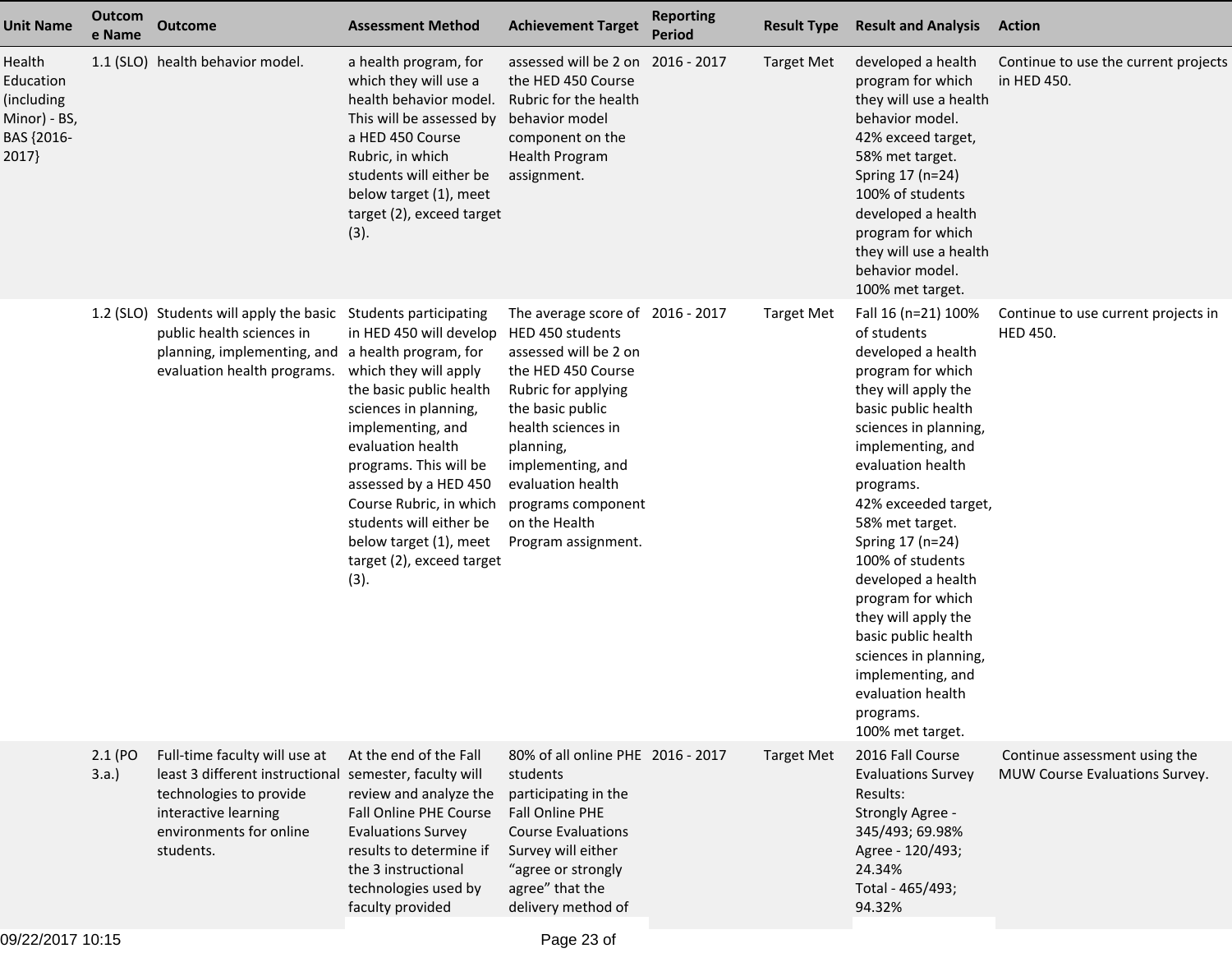| <b>Unit Name</b>                                                         | Outcom<br>e Name | <b>Outcome</b>                                                                                                                                                                     | <b>Assessment Method</b>                                                                                                                                                                                                                                                                                                                                | <b>Achievement Target</b>                                                                                                                                                                                                                                                                 | <b>Reporting</b><br><b>Period</b> | <b>Result Type</b> | <b>Result and Analysis</b>                                                                                                                                                                                                                                                                                                                                                                                                                                                                  | <b>Action</b>                                                   |
|--------------------------------------------------------------------------|------------------|------------------------------------------------------------------------------------------------------------------------------------------------------------------------------------|---------------------------------------------------------------------------------------------------------------------------------------------------------------------------------------------------------------------------------------------------------------------------------------------------------------------------------------------------------|-------------------------------------------------------------------------------------------------------------------------------------------------------------------------------------------------------------------------------------------------------------------------------------------|-----------------------------------|--------------------|---------------------------------------------------------------------------------------------------------------------------------------------------------------------------------------------------------------------------------------------------------------------------------------------------------------------------------------------------------------------------------------------------------------------------------------------------------------------------------------------|-----------------------------------------------------------------|
| Health<br>Education<br>(including<br>Minor) - BS,<br>BAS {2016-<br>2017} |                  | 1.1 (SLO) health behavior model.                                                                                                                                                   | a health program, for<br>which they will use a<br>health behavior model.<br>This will be assessed by<br>a HED 450 Course<br>Rubric, in which<br>students will either be<br>below target (1), meet<br>target (2), exceed target<br>(3).                                                                                                                  | assessed will be 2 on 2016 - 2017<br>the HED 450 Course<br>Rubric for the health<br>behavior model<br>component on the<br><b>Health Program</b><br>assignment.                                                                                                                            |                                   | <b>Target Met</b>  | developed a health<br>program for which<br>they will use a health<br>behavior model.<br>42% exceed target,<br>58% met target.<br>Spring 17 (n=24)<br>100% of students<br>developed a health<br>program for which<br>they will use a health<br>behavior model.<br>100% met target.                                                                                                                                                                                                           | Continue to use the current projects<br>in HED 450.             |
|                                                                          |                  | 1.2 (SLO) Students will apply the basic<br>public health sciences in<br>planning, implementing, and a health program, for<br>evaluation health programs.                           | <b>Students participating</b><br>in HED 450 will develop<br>which they will apply<br>the basic public health<br>sciences in planning,<br>implementing, and<br>evaluation health<br>programs. This will be<br>assessed by a HED 450<br>Course Rubric, in which<br>students will either be<br>below target (1), meet<br>target (2), exceed target<br>(3). | The average score of 2016 - 2017<br>HED 450 students<br>assessed will be 2 on<br>the HED 450 Course<br>Rubric for applying<br>the basic public<br>health sciences in<br>planning,<br>implementing, and<br>evaluation health<br>programs component<br>on the Health<br>Program assignment. |                                   | <b>Target Met</b>  | Fall 16 (n=21) 100%<br>of students<br>developed a health<br>program for which<br>they will apply the<br>basic public health<br>sciences in planning,<br>implementing, and<br>evaluation health<br>programs.<br>42% exceeded target,<br>58% met target.<br>Spring 17 (n=24)<br>100% of students<br>developed a health<br>program for which<br>they will apply the<br>basic public health<br>sciences in planning,<br>implementing, and<br>evaluation health<br>programs.<br>100% met target. | Continue to use current projects in<br><b>HED 450.</b>          |
|                                                                          | 2.1 (PO<br>3.a.  | Full-time faculty will use at<br>least 3 different instructional semester, faculty will<br>technologies to provide<br>interactive learning<br>environments for online<br>students. | At the end of the Fall<br>review and analyze the<br>Fall Online PHE Course<br><b>Evaluations Survey</b><br>results to determine if<br>the 3 instructional<br>technologies used by<br>faculty provided                                                                                                                                                   | 80% of all online PHE 2016 - 2017<br>students<br>participating in the<br>Fall Online PHE<br><b>Course Evaluations</b><br>Survey will either<br>"agree or strongly<br>agree" that the<br>delivery method of                                                                                |                                   | <b>Target Met</b>  | 2016 Fall Course<br><b>Evaluations Survey</b><br>Results:<br>Strongly Agree -<br>345/493; 69.98%<br>Agree - 120/493;<br>24.34%<br>Total - 465/493;<br>94.32%                                                                                                                                                                                                                                                                                                                                | Continue assessment using the<br>MUW Course Evaluations Survey. |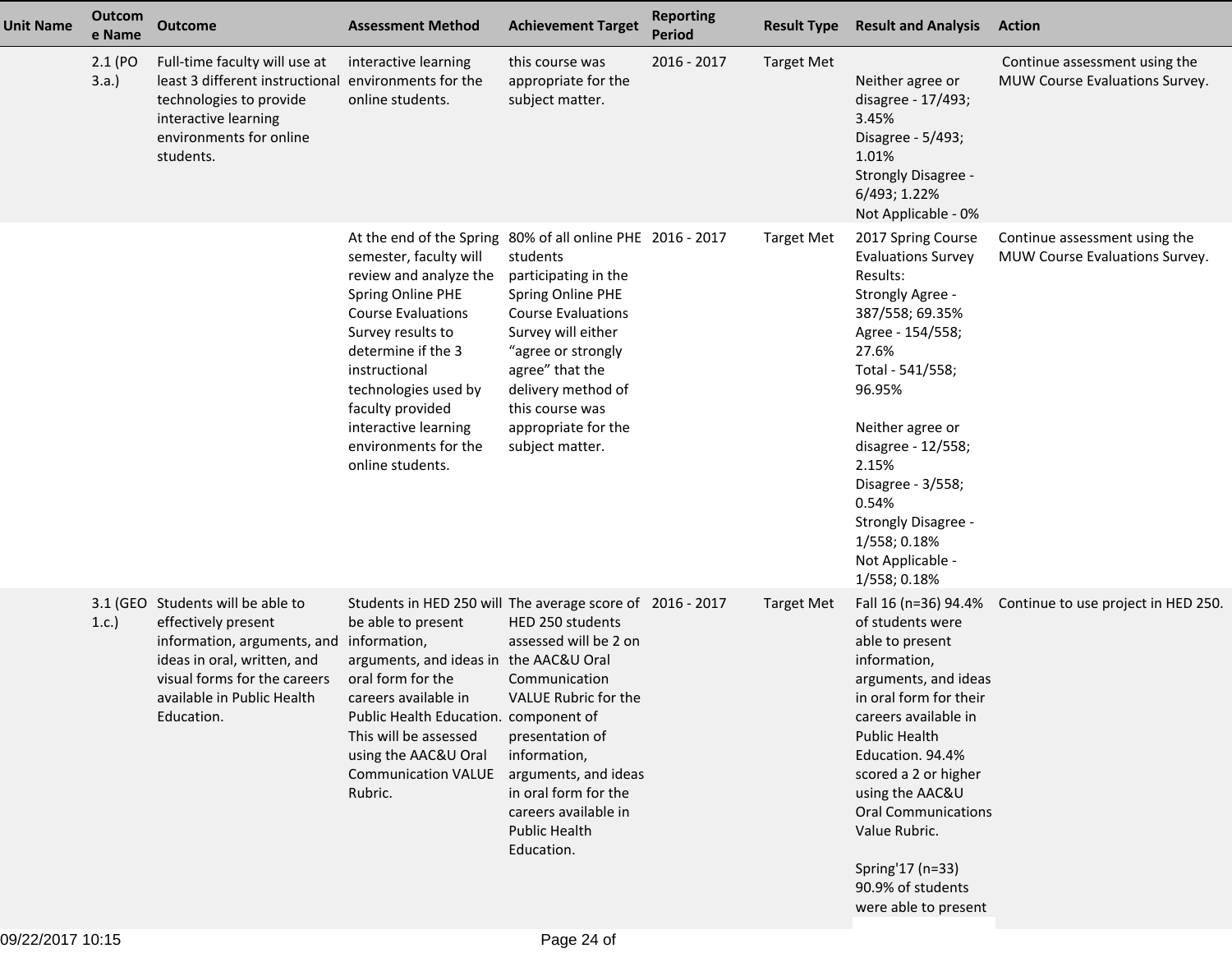| <b>Unit Name</b> | Outcom<br>e Name | <b>Outcome</b>                                                                                                                                                                                                  | <b>Assessment Method</b>                                                                                                                                                                                                                                                                                                                     | <b>Achievement Target</b>                                                                                                                                                                                                            | <b>Reporting</b><br><b>Period</b> | <b>Result Type</b> | <b>Result and Analysis</b>                                                                                                                                                                                                                                                                                                                                   | <b>Action</b>                                                   |
|------------------|------------------|-----------------------------------------------------------------------------------------------------------------------------------------------------------------------------------------------------------------|----------------------------------------------------------------------------------------------------------------------------------------------------------------------------------------------------------------------------------------------------------------------------------------------------------------------------------------------|--------------------------------------------------------------------------------------------------------------------------------------------------------------------------------------------------------------------------------------|-----------------------------------|--------------------|--------------------------------------------------------------------------------------------------------------------------------------------------------------------------------------------------------------------------------------------------------------------------------------------------------------------------------------------------------------|-----------------------------------------------------------------|
|                  | 2.1 (PO<br>3.a.  | Full-time faculty will use at<br>least 3 different instructional environments for the<br>technologies to provide<br>interactive learning<br>environments for online<br>students.                                | interactive learning<br>online students.                                                                                                                                                                                                                                                                                                     | this course was<br>appropriate for the<br>subject matter.                                                                                                                                                                            | 2016 - 2017                       | <b>Target Met</b>  | Neither agree or<br>disagree - 17/493;<br>3.45%<br>Disagree - 5/493;<br>1.01%<br>Strongly Disagree -<br>6/493; 1.22%<br>Not Applicable - 0%                                                                                                                                                                                                                  | Continue assessment using the<br>MUW Course Evaluations Survey. |
|                  |                  |                                                                                                                                                                                                                 | At the end of the Spring 80% of all online PHE 2016 - 2017<br>semester, faculty will<br>review and analyze the<br>Spring Online PHE<br><b>Course Evaluations</b><br>Survey results to<br>determine if the 3<br>instructional<br>technologies used by<br>faculty provided<br>interactive learning<br>environments for the<br>online students. | students<br>participating in the<br>Spring Online PHE<br><b>Course Evaluations</b><br>Survey will either<br>"agree or strongly<br>agree" that the<br>delivery method of<br>this course was<br>appropriate for the<br>subject matter. |                                   | <b>Target Met</b>  | 2017 Spring Course<br><b>Evaluations Survey</b><br>Results:<br>Strongly Agree -<br>387/558; 69.35%<br>Agree - 154/558;<br>27.6%<br>Total - 541/558;<br>96.95%<br>Neither agree or<br>disagree - 12/558;<br>2.15%<br>Disagree - 3/558;<br>0.54%<br><b>Strongly Disagree -</b><br>1/558; 0.18%<br>Not Applicable -<br>1/558; 0.18%                             | Continue assessment using the<br>MUW Course Evaluations Survey. |
|                  | 1.c.             | 3.1 (GEO Students will be able to<br>effectively present<br>information, arguments, and information,<br>ideas in oral, written, and<br>visual forms for the careers<br>available in Public Health<br>Education. | Students in HED 250 will The average score of 2016 - 2017<br>be able to present<br>arguments, and ideas in the AAC&U Oral<br>oral form for the<br>careers available in<br>Public Health Education. component of<br>This will be assessed<br>using the AAC&U Oral<br><b>Communication VALUE</b><br>Rubric.                                    | HED 250 students<br>assessed will be 2 on<br>Communication<br>VALUE Rubric for the<br>presentation of<br>information,<br>arguments, and ideas<br>in oral form for the<br>careers available in<br><b>Public Health</b><br>Education.  |                                   | <b>Target Met</b>  | Fall 16 (n=36) 94.4%<br>of students were<br>able to present<br>information,<br>arguments, and ideas<br>in oral form for their<br>careers available in<br><b>Public Health</b><br>Education. 94.4%<br>scored a 2 or higher<br>using the AAC&U<br><b>Oral Communications</b><br>Value Rubric.<br>Spring'17 (n=33)<br>90.9% of students<br>were able to present | Continue to use project in HED 250.                             |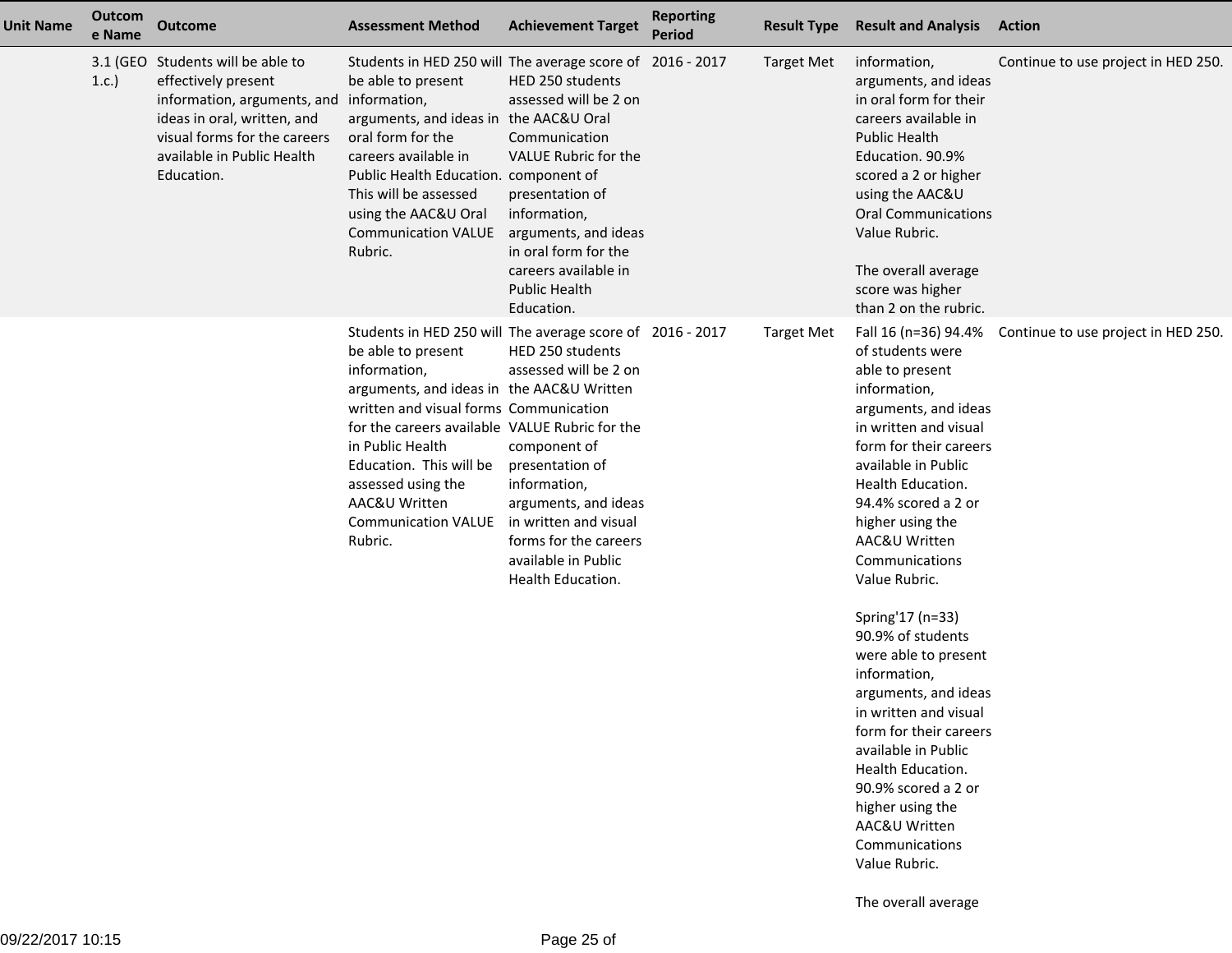| <b>Unit Name</b> | Outcom<br>e Name | <b>Outcome</b>                                                                                                                                                                                                  | <b>Assessment Method</b>                                                                                                                                                                                                                                                                                                                                                | <b>Achievement Target</b>                                                                                                                                                                                                           | <b>Reporting</b><br><b>Period</b> | <b>Result Type</b> | <b>Result and Analysis</b>                                                                                                                                                                                                                                                                                                                                                                                                                                                                                                                                                                               | <b>Action</b>                       |
|------------------|------------------|-----------------------------------------------------------------------------------------------------------------------------------------------------------------------------------------------------------------|-------------------------------------------------------------------------------------------------------------------------------------------------------------------------------------------------------------------------------------------------------------------------------------------------------------------------------------------------------------------------|-------------------------------------------------------------------------------------------------------------------------------------------------------------------------------------------------------------------------------------|-----------------------------------|--------------------|----------------------------------------------------------------------------------------------------------------------------------------------------------------------------------------------------------------------------------------------------------------------------------------------------------------------------------------------------------------------------------------------------------------------------------------------------------------------------------------------------------------------------------------------------------------------------------------------------------|-------------------------------------|
|                  | 1.c.             | 3.1 (GEO Students will be able to<br>effectively present<br>information, arguments, and information,<br>ideas in oral, written, and<br>visual forms for the careers<br>available in Public Health<br>Education. | Students in HED 250 will The average score of 2016 - 2017<br>be able to present<br>arguments, and ideas in the AAC&U Oral<br>oral form for the<br>careers available in<br>Public Health Education. component of<br>This will be assessed<br>using the AAC&U Oral<br><b>Communication VALUE</b><br>Rubric.                                                               | HED 250 students<br>assessed will be 2 on<br>Communication<br>VALUE Rubric for the<br>presentation of<br>information,<br>arguments, and ideas<br>in oral form for the<br>careers available in<br><b>Public Health</b><br>Education. |                                   | <b>Target Met</b>  | information,<br>arguments, and ideas<br>in oral form for their<br>careers available in<br><b>Public Health</b><br>Education. 90.9%<br>scored a 2 or higher<br>using the AAC&U<br><b>Oral Communications</b><br>Value Rubric.<br>The overall average<br>score was higher<br>than 2 on the rubric.                                                                                                                                                                                                                                                                                                         | Continue to use project in HED 250. |
|                  |                  |                                                                                                                                                                                                                 | Students in HED 250 will The average score of 2016 - 2017<br>be able to present<br>information,<br>arguments, and ideas in the AAC&U Written<br>written and visual forms Communication<br>for the careers available VALUE Rubric for the<br>in Public Health<br>Education. This will be<br>assessed using the<br>AAC&U Written<br><b>Communication VALUE</b><br>Rubric. | HED 250 students<br>assessed will be 2 on<br>component of<br>presentation of<br>information,<br>arguments, and ideas<br>in written and visual<br>forms for the careers<br>available in Public<br>Health Education.                  |                                   | <b>Target Met</b>  | Fall 16 (n=36) 94.4%<br>of students were<br>able to present<br>information,<br>arguments, and ideas<br>in written and visual<br>form for their careers<br>available in Public<br>Health Education.<br>94.4% scored a 2 or<br>higher using the<br>AAC&U Written<br>Communications<br>Value Rubric.<br>Spring'17 (n=33)<br>90.9% of students<br>were able to present<br>information,<br>arguments, and ideas<br>in written and visual<br>form for their careers<br>available in Public<br>Health Education.<br>90.9% scored a 2 or<br>higher using the<br>AAC&U Written<br>Communications<br>Value Rubric. | Continue to use project in HED 250. |
|                  |                  |                                                                                                                                                                                                                 |                                                                                                                                                                                                                                                                                                                                                                         |                                                                                                                                                                                                                                     |                                   |                    | The overall average                                                                                                                                                                                                                                                                                                                                                                                                                                                                                                                                                                                      |                                     |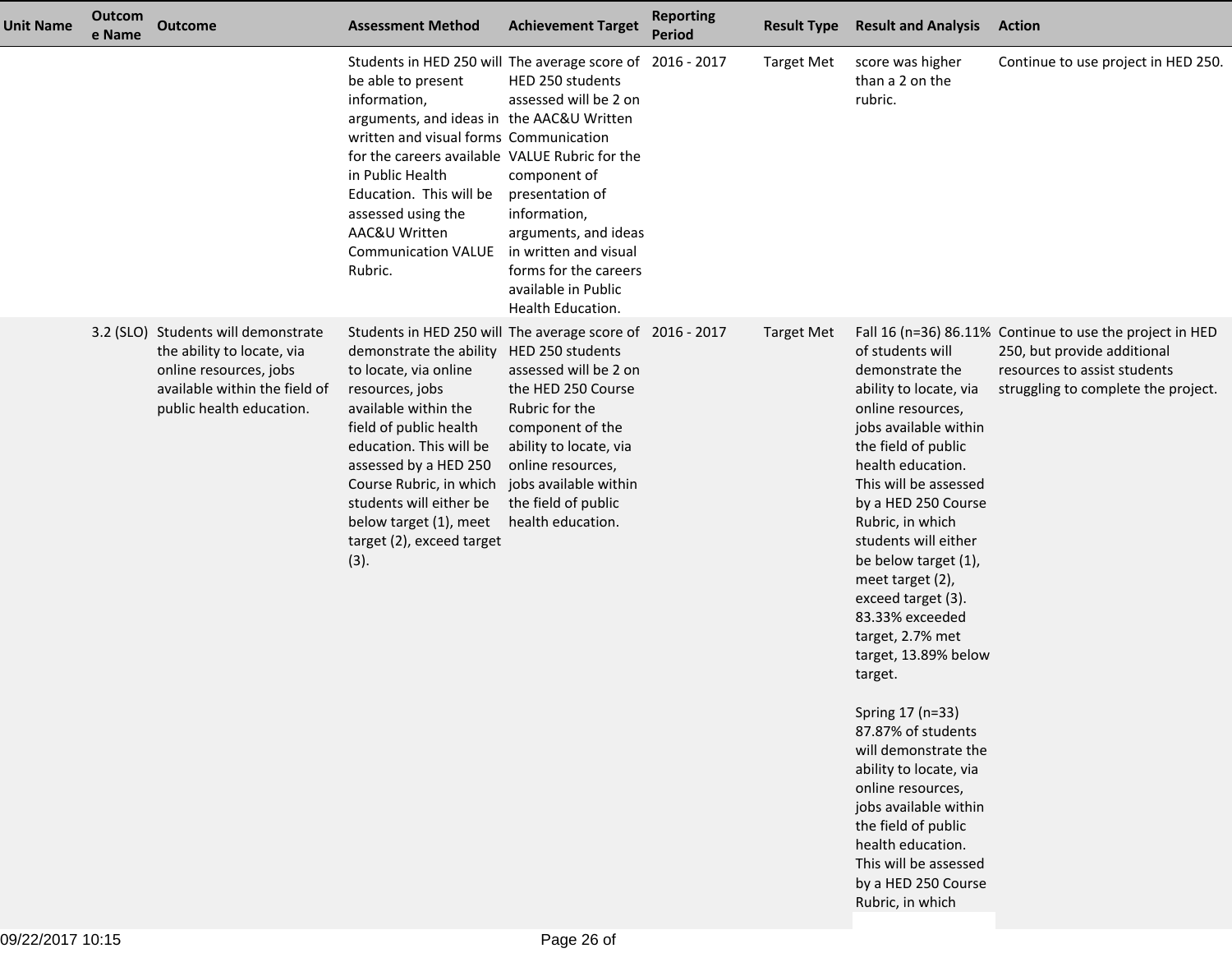| <b>Unit Name</b> | Outcom<br>e Name | <b>Outcome</b>                                                                                                                                           | <b>Assessment Method</b>                                                                                                                                                                                                                                                                                                                                                     | <b>Achievement Target</b>                                                                                                                                                                                          | <b>Reporting</b><br><b>Period</b> | <b>Result Type</b> | <b>Result and Analysis</b>                                                                                                                                                                                                                                                                                                                                                                                                                                                                                                                                                                                                                                | <b>Action</b>                                                                                                                                                  |
|------------------|------------------|----------------------------------------------------------------------------------------------------------------------------------------------------------|------------------------------------------------------------------------------------------------------------------------------------------------------------------------------------------------------------------------------------------------------------------------------------------------------------------------------------------------------------------------------|--------------------------------------------------------------------------------------------------------------------------------------------------------------------------------------------------------------------|-----------------------------------|--------------------|-----------------------------------------------------------------------------------------------------------------------------------------------------------------------------------------------------------------------------------------------------------------------------------------------------------------------------------------------------------------------------------------------------------------------------------------------------------------------------------------------------------------------------------------------------------------------------------------------------------------------------------------------------------|----------------------------------------------------------------------------------------------------------------------------------------------------------------|
|                  |                  |                                                                                                                                                          | Students in HED 250 will The average score of 2016 - 2017<br>be able to present<br>information,<br>arguments, and ideas in the AAC&U Written<br>written and visual forms Communication<br>for the careers available VALUE Rubric for the<br>in Public Health<br>Education. This will be<br>assessed using the<br>AAC&U Written<br><b>Communication VALUE</b><br>Rubric.      | HED 250 students<br>assessed will be 2 on<br>component of<br>presentation of<br>information,<br>arguments, and ideas<br>in written and visual<br>forms for the careers<br>available in Public<br>Health Education. |                                   | <b>Target Met</b>  | score was higher<br>than a 2 on the<br>rubric.                                                                                                                                                                                                                                                                                                                                                                                                                                                                                                                                                                                                            | Continue to use project in HED 250.                                                                                                                            |
|                  |                  | 3.2 (SLO) Students will demonstrate<br>the ability to locate, via<br>online resources, jobs<br>available within the field of<br>public health education. | Students in HED 250 will The average score of 2016 - 2017<br>demonstrate the ability HED 250 students<br>to locate, via online<br>resources, jobs<br>available within the<br>field of public health<br>education. This will be<br>assessed by a HED 250<br>Course Rubric, in which<br>students will either be<br>below target (1), meet<br>target (2), exceed target<br>(3). | assessed will be 2 on<br>the HED 250 Course<br>Rubric for the<br>component of the<br>ability to locate, via<br>online resources,<br>jobs available within<br>the field of public<br>health education.              |                                   | <b>Target Met</b>  | of students will<br>demonstrate the<br>ability to locate, via<br>online resources,<br>jobs available within<br>the field of public<br>health education.<br>This will be assessed<br>by a HED 250 Course<br>Rubric, in which<br>students will either<br>be below target (1),<br>meet target (2),<br>exceed target (3).<br>83.33% exceeded<br>target, 2.7% met<br>target, 13.89% below<br>target.<br>Spring 17 (n=33)<br>87.87% of students<br>will demonstrate the<br>ability to locate, via<br>online resources,<br>jobs available within<br>the field of public<br>health education.<br>This will be assessed<br>by a HED 250 Course<br>Rubric, in which | Fall 16 (n=36) 86.11% Continue to use the project in HED<br>250, but provide additional<br>resources to assist students<br>struggling to complete the project. |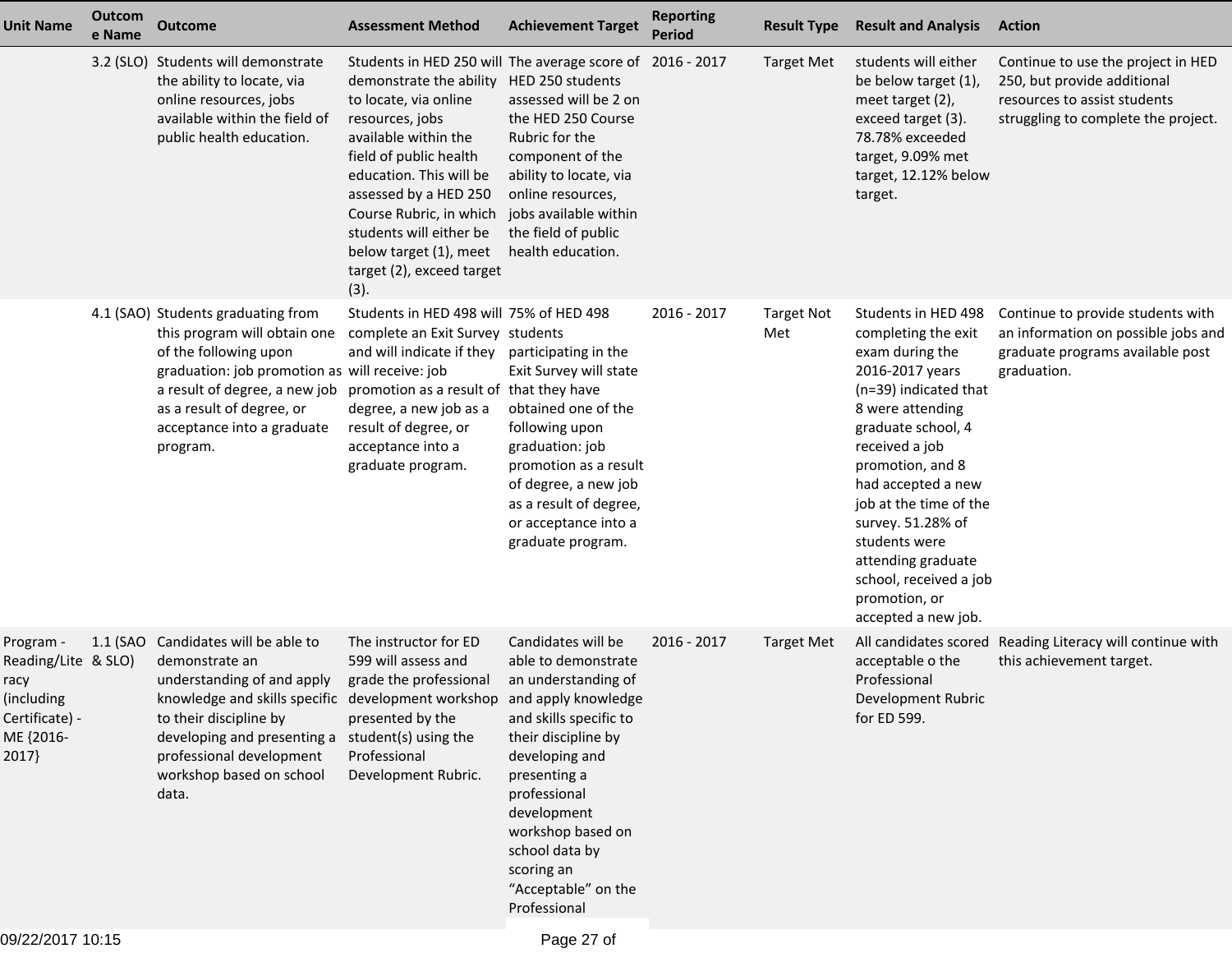| <b>Unit Name</b>                                                                               | Outcom<br>e Name | <b>Outcome</b>                                                                                                                                                                                                                                                                                               | <b>Assessment Method</b>                                                                                                                                                                                                                                                                                                                                    | <b>Achievement Target</b>                                                                                                                                                                                                                                                      | <b>Reporting</b><br>Period | <b>Result Type</b>       | <b>Result and Analysis</b>                                                                                                                                                                                                                                                                                                                                              | <b>Action</b>                                                                                                                            |
|------------------------------------------------------------------------------------------------|------------------|--------------------------------------------------------------------------------------------------------------------------------------------------------------------------------------------------------------------------------------------------------------------------------------------------------------|-------------------------------------------------------------------------------------------------------------------------------------------------------------------------------------------------------------------------------------------------------------------------------------------------------------------------------------------------------------|--------------------------------------------------------------------------------------------------------------------------------------------------------------------------------------------------------------------------------------------------------------------------------|----------------------------|--------------------------|-------------------------------------------------------------------------------------------------------------------------------------------------------------------------------------------------------------------------------------------------------------------------------------------------------------------------------------------------------------------------|------------------------------------------------------------------------------------------------------------------------------------------|
|                                                                                                |                  | 3.2 (SLO) Students will demonstrate<br>the ability to locate, via<br>online resources, jobs<br>available within the field of<br>public health education.                                                                                                                                                     | Students in HED 250 will The average score of 2016 - 2017<br>demonstrate the ability<br>to locate, via online<br>resources, jobs<br>available within the<br>field of public health<br>education. This will be<br>assessed by a HED 250<br>Course Rubric, in which<br>students will either be<br>below target (1), meet<br>target (2), exceed target<br>(3). | HED 250 students<br>assessed will be 2 on<br>the HED 250 Course<br>Rubric for the<br>component of the<br>ability to locate, via<br>online resources,<br>jobs available within<br>the field of public<br>health education.                                                      |                            | <b>Target Met</b>        | students will either<br>be below target (1),<br>meet target (2),<br>exceed target (3).<br>78.78% exceeded<br>target, 9.09% met<br>target, 12.12% below<br>target.                                                                                                                                                                                                       | Continue to use the project in HED<br>250, but provide additional<br>resources to assist students<br>struggling to complete the project. |
|                                                                                                |                  | 4.1 (SAO) Students graduating from<br>this program will obtain one<br>of the following upon<br>graduation: job promotion as will receive: job<br>a result of degree, a new job<br>as a result of degree, or<br>acceptance into a graduate<br>program.                                                        | Students in HED 498 will 75% of HED 498<br>complete an Exit Survey students<br>and will indicate if they participating in the<br>promotion as a result of that they have<br>degree, a new job as a<br>result of degree, or<br>acceptance into a<br>graduate program.                                                                                        | Exit Survey will state<br>obtained one of the<br>following upon<br>graduation: job<br>promotion as a result<br>of degree, a new job<br>as a result of degree,<br>or acceptance into a<br>graduate program.                                                                     | 2016 - 2017                | <b>Target Not</b><br>Met | Students in HED 498<br>completing the exit<br>exam during the<br>2016-2017 years<br>(n=39) indicated that<br>8 were attending<br>graduate school, 4<br>received a job<br>promotion, and 8<br>had accepted a new<br>job at the time of the<br>survey. 51.28% of<br>students were<br>attending graduate<br>school, received a job<br>promotion, or<br>accepted a new job. | Continue to provide students with<br>an information on possible jobs and<br>graduate programs available post<br>graduation.              |
| Program -<br>Reading/Lite & SLO)<br>racy<br>(including<br>Certificate) -<br>ME {2016-<br>2017} |                  | 1.1 (SAO Candidates will be able to<br>demonstrate an<br>understanding of and apply<br>knowledge and skills specific development workshop and apply knowledge<br>to their discipline by<br>developing and presenting a student(s) using the<br>professional development<br>workshop based on school<br>data. | The instructor for ED<br>599 will assess and<br>grade the professional<br>presented by the<br>Professional<br>Development Rubric.                                                                                                                                                                                                                           | Candidates will be<br>able to demonstrate<br>an understanding of<br>and skills specific to<br>their discipline by<br>developing and<br>presenting a<br>professional<br>development<br>workshop based on<br>school data by<br>scoring an<br>"Acceptable" on the<br>Professional | 2016 - 2017                | <b>Target Met</b>        | acceptable o the<br>Professional<br>Development Rubric<br>for ED 599.                                                                                                                                                                                                                                                                                                   | All candidates scored Reading Literacy will continue with<br>this achievement target.                                                    |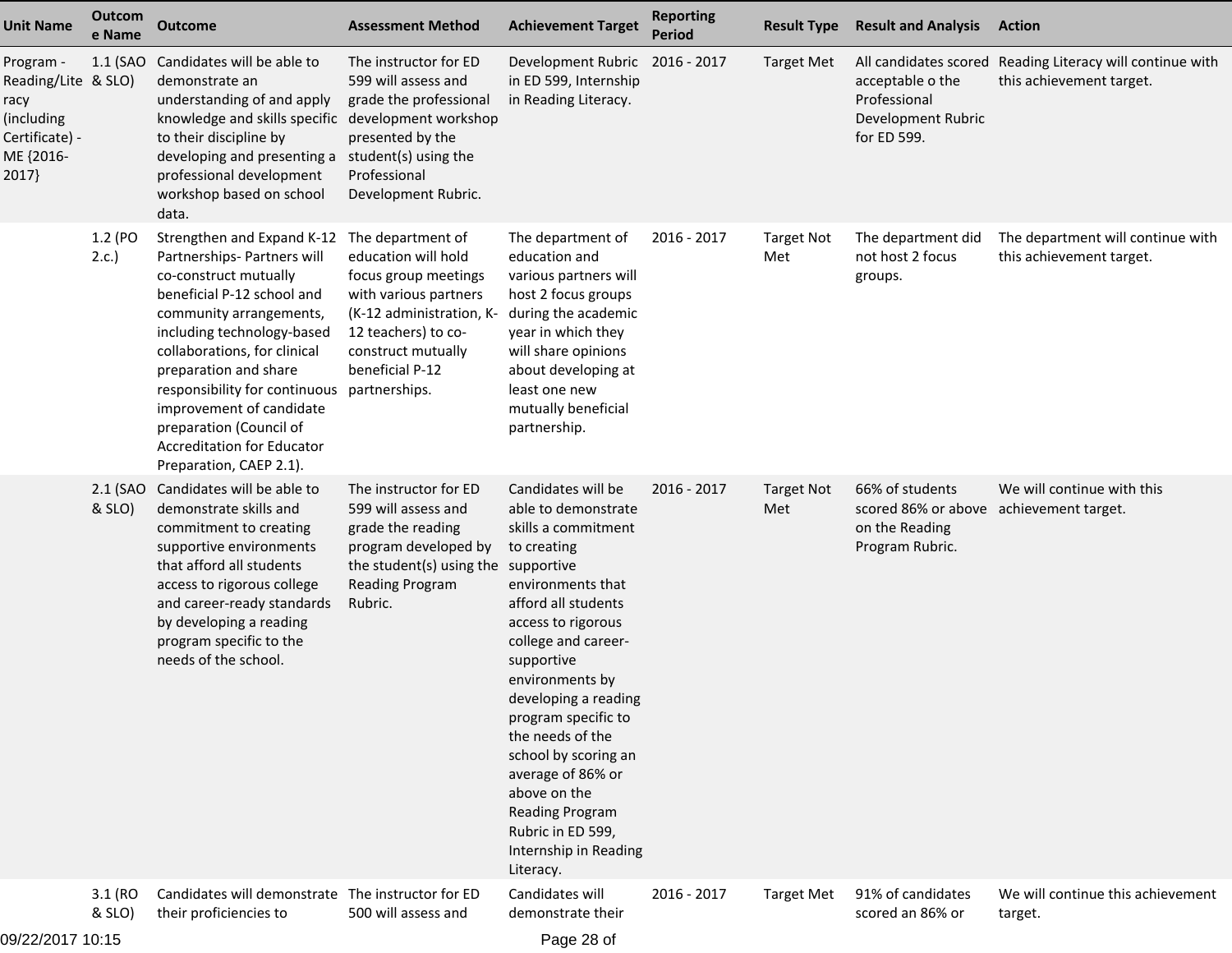| <b>Unit Name</b>                                                                               | Outcom<br>e Name  | <b>Outcome</b>                                                                                                                                                                                                                                                                                                                                                                                           | <b>Assessment Method</b>                                                                                                                                                              | <b>Achievement Target</b>                                                                                                                                                                                                                                                                                                                                                                                                      | <b>Reporting</b><br><b>Period</b> | <b>Result Type</b>       | <b>Result and Analysis</b>                                                                      | Action                                                                                |
|------------------------------------------------------------------------------------------------|-------------------|----------------------------------------------------------------------------------------------------------------------------------------------------------------------------------------------------------------------------------------------------------------------------------------------------------------------------------------------------------------------------------------------------------|---------------------------------------------------------------------------------------------------------------------------------------------------------------------------------------|--------------------------------------------------------------------------------------------------------------------------------------------------------------------------------------------------------------------------------------------------------------------------------------------------------------------------------------------------------------------------------------------------------------------------------|-----------------------------------|--------------------------|-------------------------------------------------------------------------------------------------|---------------------------------------------------------------------------------------|
| Program -<br>Reading/Lite & SLO)<br>racy<br>(including<br>Certificate) -<br>ME {2016-<br>2017} | 1.1 (SAO          | Candidates will be able to<br>demonstrate an<br>understanding of and apply<br>knowledge and skills specific development workshop<br>to their discipline by<br>developing and presenting a<br>professional development<br>workshop based on school<br>data.                                                                                                                                               | The instructor for ED<br>599 will assess and<br>grade the professional<br>presented by the<br>student(s) using the<br>Professional<br>Development Rubric.                             | Development Rubric<br>in ED 599, Internship<br>in Reading Literacy.                                                                                                                                                                                                                                                                                                                                                            | 2016 - 2017                       | <b>Target Met</b>        | acceptable o the<br>Professional<br>Development Rubric<br>for ED 599.                           | All candidates scored Reading Literacy will continue with<br>this achievement target. |
|                                                                                                | 1.2 (PO<br>2.c.   | Strengthen and Expand K-12<br>Partnerships- Partners will<br>co-construct mutually<br>beneficial P-12 school and<br>community arrangements,<br>including technology-based<br>collaborations, for clinical<br>preparation and share<br>responsibility for continuous partnerships.<br>improvement of candidate<br>preparation (Council of<br><b>Accreditation for Educator</b><br>Preparation, CAEP 2.1). | The department of<br>education will hold<br>focus group meetings<br>with various partners<br>(K-12 administration, K-<br>12 teachers) to co-<br>construct mutually<br>beneficial P-12 | The department of<br>education and<br>various partners will<br>host 2 focus groups<br>during the academic<br>year in which they<br>will share opinions<br>about developing at<br>least one new<br>mutually beneficial<br>partnership.                                                                                                                                                                                          | 2016 - 2017                       | <b>Target Not</b><br>Met | The department did<br>not host 2 focus<br>groups.                                               | The department will continue with<br>this achievement target.                         |
|                                                                                                | & SLO)            | 2.1 (SAO Candidates will be able to<br>demonstrate skills and<br>commitment to creating<br>supportive environments<br>that afford all students<br>access to rigorous college<br>and career-ready standards<br>by developing a reading<br>program specific to the<br>needs of the school.                                                                                                                 | The instructor for ED<br>599 will assess and<br>grade the reading<br>program developed by<br>the student(s) using the supportive<br>Reading Program<br>Rubric.                        | Candidates will be<br>able to demonstrate<br>skills a commitment<br>to creating<br>environments that<br>afford all students<br>access to rigorous<br>college and career-<br>supportive<br>environments by<br>developing a reading<br>program specific to<br>the needs of the<br>school by scoring an<br>average of 86% or<br>above on the<br><b>Reading Program</b><br>Rubric in ED 599,<br>Internship in Reading<br>Literacy. | 2016 - 2017                       | <b>Target Not</b><br>Met | 66% of students<br>scored 86% or above achievement target.<br>on the Reading<br>Program Rubric. | We will continue with this                                                            |
| 10/22/2017 10:15                                                                               | 3.1 (RO<br>& SLO) | Candidates will demonstrate The instructor for ED<br>their proficiencies to                                                                                                                                                                                                                                                                                                                              | 500 will assess and                                                                                                                                                                   | Candidates will<br>demonstrate their<br>$Dao \cap \neg f$                                                                                                                                                                                                                                                                                                                                                                      | 2016 - 2017                       | <b>Target Met</b>        | 91% of candidates<br>scored an 86% or                                                           | We will continue this achievement<br>target.                                          |

09/22/2017 10:15

Page 28 of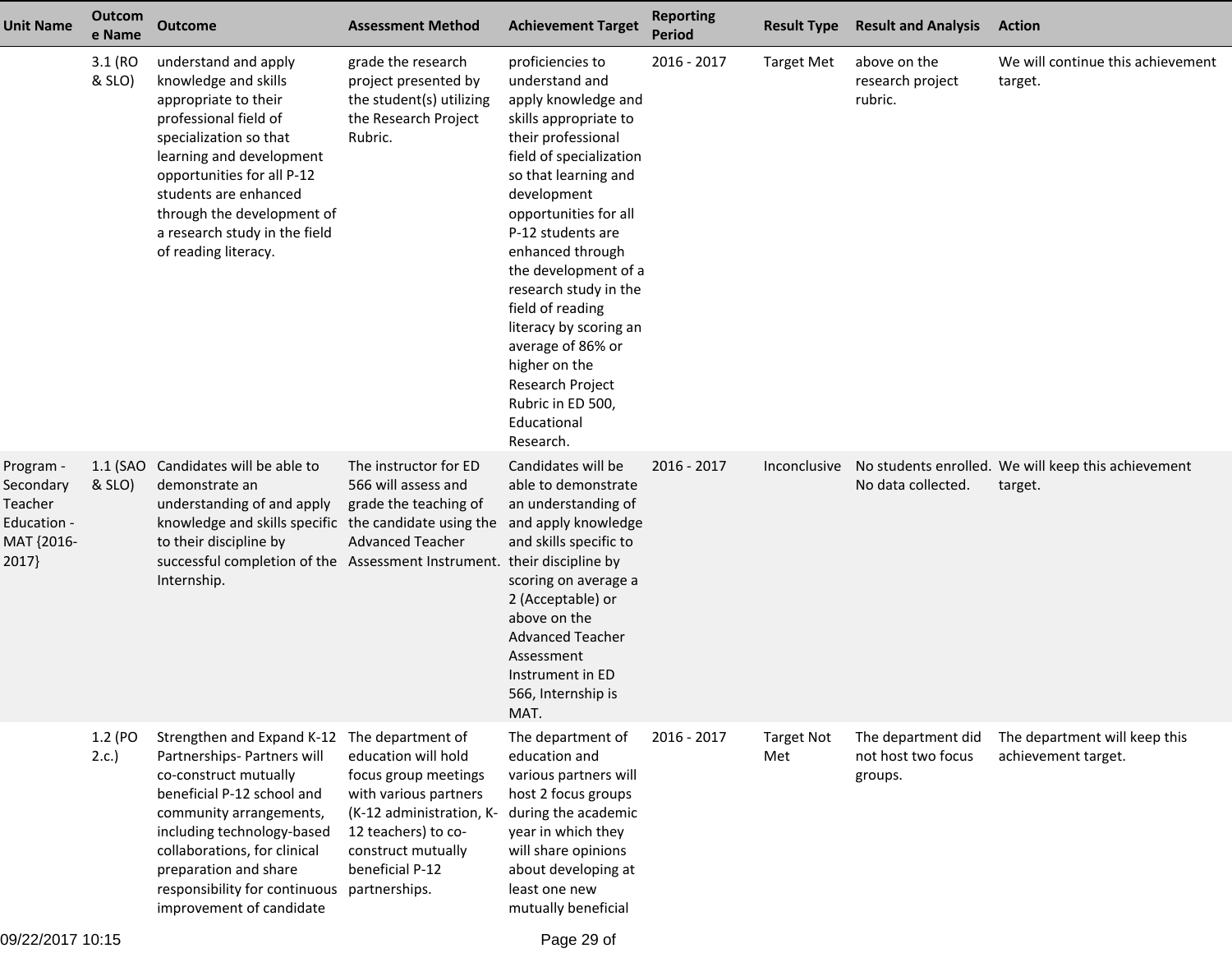| <b>Unit Name</b>                                                        | Outcom<br>e Name  | <b>Outcome</b>                                                                                                                                                                                                                                                                                                                  | <b>Assessment Method</b>                                                                                                                                         | <b>Achievement Target</b>                                                                                                                                                                                                                                                                                                                                                                                                                              | <b>Reporting</b><br><b>Period</b> | <b>Result Type</b>       | <b>Result and Analysis</b>                          | <b>Action</b>                                                  |
|-------------------------------------------------------------------------|-------------------|---------------------------------------------------------------------------------------------------------------------------------------------------------------------------------------------------------------------------------------------------------------------------------------------------------------------------------|------------------------------------------------------------------------------------------------------------------------------------------------------------------|--------------------------------------------------------------------------------------------------------------------------------------------------------------------------------------------------------------------------------------------------------------------------------------------------------------------------------------------------------------------------------------------------------------------------------------------------------|-----------------------------------|--------------------------|-----------------------------------------------------|----------------------------------------------------------------|
|                                                                         | 3.1 (RO<br>& SLO) | understand and apply<br>knowledge and skills<br>appropriate to their<br>professional field of<br>specialization so that<br>learning and development<br>opportunities for all P-12<br>students are enhanced<br>through the development of<br>a research study in the field<br>of reading literacy.                               | grade the research<br>project presented by<br>the student(s) utilizing<br>the Research Project<br>Rubric.                                                        | proficiencies to<br>understand and<br>apply knowledge and<br>skills appropriate to<br>their professional<br>field of specialization<br>so that learning and<br>development<br>opportunities for all<br>P-12 students are<br>enhanced through<br>the development of a<br>research study in the<br>field of reading<br>literacy by scoring an<br>average of 86% or<br>higher on the<br>Research Project<br>Rubric in ED 500,<br>Educational<br>Research. | 2016 - 2017                       | <b>Target Met</b>        | above on the<br>research project<br>rubric.         | We will continue this achievement<br>target.                   |
| Program -<br>Secondary<br>Teacher<br>Education -<br>MAT {2016-<br>2017} | & SLO)            | 1.1 (SAO Candidates will be able to<br>demonstrate an<br>understanding of and apply<br>knowledge and skills specific the candidate using the and apply knowledge<br>to their discipline by<br>successful completion of the Assessment Instrument. their discipline by<br>Internship.                                            | The instructor for ED<br>566 will assess and<br>grade the teaching of<br><b>Advanced Teacher</b>                                                                 | Candidates will be<br>able to demonstrate<br>an understanding of<br>and skills specific to<br>scoring on average a<br>2 (Acceptable) or<br>above on the<br><b>Advanced Teacher</b><br>Assessment<br>Instrument in ED<br>566, Internship is<br>MAT.                                                                                                                                                                                                     | 2016 - 2017                       | Inconclusive             | No data collected.                                  | No students enrolled. We will keep this achievement<br>target. |
|                                                                         | 1.2 (PO<br>2.c.   | Strengthen and Expand K-12 The department of<br>Partnerships- Partners will<br>co-construct mutually<br>beneficial P-12 school and<br>community arrangements,<br>including technology-based<br>collaborations, for clinical<br>preparation and share<br>responsibility for continuous partnerships.<br>improvement of candidate | education will hold<br>focus group meetings<br>with various partners<br>(K-12 administration, K-<br>12 teachers) to co-<br>construct mutually<br>beneficial P-12 | The department of<br>education and<br>various partners will<br>host 2 focus groups<br>during the academic<br>year in which they<br>will share opinions<br>about developing at<br>least one new<br>mutually beneficial                                                                                                                                                                                                                                  | 2016 - 2017                       | <b>Target Not</b><br>Met | The department did<br>not host two focus<br>groups. | The department will keep this<br>achievement target.           |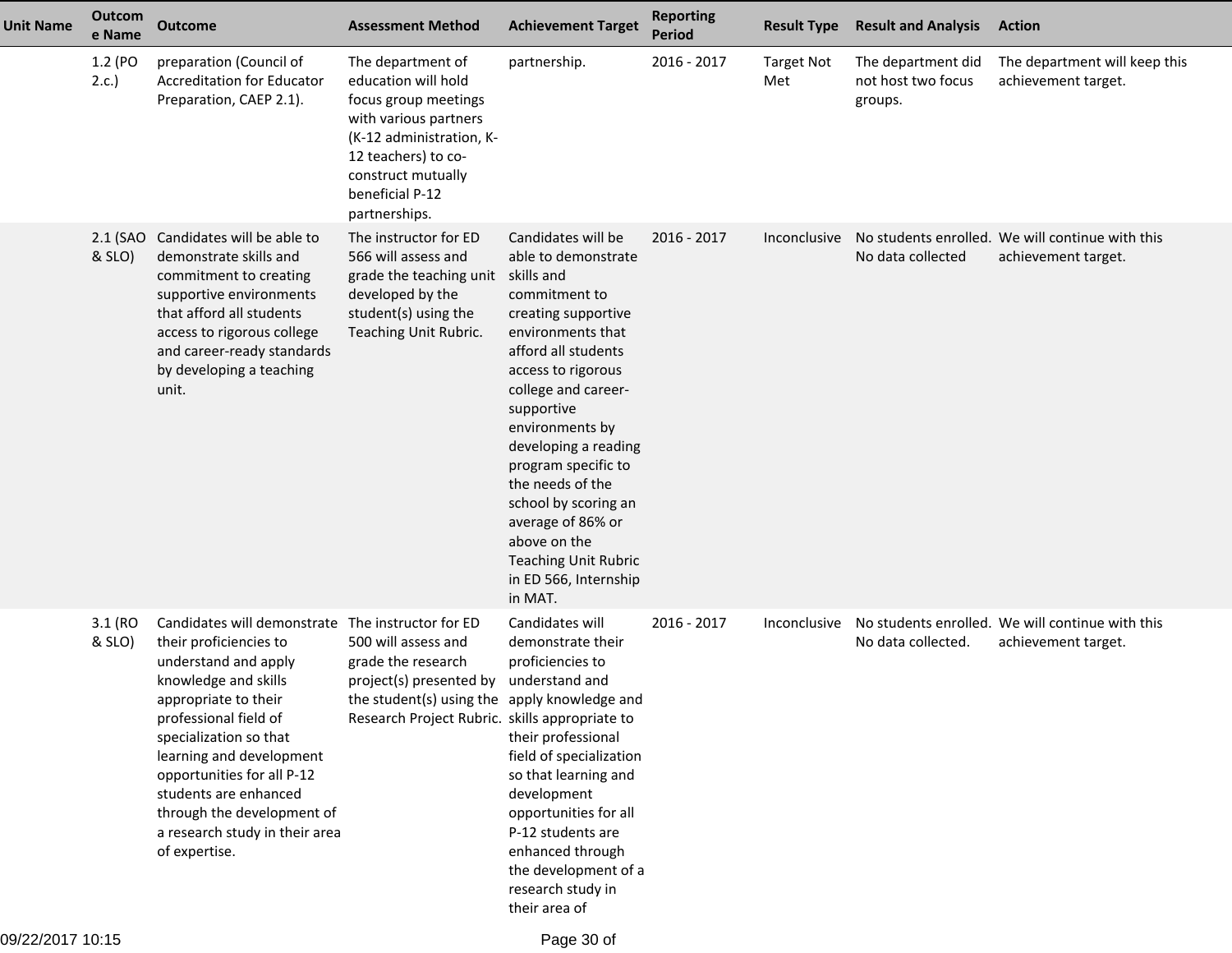| Unit Name        | <b>Outcom</b><br>e Name | <b>Outcome</b>                                                                                                                                                                                                                                                                                                                                       | <b>Assessment Method</b>                                                                                                                                                                               | <b>Achievement Target</b>                                                                                                                                                                                                                                                                                                                                                                                                    | <b>Reporting</b><br>Period | <b>Result Type</b>       | <b>Result and Analysis</b>                          | <b>Action</b>                                                           |
|------------------|-------------------------|------------------------------------------------------------------------------------------------------------------------------------------------------------------------------------------------------------------------------------------------------------------------------------------------------------------------------------------------------|--------------------------------------------------------------------------------------------------------------------------------------------------------------------------------------------------------|------------------------------------------------------------------------------------------------------------------------------------------------------------------------------------------------------------------------------------------------------------------------------------------------------------------------------------------------------------------------------------------------------------------------------|----------------------------|--------------------------|-----------------------------------------------------|-------------------------------------------------------------------------|
|                  | 1.2 (PO<br>2.c.         | preparation (Council of<br><b>Accreditation for Educator</b><br>Preparation, CAEP 2.1).                                                                                                                                                                                                                                                              | The department of<br>education will hold<br>focus group meetings<br>with various partners<br>(K-12 administration, K-<br>12 teachers) to co-<br>construct mutually<br>beneficial P-12<br>partnerships. | partnership.                                                                                                                                                                                                                                                                                                                                                                                                                 | 2016 - 2017                | <b>Target Not</b><br>Met | The department did<br>not host two focus<br>groups. | The department will keep this<br>achievement target.                    |
|                  | 2.1 (SAO<br>& SLO)      | Candidates will be able to<br>demonstrate skills and<br>commitment to creating<br>supportive environments<br>that afford all students<br>access to rigorous college<br>and career-ready standards<br>by developing a teaching<br>unit.                                                                                                               | The instructor for ED<br>566 will assess and<br>grade the teaching unit<br>developed by the<br>student(s) using the<br>Teaching Unit Rubric.                                                           | Candidates will be<br>able to demonstrate<br>skills and<br>commitment to<br>creating supportive<br>environments that<br>afford all students<br>access to rigorous<br>college and career-<br>supportive<br>environments by<br>developing a reading<br>program specific to<br>the needs of the<br>school by scoring an<br>average of 86% or<br>above on the<br><b>Teaching Unit Rubric</b><br>in ED 566, Internship<br>in MAT. | $2016 - 2017$              | Inconclusive             | No data collected                                   | No students enrolled. We will continue with this<br>achievement target. |
|                  | 3.1 (RO<br>& SLO)       | Candidates will demonstrate<br>their proficiencies to<br>understand and apply<br>knowledge and skills<br>appropriate to their<br>professional field of<br>specialization so that<br>learning and development<br>opportunities for all P-12<br>students are enhanced<br>through the development of<br>a research study in their area<br>of expertise. | The instructor for ED<br>500 will assess and<br>grade the research<br>project(s) presented by<br>the student(s) using the apply knowledge and<br>Research Project Rubric. skills appropriate to        | Candidates will<br>demonstrate their<br>proficiencies to<br>understand and<br>their professional<br>field of specialization<br>so that learning and<br>development<br>opportunities for all<br>P-12 students are<br>enhanced through<br>the development of a<br>research study in<br>their area of                                                                                                                           | 2016 - 2017                | Inconclusive             | No data collected.                                  | No students enrolled. We will continue with this<br>achievement target. |
| 09/22/2017 10:15 |                         |                                                                                                                                                                                                                                                                                                                                                      |                                                                                                                                                                                                        | Page 30 of                                                                                                                                                                                                                                                                                                                                                                                                                   |                            |                          |                                                     |                                                                         |